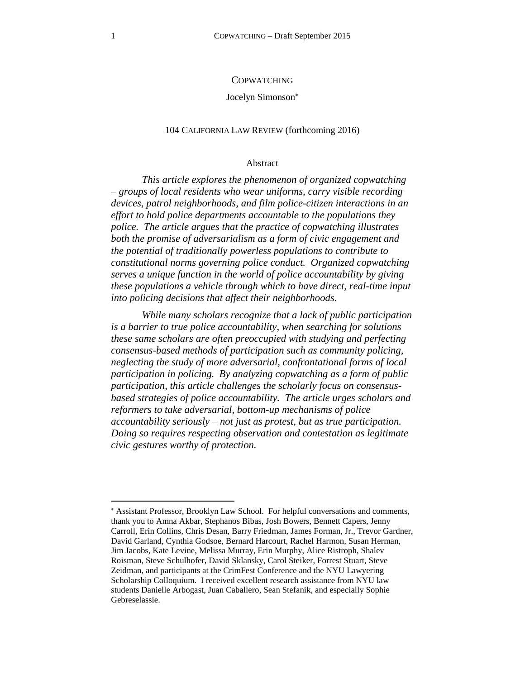### **COPWATCHING**

#### Jocelyn Simonson

### 104 CALIFORNIA LAW REVIEW (forthcoming 2016)

#### Abstract

*This article explores the phenomenon of organized copwatching – groups of local residents who wear uniforms, carry visible recording devices, patrol neighborhoods, and film police-citizen interactions in an effort to hold police departments accountable to the populations they police. The article argues that the practice of copwatching illustrates both the promise of adversarialism as a form of civic engagement and the potential of traditionally powerless populations to contribute to constitutional norms governing police conduct. Organized copwatching serves a unique function in the world of police accountability by giving these populations a vehicle through which to have direct, real-time input into policing decisions that affect their neighborhoods.* 

*While many scholars recognize that a lack of public participation is a barrier to true police accountability, when searching for solutions these same scholars are often preoccupied with studying and perfecting consensus-based methods of participation such as community policing, neglecting the study of more adversarial, confrontational forms of local participation in policing. By analyzing copwatching as a form of public participation, this article challenges the scholarly focus on consensusbased strategies of police accountability. The article urges scholars and reformers to take adversarial, bottom-up mechanisms of police accountability seriously – not just as protest, but as true participation. Doing so requires respecting observation and contestation as legitimate civic gestures worthy of protection.* 

Assistant Professor, Brooklyn Law School. For helpful conversations and comments, thank you to Amna Akbar, Stephanos Bibas, Josh Bowers, Bennett Capers, Jenny Carroll, Erin Collins, Chris Desan, Barry Friedman, James Forman, Jr., Trevor Gardner, David Garland, Cynthia Godsoe, Bernard Harcourt, Rachel Harmon, Susan Herman, Jim Jacobs, Kate Levine, Melissa Murray, Erin Murphy, Alice Ristroph, Shalev Roisman, Steve Schulhofer, David Sklansky, Carol Steiker, Forrest Stuart, Steve Zeidman, and participants at the CrimFest Conference and the NYU Lawyering Scholarship Colloquium. I received excellent research assistance from NYU law students Danielle Arbogast, Juan Caballero, Sean Stefanik, and especially Sophie Gebreselassie.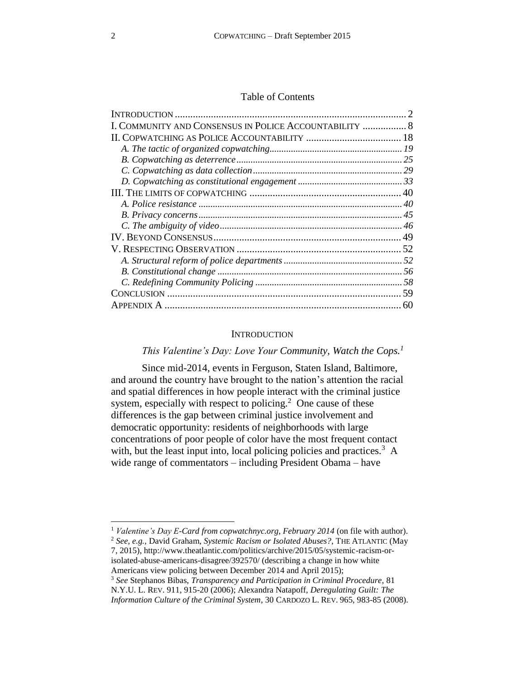### Table of Contents

| I. COMMUNITY AND CONSENSUS IN POLICE ACCOUNTABILITY  8 |  |
|--------------------------------------------------------|--|
|                                                        |  |
|                                                        |  |
|                                                        |  |
|                                                        |  |
|                                                        |  |
|                                                        |  |
|                                                        |  |
|                                                        |  |
|                                                        |  |
|                                                        |  |
|                                                        |  |
|                                                        |  |
|                                                        |  |
|                                                        |  |
|                                                        |  |
|                                                        |  |

# **INTRODUCTION**

# <span id="page-1-0"></span>*This Valentine's Day: Love Your Community, Watch the Cops.<sup>1</sup>*

Since mid-2014, events in Ferguson, Staten Island, Baltimore, and around the country have brought to the nation's attention the racial and spatial differences in how people interact with the criminal justice system, especially with respect to policing. $2$  One cause of these differences is the gap between criminal justice involvement and democratic opportunity: residents of neighborhoods with large concentrations of poor people of color have the most frequent contact with, but the least input into, local policing policies and practices.<sup>3</sup> A wide range of commentators – including President Obama – have

<sup>3</sup> *See* Stephanos Bibas, *Transparency and Participation in Criminal Procedure*, 81 N.Y.U. L. REV. 911, 915-20 (2006); Alexandra Natapoff, *Deregulating Guilt: The Information Culture of the Criminal System*, 30 CARDOZO L. REV. 965, 983-85 (2008).

<sup>1</sup> *Valentine's Day E-Card from copwatchnyc.org, February 2014* (on file with author).

<sup>2</sup> *See, e.g.,* David Graham, *Systemic Racism or Isolated Abuses?*, THE ATLANTIC (May 7, 2015), http://www.theatlantic.com/politics/archive/2015/05/systemic-racism-orisolated-abuse-americans-disagree/392570/ (describing a change in how white Americans view policing between December 2014 and April 2015);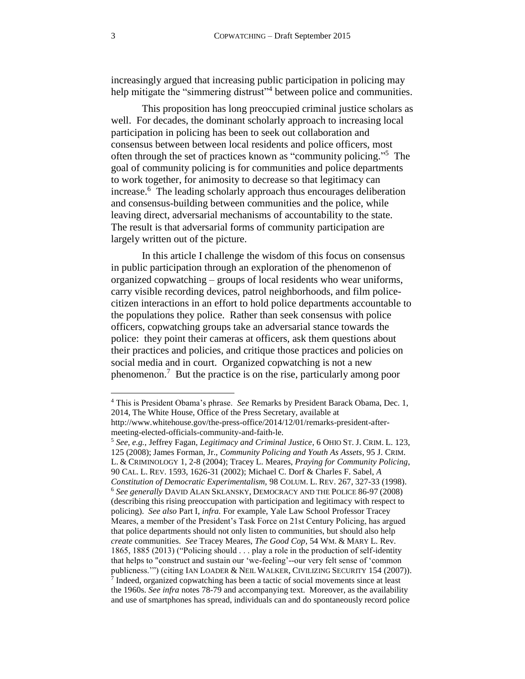increasingly argued that increasing public participation in policing may help mitigate the "simmering distrust"<sup>4</sup> between police and communities.

<span id="page-2-1"></span>This proposition has long preoccupied criminal justice scholars as well. For decades, the dominant scholarly approach to increasing local participation in policing has been to seek out collaboration and consensus between between local residents and police officers, most often through the set of practices known as "community policing." <sup>5</sup> The goal of community policing is for communities and police departments to work together, for animosity to decrease so that legitimacy can increase.<sup>6</sup> The leading scholarly approach thus encourages deliberation and consensus-building between communities and the police, while leaving direct, adversarial mechanisms of accountability to the state. The result is that adversarial forms of community participation are largely written out of the picture.

<span id="page-2-2"></span>In this article I challenge the wisdom of this focus on consensus in public participation through an exploration of the phenomenon of organized copwatching – groups of local residents who wear uniforms, carry visible recording devices, patrol neighborhoods, and film policecitizen interactions in an effort to hold police departments accountable to the populations they police. Rather than seek consensus with police officers, copwatching groups take an adversarial stance towards the police: they point their cameras at officers, ask them questions about their practices and policies, and critique those practices and policies on social media and in court. Organized copwatching is not a new phenomenon.<sup>7</sup> But the practice is on the rise, particularly among poor

<sup>5</sup> *See, e.g.,* Jeffrey Fagan, *Legitimacy and Criminal Justice*, 6 OHIO ST. J. CRIM. L. 123, 125 (2008); James Forman, Jr., *Community Policing and Youth As Assets*, 95 J. CRIM. L. & CRIMINOLOGY 1, 2-8 (2004); Tracey L. Meares, *Praying for Community Policing*, 90 CAL. L. REV. 1593, 1626-31 (2002); Michael C. Dorf & Charles F. Sabel, *A Constitution of Democratic Experimentalism,* 98 COLUM. L. REV. 267, 327-33 (1998). <sup>6</sup> *See generally* DAVID ALAN SKLANSKY, DEMOCRACY AND THE POLICE 86-97 (2008) (describing this rising preoccupation with participation and legitimacy with respect to policing). *See also* Part I, *infra.* For example, Yale Law School Professor Tracey Meares, a member of the President's Task Force on 21st Century Policing, has argued that police departments should not only listen to communities, but should also help *create* communities. *See* Tracey Meares, *The Good Cop*, 54 WM. & MARY L. Rev. 1865, 1885 (2013) ("Policing should . . . play a role in the production of self-identity that helps to "construct and sustain our 'we-feeling'--our very felt sense of 'common publicness."") (citing IAN LOADER & NEIL WALKER, CIVILIZING SECURITY 154 (2007)). <sup>7</sup> Indeed, organized copwatching has been a tactic of social movements since at least the 1960s. *See infra* notes [78](#page-19-0)[-79](#page-19-1) and accompanying text. Moreover, as the availability and use of smartphones has spread, individuals can and do spontaneously record police

<span id="page-2-0"></span><sup>4</sup> This is President Obama's phrase. *See* Remarks by President Barack Obama, Dec. 1, 2014, The White House, Office of the Press Secretary, available at http://www.whitehouse.gov/the-press-office/2014/12/01/remarks-president-aftermeeting-elected-officials-community-and-faith-le.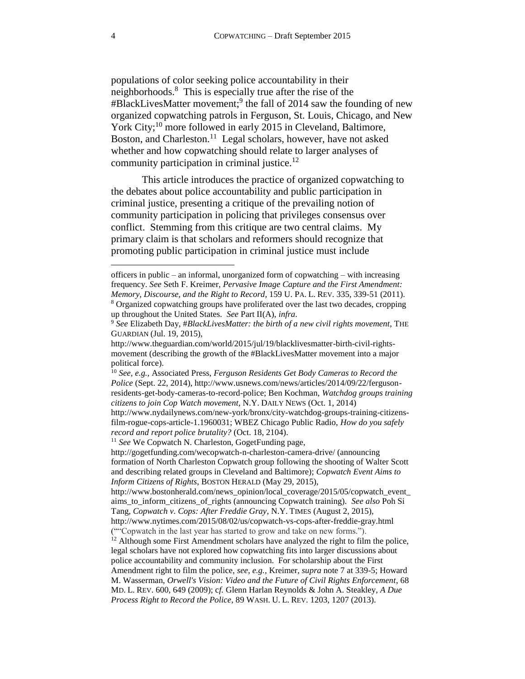<span id="page-3-4"></span><span id="page-3-1"></span><span id="page-3-0"></span>populations of color seeking police accountability in their neighborhoods. 8 This is especially true after the rise of the #BlackLivesMatter movement; 9 the fall of 2014 saw the founding of new organized copwatching patrols in Ferguson, St. Louis, Chicago, and New York City;<sup>10</sup> more followed in early 2015 in Cleveland, Baltimore, Boston, and Charleston.<sup>11</sup> Legal scholars, however, have not asked whether and how copwatching should relate to larger analyses of community participation in criminal justice.<sup>12</sup>

<span id="page-3-3"></span><span id="page-3-2"></span>This article introduces the practice of organized copwatching to the debates about police accountability and public participation in criminal justice, presenting a critique of the prevailing notion of community participation in policing that privileges consensus over conflict. Stemming from this critique are two central claims. My primary claim is that scholars and reformers should recognize that promoting public participation in criminal justice must include

<sup>11</sup> See We Copwatch N. Charleston, GogetFunding page,

http://gogetfunding.com/wecopwatch-n-charleston-camera-drive/ (announcing formation of North Charleston Copwatch group following the shooting of Walter Scott and describing related groups in Cleveland and Baltimore); *Copwatch Event Aims to Inform Citizens of Rights*, BOSTON HERALD (May 29, 2015),

officers in public – an informal, unorganized form of copwatching – with increasing frequency. *See* Seth F. Kreimer, *Pervasive Image Capture and the First Amendment: Memory, Discourse, and the Right to Record*, 159 U. PA. L. REV. 335, 339-51 (2011). <sup>8</sup> Organized copwatching groups have proliferated over the last two decades, cropping

up throughout the United States. *See* Part II(A), *infra*.

<sup>9</sup> *See* Elizabeth Day, #*BlackLivesMatter: the birth of a new civil rights movement*, THE GUARDIAN (Jul. 19, 2015),

http://www.theguardian.com/world/2015/jul/19/blacklivesmatter-birth-civil-rightsmovement (describing the growth of the #BlackLivesMatter movement into a major political force).

<sup>10</sup> *See, e.g.,* Associated Press, *Ferguson Residents Get Body Cameras to Record the Police* (Sept. 22, 2014), http://www.usnews.com/news/articles/2014/09/22/fergusonresidents-get-body-cameras-to-record-police; Ben Kochman, *Watchdog groups training citizens to join Cop Watch movement*, N.Y. DAILY NEWS (Oct. 1, 2014)

http://www.nydailynews.com/new-york/bronx/city-watchdog-groups-training-citizensfilm-rogue-cops-article-1.1960031; WBEZ Chicago Public Radio, *How do you safely record and report police brutality?* (Oct. 18, 2104).

http://www.bostonherald.com/news\_opinion/local\_coverage/2015/05/copwatch\_event aims\_to\_inform\_citizens\_of\_rights (announcing Copwatch training). *See also* Poh Si Tang, *Copwatch v. Cops: After Freddie Gray*, N.Y. TIMES (August 2, 2015),

http://www.nytimes.com/2015/08/02/us/copwatch-vs-cops-after-freddie-gray.html (""Copwatch in the last year has started to grow and take on new forms.").

<sup>&</sup>lt;sup>12</sup> Although some First Amendment scholars have analyzed the right to film the police, legal scholars have not explored how copwatching fits into larger discussions about police accountability and community inclusion. For scholarship about the First Amendment right to film the police, *see, e.g.,* Kreimer, *supra* note [7](#page-2-0) at 339-5; Howard M. Wasserman, *Orwell's Vision: Video and the Future of Civil Rights Enforcement*, 68 MD. L. REV. 600, 649 (2009); c*f.* Glenn Harlan Reynolds & John A. Steakley, *A Due Process Right to Record the Police*, 89 WASH. U. L. REV. 1203, 1207 (2013).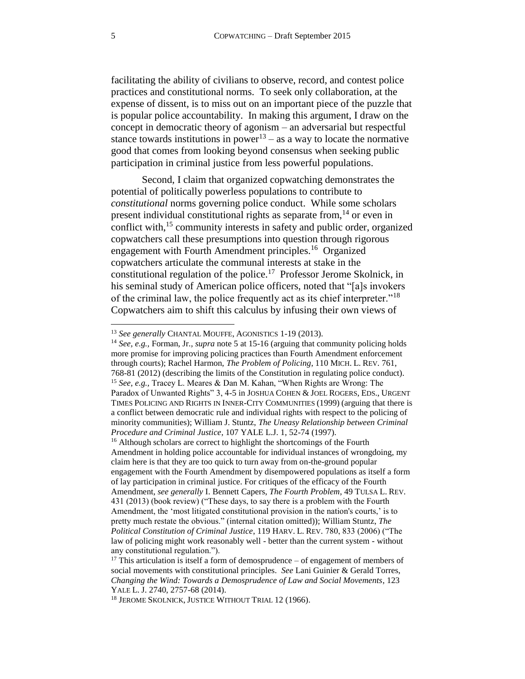facilitating the ability of civilians to observe, record, and contest police practices and constitutional norms. To seek only collaboration, at the expense of dissent, is to miss out on an important piece of the puzzle that is popular police accountability. In making this argument, I draw on the concept in democratic theory of agonism – an adversarial but respectful stance towards institutions in power<sup>13</sup> – as a way to locate the normative good that comes from looking beyond consensus when seeking public participation in criminal justice from less powerful populations.

<span id="page-4-3"></span><span id="page-4-2"></span><span id="page-4-1"></span>Second, I claim that organized copwatching demonstrates the potential of politically powerless populations to contribute to *constitutional* norms governing police conduct. While some scholars present individual constitutional rights as separate from,  $14$  or even in conflict with,<sup>15</sup> community interests in safety and public order, organized copwatchers call these presumptions into question through rigorous engagement with Fourth Amendment principles.<sup>16</sup> Organized copwatchers articulate the communal interests at stake in the constitutional regulation of the police.<sup>17</sup> Professor Jerome Skolnick, in his seminal study of American police officers, noted that "[a]s invokers of the criminal law, the police frequently act as its chief interpreter."<sup>18</sup> Copwatchers aim to shift this calculus by infusing their own views of

<span id="page-4-0"></span><sup>13</sup> *See generally* CHANTAL MOUFFE, AGONISTICS 1-19 (2013).

<sup>14</sup> *See, e.g.,* Forman, Jr.*, supra* not[e 5](#page-2-1) at 15-16 (arguing that community policing holds more promise for improving policing practices than Fourth Amendment enforcement through courts); Rachel Harmon, *The Problem of Policing*, 110 MICH. L. REV. 761, 768-81 (2012) (describing the limits of the Constitution in regulating police conduct). <sup>15</sup> *See, e.g.,* Tracey L. Meares & Dan M. Kahan, "When Rights are Wrong: The Paradox of Unwanted Rights" 3, 4-5 in JOSHUA COHEN & JOEL ROGERS, EDS., URGENT TIMES POLICING AND RIGHTS IN INNER-CITY COMMUNITIES (1999) (arguing that there is a conflict between democratic rule and individual rights with respect to the policing of minority communities); William J. Stuntz, *The Uneasy Relationship between Criminal Procedure and Criminal Justice*, 107 YALE L.J. 1, 52-74 (1997).

<sup>&</sup>lt;sup>16</sup> Although scholars are correct to highlight the shortcomings of the Fourth Amendment in holding police accountable for individual instances of wrongdoing, my claim here is that they are too quick to turn away from on-the-ground popular engagement with the Fourth Amendment by disempowered populations as itself a form of lay participation in criminal justice. For critiques of the efficacy of the Fourth Amendment, *see generally* I. Bennett Capers, *The Fourth Problem*, 49 TULSA L. REV. 431 (2013) (book review) ("These days, to say there is a problem with the Fourth Amendment, the 'most litigated constitutional provision in the nation's courts,' is to pretty much restate the obvious." (internal citation omitted)); William Stuntz, *The Political Constitution of Criminal Justice*, 119 HARV. L. REV. 780, 833 (2006) ("The law of policing might work reasonably well - better than the current system - without any constitutional regulation.").

 $17$  This articulation is itself a form of demosprudence – of engagement of members of social movements with constitutional principles. *See* Lani Guinier & Gerald Torres, *Changing the Wind: Towards a Demosprudence of Law and Social Movements*, 123 YALE L. J. 2740, 2757-68 (2014).

<sup>&</sup>lt;sup>18</sup> JEROME SKOLNICK, JUSTICE WITHOUT TRIAL 12 (1966).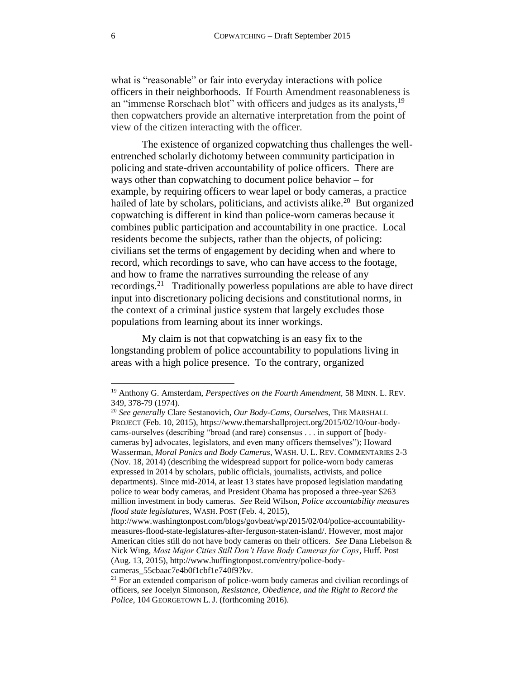what is "reasonable" or fair into everyday interactions with police officers in their neighborhoods. If Fourth Amendment reasonableness is an "immense Rorschach blot" with officers and judges as its analysts,<sup>19</sup> then copwatchers provide an alternative interpretation from the point of view of the citizen interacting with the officer.

<span id="page-5-0"></span>The existence of organized copwatching thus challenges the wellentrenched scholarly dichotomy between community participation in policing and state-driven accountability of police officers. There are ways other than copwatching to document police behavior – for example, by requiring officers to wear lapel or body cameras, a practice hailed of late by scholars, politicians, and activists alike.<sup>20</sup> But organized copwatching is different in kind than police-worn cameras because it combines public participation and accountability in one practice. Local residents become the subjects, rather than the objects, of policing: civilians set the terms of engagement by deciding when and where to record, which recordings to save, who can have access to the footage, and how to frame the narratives surrounding the release of any recordings.<sup>21</sup> Traditionally powerless populations are able to have direct input into discretionary policing decisions and constitutional norms, in the context of a criminal justice system that largely excludes those populations from learning about its inner workings.

<span id="page-5-1"></span>My claim is not that copwatching is an easy fix to the longstanding problem of police accountability to populations living in areas with a high police presence. To the contrary, organized

<sup>19</sup> Anthony G. Amsterdam, *Perspectives on the Fourth Amendment,* 58 MINN. L. REV. 349, 378-79 (1974).

<sup>20</sup> *See generally* Clare Sestanovich, *Our Body-Cams, Ourselves*, THE MARSHALL PROJECT (Feb. 10, 2015), https://www.themarshallproject.org/2015/02/10/our-bodycams-ourselves (describing "broad (and rare) consensus . . . in support of [bodycameras by] advocates, legislators, and even many officers themselves"); Howard Wasserman, *Moral Panics and Body Cameras*, WASH. U. L. REV. COMMENTARIES 2-3 (Nov. 18, 2014) (describing the widespread support for police-worn body cameras expressed in 2014 by scholars, public officials, journalists, activists, and police departments). Since mid-2014, at least 13 states have proposed legislation mandating police to wear body cameras, and President Obama has proposed a three-year \$263 million investment in body cameras. *See* Reid Wilson, *Police accountability measures flood state legislatures*, WASH. POST (Feb. 4, 2015),

http://www.washingtonpost.com/blogs/govbeat/wp/2015/02/04/police-accountabilitymeasures-flood-state-legislatures-after-ferguson-staten-island/. However, most major American cities still do not have body cameras on their officers. *See* Dana Liebelson & Nick Wing, *Most Major Cities Still Don't Have Body Cameras for Cops*, Huff. Post (Aug. 13, 2015), http://www.huffingtonpost.com/entry/police-bodycameras\_55cbaac7e4b0f1cbf1e740f9?kv.

<sup>&</sup>lt;sup>21</sup> For an extended comparison of police-worn body cameras and civilian recordings of officers, *see* Jocelyn Simonson, *Resistance, Obedience, and the Right to Record the Police*, 104 GEORGETOWN L. J. (forthcoming 2016).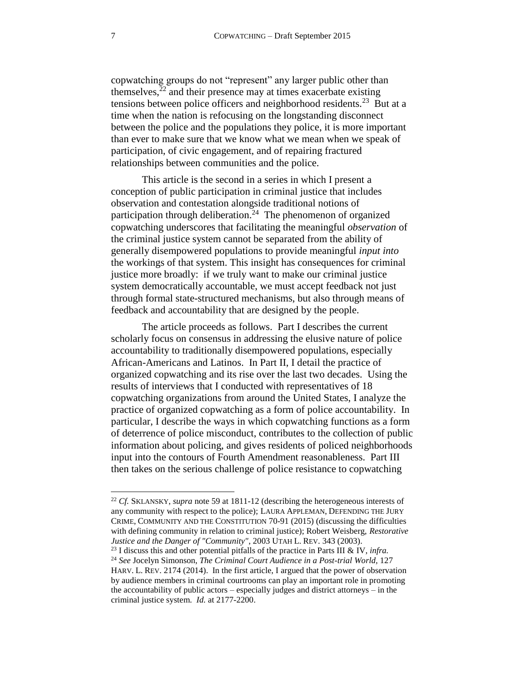<span id="page-6-0"></span>copwatching groups do not "represent" any larger public other than themselves, $22$  and their presence may at times exacerbate existing tensions between police officers and neighborhood residents.<sup>23</sup> But at a time when the nation is refocusing on the longstanding disconnect between the police and the populations they police, it is more important than ever to make sure that we know what we mean when we speak of participation, of civic engagement, and of repairing fractured relationships between communities and the police.

<span id="page-6-1"></span>This article is the second in a series in which I present a conception of public participation in criminal justice that includes observation and contestation alongside traditional notions of participation through deliberation.<sup>24</sup> The phenomenon of organized copwatching underscores that facilitating the meaningful *observation* of the criminal justice system cannot be separated from the ability of generally disempowered populations to provide meaningful *input into* the workings of that system. This insight has consequences for criminal justice more broadly: if we truly want to make our criminal justice system democratically accountable, we must accept feedback not just through formal state-structured mechanisms, but also through means of feedback and accountability that are designed by the people.

The article proceeds as follows. Part I describes the current scholarly focus on consensus in addressing the elusive nature of police accountability to traditionally disempowered populations, especially African-Americans and Latinos. In Part II, I detail the practice of organized copwatching and its rise over the last two decades. Using the results of interviews that I conducted with representatives of 18 copwatching organizations from around the United States, I analyze the practice of organized copwatching as a form of police accountability. In particular, I describe the ways in which copwatching functions as a form of deterrence of police misconduct, contributes to the collection of public information about policing, and gives residents of policed neighborhoods input into the contours of Fourth Amendment reasonableness. Part III then takes on the serious challenge of police resistance to copwatching

<sup>22</sup> *Cf.* SKLANSKY, *supra* note [59](#page-14-0) at 1811-12 (describing the heterogeneous interests of any community with respect to the police); LAURA APPLEMAN, DEFENDING THE JURY CRIME, COMMUNITY AND THE CONSTITUTION 70-91 (2015) (discussing the difficulties with defining community in relation to criminal justice); Robert Weisberg, *Restorative Justice and the Danger of "Community"*, 2003 UTAH L. REV. 343 (2003).

<sup>23</sup> I discuss this and other potential pitfalls of the practice in Parts III & IV, *infra.*

<sup>24</sup> *See* Jocelyn Simonson, *The Criminal Court Audience in a Post-trial World,* 127 HARV. L. REV. 2174 (2014). In the first article, I argued that the power of observation by audience members in criminal courtrooms can play an important role in promoting the accountability of public actors – especially judges and district attorneys – in the criminal justice system. *Id.* at 2177-2200.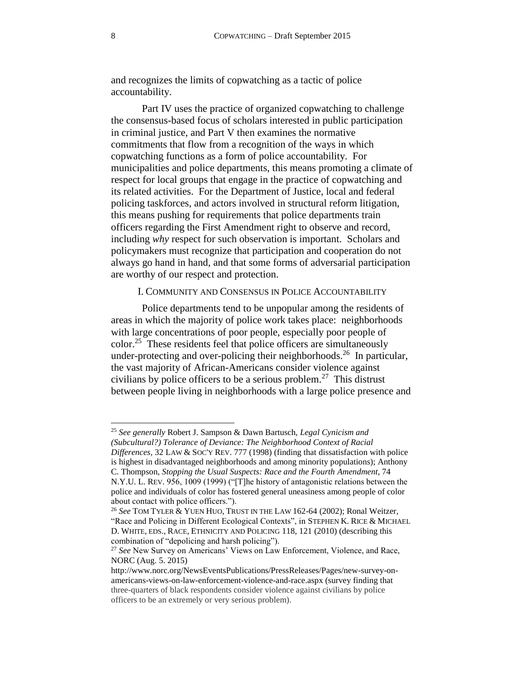and recognizes the limits of copwatching as a tactic of police accountability.

Part IV uses the practice of organized copwatching to challenge the consensus-based focus of scholars interested in public participation in criminal justice, and Part V then examines the normative commitments that flow from a recognition of the ways in which copwatching functions as a form of police accountability. For municipalities and police departments, this means promoting a climate of respect for local groups that engage in the practice of copwatching and its related activities. For the Department of Justice, local and federal policing taskforces, and actors involved in structural reform litigation, this means pushing for requirements that police departments train officers regarding the First Amendment right to observe and record, including *why* respect for such observation is important. Scholars and policymakers must recognize that participation and cooperation do not always go hand in hand, and that some forms of adversarial participation are worthy of our respect and protection.

# <span id="page-7-1"></span>I. COMMUNITY AND CONSENSUS IN POLICE ACCOUNTABILITY

<span id="page-7-2"></span><span id="page-7-0"></span>Police departments tend to be unpopular among the residents of areas in which the majority of police work takes place: neighborhoods with large concentrations of poor people, especially poor people of color.<sup>25</sup> These residents feel that police officers are simultaneously under-protecting and over-policing their neighborhoods.<sup>26</sup> In particular, the vast majority of African-Americans consider violence against civilians by police officers to be a serious problem.<sup>27</sup> This distrust between people living in neighborhoods with a large police presence and

l

<sup>25</sup> *See generally* Robert J. Sampson & Dawn Bartusch, *Legal Cynicism and (Subcultural?) Tolerance of Deviance: The Neighborhood Context of Racial Differences*, 32 LAW & SOC'Y REV. 777 (1998) (finding that dissatisfaction with police is highest in disadvantaged neighborhoods and among minority populations); Anthony C. Thompson, *Stopping the Usual Suspects: Race and the Fourth Amendment*, 74 N.Y.U. L. REV. 956, 1009 (1999) ("[T]he history of antagonistic relations between the police and individuals of color has fostered general uneasiness among people of color about contact with police officers.").

<sup>26</sup> *See* TOM TYLER & YUEN HUO, TRUST IN THE LAW 162-64 (2002); Ronal Weitzer, "Race and Policing in Different Ecological Contexts", in STEPHEN K. RICE & MICHAEL D. WHITE, EDS., RACE, ETHNICITY AND POLICING 118, 121 (2010) (describing this combination of "depolicing and harsh policing").

<sup>27</sup> *See* New Survey on Americans' Views on Law Enforcement, Violence, and Race, NORC (Aug. 5. 2015)

http://www.norc.org/NewsEventsPublications/PressReleases/Pages/new-survey-onamericans-views-on-law-enforcement-violence-and-race.aspx (survey finding that three-quarters of black respondents consider violence against civilians by police officers to be an extremely or very serious problem).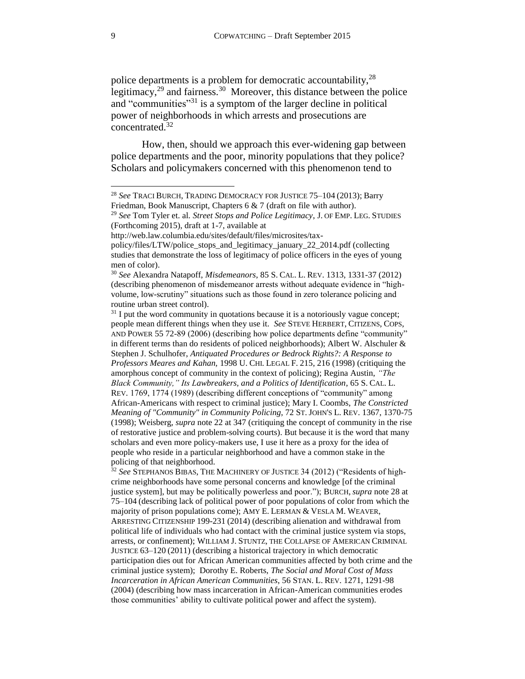<span id="page-8-1"></span><span id="page-8-0"></span>police departments is a problem for democratic accountability,<sup>28</sup> legitimacy, $29$  and fairness.  $30$  Moreover, this distance between the police and "communities"<sup>31</sup> is a symptom of the larger decline in political power of neighborhoods in which arrests and prosecutions are concentrated. 32

<span id="page-8-2"></span>How, then, should we approach this ever-widening gap between police departments and the poor, minority populations that they police? Scholars and policymakers concerned with this phenomenon tend to

http://web.law.columbia.edu/sites/default/files/microsites/tax-

<sup>28</sup> *See* TRACI BURCH, TRADING DEMOCRACY FOR JUSTICE 75–104 (2013); Barry Friedman, Book Manuscript, Chapters 6 & 7 (draft on file with author).

<sup>29</sup> *See* Tom Tyler et. al. *Street Stops and Police Legitimacy*, J. OF EMP. LEG. STUDIES (Forthcoming 2015), draft at 1-7, available at

policy/files/LTW/police\_stops\_and\_legitimacy\_january\_22\_2014.pdf (collecting studies that demonstrate the loss of legitimacy of police officers in the eyes of young men of color).

<sup>30</sup> *See* Alexandra Natapoff, *Misdemeanors*, 85 S. CAL. L. REV. 1313, 1331-37 (2012) (describing phenomenon of misdemeanor arrests without adequate evidence in "highvolume, low-scrutiny" situations such as those found in zero tolerance policing and routine urban street control).

 $31$  I put the word community in quotations because it is a notoriously vague concept; people mean different things when they use it. *See* STEVE HERBERT, CITIZENS, COPS, AND POWER 55 72-89 (2006) (describing how police departments define "community" in different terms than do residents of policed neighborhoods); Albert W. Alschuler & Stephen J. Schulhofer, *Antiquated Procedures or Bedrock Rights?: A Response to Professors Meares and Kahan,* 1998 U. CHI. LEGAL F. 215, 216 (1998) (critiquing the amorphous concept of community in the context of policing); Regina Austin, *"The Black Community," Its Lawbreakers, and a Politics of Identification*, 65 S. CAL. L. REV. 1769, 1774 (1989) (describing different conceptions of "community" among African-Americans with respect to criminal justice); Mary I. Coombs, *The Constricted Meaning of "Community" in Community Policing,* 72 ST. JOHN'S L. REV. 1367, 1370-75 (1998); Weisberg, *supra* note [22](#page-6-0) at 347 (critiquing the concept of community in the rise of restorative justice and problem-solving courts). But because it is the word that many scholars and even more policy-makers use, I use it here as a proxy for the idea of people who reside in a particular neighborhood and have a common stake in the policing of that neighborhood.

<sup>&</sup>lt;sup>32</sup> See STEPHANOS BIBAS, THE MACHINERY OF JUSTICE 34 (2012) ("Residents of highcrime neighborhoods have some personal concerns and knowledge [of the criminal justice system], but may be politically powerless and poor."); BURCH, *supra* note [28](#page-8-0) at 75–104 (describing lack of political power of poor populations of color from which the majority of prison populations come); AMY E. LERMAN & VESLA M. WEAVER, ARRESTING CITIZENSHIP 199-231 (2014) (describing alienation and withdrawal from political life of individuals who had contact with the criminal justice system via stops, arrests, or confinement); WILLIAM J. STUNTZ, THE COLLAPSE OF AMERICAN CRIMINAL JUSTICE 63–120 (2011) (describing a historical trajectory in which democratic participation dies out for African American communities affected by both crime and the criminal justice system); Dorothy E. Roberts, *The Social and Moral Cost of Mass Incarceration in African American Communities*, 56 STAN. L. REV. 1271, 1291-98 (2004) (describing how mass incarceration in African-American communities erodes those communities' ability to cultivate political power and affect the system).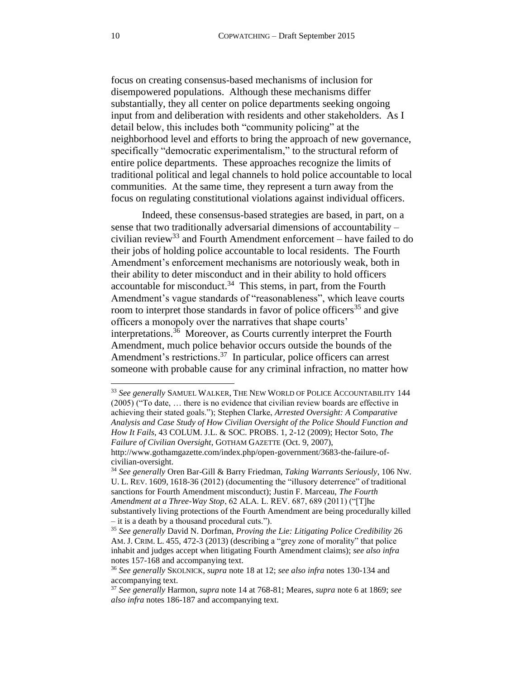focus on creating consensus-based mechanisms of inclusion for disempowered populations. Although these mechanisms differ substantially, they all center on police departments seeking ongoing input from and deliberation with residents and other stakeholders. As I detail below, this includes both "community policing" at the neighborhood level and efforts to bring the approach of new governance, specifically "democratic experimentalism," to the structural reform of entire police departments. These approaches recognize the limits of traditional political and legal channels to hold police accountable to local communities. At the same time, they represent a turn away from the focus on regulating constitutional violations against individual officers.

<span id="page-9-1"></span><span id="page-9-0"></span>Indeed, these consensus-based strategies are based, in part, on a sense that two traditionally adversarial dimensions of accountability – civilian review<sup>33</sup> and Fourth Amendment enforcement – have failed to do their jobs of holding police accountable to local residents. The Fourth Amendment's enforcement mechanisms are notoriously weak, both in their ability to deter misconduct and in their ability to hold officers accountable for misconduct. $34$  This stems, in part, from the Fourth Amendment's vague standards of "reasonableness", which leave courts room to interpret those standards in favor of police officers<sup>35</sup> and give officers a monopoly over the narratives that shape courts' interpretations. 36 Moreover, as Courts currently interpret the Fourth Amendment, much police behavior occurs outside the bounds of the Amendment's restrictions.<sup>37</sup> In particular, police officers can arrest someone with probable cause for any criminal infraction, no matter how

civilian-oversight.

<span id="page-9-2"></span><sup>33</sup> *See generally* SAMUEL WALKER, THE NEW WORLD OF POLICE ACCOUNTABILITY 144 (2005) ("To date, … there is no evidence that civilian review boards are effective in achieving their stated goals."); Stephen Clarke, *Arrested Oversight: A Comparative Analysis and Case Study of How Civilian Oversight of the Police Should Function and How It Fails*, 43 COLUM. J.L. & SOC. PROBS. 1, 2-12 (2009); Hector Soto, *The Failure of Civilian Oversight*, GOTHAM GAZETTE (Oct. 9, 2007), http://www.gothamgazette.com/index.php/open-government/3683-the-failure-of-

<sup>34</sup> *See generally* Oren Bar-Gill & Barry Friedman, *Taking Warrants Seriously*, 106 NW. U. L. REV. 1609, 1618-36 (2012) (documenting the "illusory deterrence" of traditional sanctions for Fourth Amendment misconduct); Justin F. Marceau, *The Fourth Amendment at a Three-Way Stop*, 62 ALA. L. REV. 687, 689 (2011) ("[T]he substantively living protections of the Fourth Amendment are being procedurally killed – it is a death by a thousand procedural cuts.").

<sup>35</sup> *See generally* David N. Dorfman, *Proving the Lie: Litigating Police Credibility* 26 AM. J. CRIM. L. 455, 472-3 (2013) (describing a "grey zone of morality" that police inhabit and judges accept when litigating Fourth Amendment claims); *see also infra*  notes [157](#page-33-0)[-168](#page-34-0) and accompanying text.

<sup>36</sup> *See generally* SKOLNICK, *supra* note [18](#page-4-0) at 12; *see also infra* notes [130](#page-28-1)[-134](#page-29-0) and accompanying text.

<sup>37</sup> *See generally* Harmon, *supra* note [14](#page-4-1) at 768-81; Meares, *supra* note [6](#page-2-2) at 1869; *see also infra* notes [186](#page-38-0)[-187](#page-39-2) and accompanying text.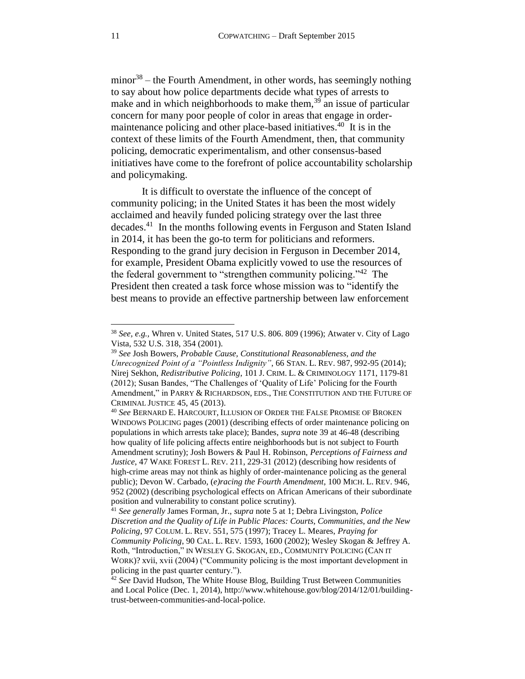<span id="page-10-1"></span><span id="page-10-0"></span>minor<sup>38</sup> – the Fourth Amendment, in other words, has seemingly nothing to say about how police departments decide what types of arrests to make and in which neighborhoods to make them, $39$  an issue of particular concern for many poor people of color in areas that engage in ordermaintenance policing and other place-based initiatives.<sup>40</sup> It is in the context of these limits of the Fourth Amendment, then, that community policing, democratic experimentalism, and other consensus-based initiatives have come to the forefront of police accountability scholarship and policymaking.

<span id="page-10-2"></span>It is difficult to overstate the influence of the concept of community policing; in the United States it has been the most widely acclaimed and heavily funded policing strategy over the last three decades. <sup>41</sup> In the months following events in Ferguson and Staten Island in 2014, it has been the go-to term for politicians and reformers. Responding to the grand jury decision in Ferguson in December 2014, for example, President Obama explicitly vowed to use the resources of the federal government to "strengthen community policing."<sup>42</sup> The President then created a task force whose mission was to "identify the best means to provide an effective partnership between law enforcement

<sup>38</sup> *See, e.g.,* Whren v. United States, 517 U.S. 806. 809 (1996); Atwater v. City of Lago Vista, 532 U.S. 318, 354 (2001).

<sup>39</sup> *See* Josh Bowers, *Probable Cause, Constitutional Reasonableness, and the Unrecognized Point of a "Pointless Indignity"*, 66 STAN. L. REV. 987, 992-95 (2014); Nirej Sekhon, *Redistributive Policing*, 101 J. CRIM. L. & CRIMINOLOGY 1171, 1179-81 (2012); Susan Bandes, "The Challenges of 'Quality of Life' Policing for the Fourth Amendment," in PARRY & RICHARDSON, EDS., THE CONSTITUTION AND THE FUTURE OF CRIMINAL JUSTICE 45, 45 (2013).

<sup>40</sup> *See* BERNARD E. HARCOURT, ILLUSION OF ORDER THE FALSE PROMISE OF BROKEN WINDOWS POLICING pages (2001) (describing effects of order maintenance policing on populations in which arrests take place); Bandes, *supra* note [39](#page-10-0) at 46-48 (describing how quality of life policing affects entire neighborhoods but is not subject to Fourth Amendment scrutiny); Josh Bowers & Paul H. Robinson, *Perceptions of Fairness and Justice*, 47 WAKE FOREST L. REV. 211, 229-31 (2012) (describing how residents of high-crime areas may not think as highly of order-maintenance policing as the general public); Devon W. Carbado, (*e)racing the Fourth Amendment*, 100 MICH. L. REV. 946, 952 (2002) (describing psychological effects on African Americans of their subordinate position and vulnerability to constant police scrutiny).

<sup>41</sup> *See generally* James Forman, Jr., *supra* note [5](#page-2-1) at 1; Debra Livingston, *Police Discretion and the Quality of Life in Public Places: Courts, Communities, and the New Policing*, 97 COLUM. L. REV. 551, 575 (1997); Tracey L. Meares, *Praying for Community Policing*, 90 CAL. L. REV. 1593, 1600 (2002); Wesley Skogan & Jeffrey A. Roth, "Introduction," IN WESLEY G. SKOGAN, ED., COMMUNITY POLICING (CAN IT WORK)? xvii, xvii (2004) ("Community policing is the most important development in policing in the past quarter century.").

<sup>&</sup>lt;sup>42</sup> See David Hudson, The White House Blog, Building Trust Between Communities and Local Police (Dec. 1, 2014), http://www.whitehouse.gov/blog/2014/12/01/buildingtrust-between-communities-and-local-police.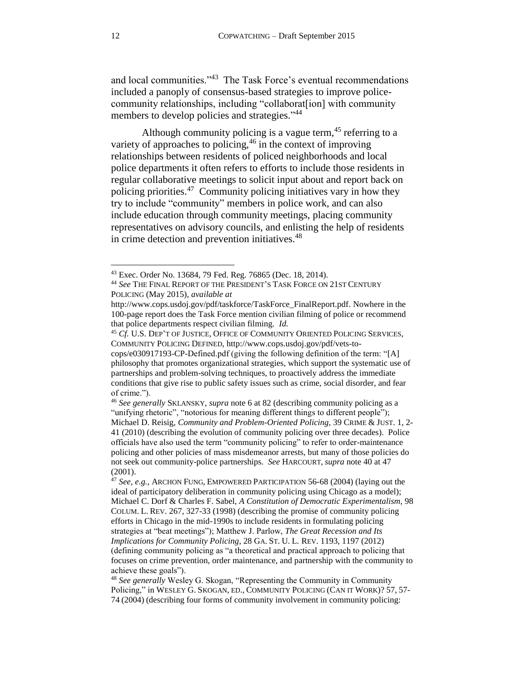and local communities."<sup>43</sup> The Task Force's eventual recommendations included a panoply of consensus-based strategies to improve policecommunity relationships, including "collaborat[ion] with community members to develop policies and strategies."<sup>44</sup>

<span id="page-11-0"></span>Although community policing is a vague term,<sup>45</sup> referring to a variety of approaches to policing,<sup>46</sup> in the context of improving relationships between residents of policed neighborhoods and local police departments it often refers to efforts to include those residents in regular collaborative meetings to solicit input about and report back on policing priorities.<sup>47</sup> Community policing initiatives vary in how they try to include "community" members in police work, and can also include education through community meetings, placing community representatives on advisory councils, and enlisting the help of residents in crime detection and prevention initiatives.<sup>48</sup>

<span id="page-11-1"></span><sup>43</sup> Exec. Order No. 13684, 79 Fed. Reg. 76865 (Dec. 18, 2014).

<sup>44</sup> *See* THE FINAL REPORT OF THE PRESIDENT'S TASK FORCE ON 21ST CENTURY POLICING (May 2015), *available at* 

http://www.cops.usdoj.gov/pdf/taskforce/TaskForce\_FinalReport.pdf. Nowhere in the 100-page report does the Task Force mention civilian filming of police or recommend that police departments respect civilian filming. *Id.*

<sup>&</sup>lt;sup>45</sup> *Cf.* U.S. DEP'T OF JUSTICE, OFFICE OF COMMUNITY ORIENTED POLICING SERVICES, COMMUNITY POLICING DEFINED, http://www.cops.usdoj.gov/pdf/vets-to-

cops/e030917193-CP-Defined.pdf (giving the following definition of the term: "[A] philosophy that promotes organizational strategies, which support the systematic use of partnerships and problem-solving techniques, to proactively address the immediate conditions that give rise to public safety issues such as crime, social disorder, and fear of crime.").

<sup>46</sup> *See generally* SKLANSKY, *supra* note [6](#page-2-2) at 82 (describing community policing as a "unifying rhetoric", "notorious for meaning different things to different people"); Michael D. Reisig, *Community and Problem-Oriented Policing*, 39 CRIME & JUST. 1, 2- 41 (2010) (describing the evolution of community policing over three decades). Police officials have also used the term "community policing" to refer to order-maintenance policing and other policies of mass misdemeanor arrests, but many of those policies do not seek out community-police partnerships. *See* HARCOURT, *supra* note [40](#page-10-1) at 47 (2001).

<sup>47</sup> *See, e.g.,* ARCHON FUNG, EMPOWERED PARTICIPATION 56-68 (2004) (laying out the ideal of participatory deliberation in community policing using Chicago as a model); Michael C. Dorf & Charles F. Sabel, *A Constitution of Democratic Experimentalism,* 98 COLUM. L. REV. 267, 327-33 (1998) (describing the promise of community policing efforts in Chicago in the mid-1990s to include residents in formulating policing strategies at "beat meetings"); Matthew J. Parlow, *The Great Recession and Its Implications for Community Policing*, 28 GA. ST. U. L. REV. 1193, 1197 (2012) (defining community policing as "a theoretical and practical approach to policing that focuses on crime prevention, order maintenance, and partnership with the community to achieve these goals").

<sup>48</sup> *See generally* Wesley G. Skogan, "Representing the Community in Community Policing," in WESLEY G. SKOGAN, ED., COMMUNITY POLICING (CAN IT WORK)? 57, 57- 74 (2004) (describing four forms of community involvement in community policing: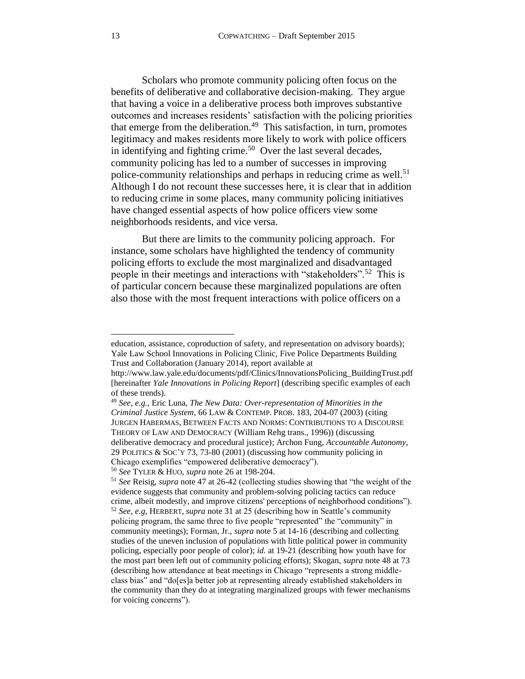Scholars who promote community policing often focus on the benefits of deliberative and collaborative decision-making. They argue that having a voice in a deliberative process both improves substantive outcomes and increases residents' satisfaction with the policing priorities that emerge from the deliberation.<sup>49</sup> This satisfaction, in turn, promotes legitimacy and makes residents more likely to work with police officers in identifying and fighting crime.<sup>50</sup> Over the last several decades, community policing has led to a number of successes in improving police-community relationships and perhaps in reducing crime as well.<sup>51</sup> Although I do not recount these successes here, it is clear that in addition to reducing crime in some places, many community policing initiatives have changed essential aspects of how police officers view some neighborhoods residents, and vice versa.

<span id="page-12-0"></span>But there are limits to the community policing approach. For instance, some scholars have highlighted the tendency of community policing efforts to exclude the most marginalized and disadvantaged people in their meetings and interactions with "stakeholders".<sup>52</sup> This is of particular concern because these marginalized populations are often also those with the most frequent interactions with police officers on a

education, assistance, coproduction of safety, and representation on advisory boards); Yale Law School Innovations in Policing Clinic, Five Police Departments Building Trust and Collaboration (January 2014), report available at

http://www.law.yale.edu/documents/pdf/Clinics/InnovationsPolicing\_BuildingTrust.pdf [hereinafter *Yale Innovations in Policing Report*] (describing specific examples of each of these trends).

<sup>49</sup> *See, e.g.,* Eric Luna, *The New Data: Over-representation of Minorities in the Criminal Justice System*, 66 LAW & CONTEMP. PROB. 183, 204-07 (2003) (citing JURGEN HABERMAS, BETWEEN FACTS AND NORMS: CONTRIBUTIONS TO A DISCOURSE THEORY OF LAW AND DEMOCRACY (William Rehg trans., 1996)) (discussing deliberative democracy and procedural justice); Archon Fung, *Accountable Autonomy*, 29 POLITICS & SOC'Y 73, 73-80 (2001) (discussing how community policing in Chicago exemplifies "empowered deliberative democracy").

<sup>50</sup> *See* TYLER & HUO, *supra* not[e 26](#page-7-1) at 198-204.

<sup>51</sup> *See* Reisig, *supra* note [47](#page-11-0) at 26-42 (collecting studies showing that "the weight of the evidence suggests that community and problem-solving policing tactics can reduce crime, albeit modestly, and improve citizens' perceptions of neighborhood conditions"). <sup>52</sup> *See, e.g,* HERBERT, *supra* note [31](#page-8-1) at 25 (describing how in Seattle's community policing program, the same three to five people "represented" the "community" in community meetings); Forman, Jr., *supra* note [5](#page-2-1) at 14-16 (describing and collecting studies of the uneven inclusion of populations with little political power in community policing, especially poor people of color); *id.* at 19-21 (describing how youth have for the most part been left out of community policing efforts); Skogan, *supra* not[e 48](#page-11-1) at 73 (describing how attendance at beat meetings in Chicago "represents a strong middleclass bias" and "do[es]a better job at representing already established stakeholders in the community than they do at integrating marginalized groups with fewer mechanisms for voicing concerns").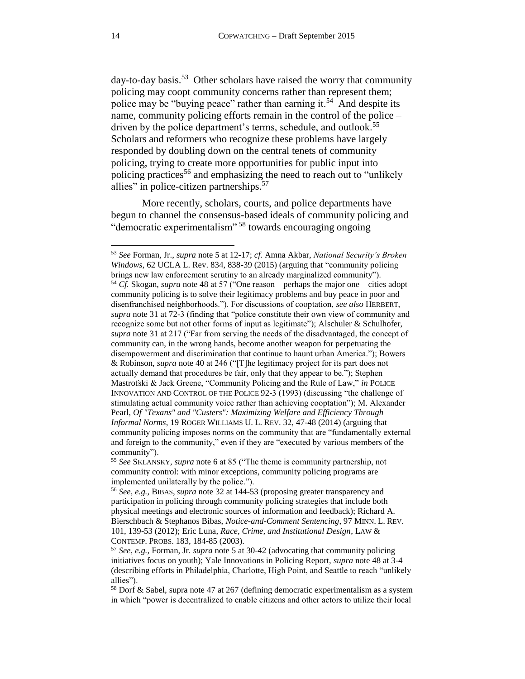<span id="page-13-1"></span>day-to-day basis.<sup>53</sup> Other scholars have raised the worry that community policing may coopt community concerns rather than represent them; police may be "buying peace" rather than earning it.<sup>54</sup> And despite its name, community policing efforts remain in the control of the police – driven by the police department's terms, schedule, and outlook.<sup>55</sup> Scholars and reformers who recognize these problems have largely responded by doubling down on the central tenets of community policing, trying to create more opportunities for public input into policing practices<sup>56</sup> and emphasizing the need to reach out to "unlikely" allies" in police-citizen partnerships.<sup>57</sup>

<span id="page-13-2"></span><span id="page-13-0"></span>More recently, scholars, courts, and police departments have begun to channel the consensus-based ideals of community policing and "democratic experimentalism" <sup>58</sup> towards encouraging ongoing

<sup>53</sup> *See* Forman, Jr., *supra* note [5](#page-2-1) at 12-17; *cf.* Amna Akbar, *National Security's Broken Windows*, 62 UCLA L. Rev. 834, 838-39 (2015) (arguing that "community policing brings new law enforcement scrutiny to an already marginalized community"). <sup>54</sup> *Cf.* Skogan, *supra* note [48](#page-11-1) at 57 ("One reason – perhaps the major one – cities adopt community policing is to solve their legitimacy problems and buy peace in poor and disenfranchised neighborhoods."). For discussions of cooptation, *see also* HERBERT, *supra* not[e 31](#page-8-1) at 72-3 (finding that "police constitute their own view of community and recognize some but not other forms of input as legitimate"); Alschuler & Schulhofer, *supra* not[e 31](#page-8-1) at 217 ("Far from serving the needs of the disadvantaged, the concept of community can, in the wrong hands, become another weapon for perpetuating the disempowerment and discrimination that continue to haunt urban America."); Bowers & Robinson, *supra* note [40](#page-10-1) at 246 ("[T]he legitimacy project for its part does not actually demand that procedures be fair, only that they appear to be."); Stephen Mastrofski & Jack Greene, "Community Policing and the Rule of Law," *in* POLICE INNOVATION AND CONTROL OF THE POLICE 92-3 (1993) (discussing "the challenge of stimulating actual community voice rather than achieving cooptation"); M. Alexander Pearl, *Of "Texans" and "Custers": Maximizing Welfare and Efficiency Through Informal Norms*, 19 ROGER WILLIAMS U. L. REV. 32, 47-48 (2014) (arguing that community policing imposes norms on the community that are "fundamentally external and foreign to the community," even if they are "executed by various members of the community").

<sup>55</sup> *See* SKLANSKY, *supra* note [6](#page-2-2) at 85 ("The theme is community partnership, not community control: with minor exceptions, community policing programs are implemented unilaterally by the police.").

<sup>56</sup> *See, e.g.,* BIBAS, *supra* note [32](#page-8-2) at 144-53 (proposing greater transparency and participation in policing through community policing strategies that include both physical meetings and electronic sources of information and feedback); Richard A. Bierschbach & Stephanos Bibas, *Notice-and-Comment Sentencing*, 97 MINN. L. REV. 101, 139-53 (2012); Eric Luna, *Race, Crime, and Institutional Design*, LAW & CONTEMP. PROBS. 183, 184-85 (2003).

<sup>57</sup> *See, e.g.,* Forman, Jr. *supra* note [5](#page-2-1) at 30-42 (advocating that community policing initiatives focus on youth); Yale Innovations in Policing Report, *supra* note [48](#page-11-1) at 3-4 (describing efforts in Philadelphia, Charlotte, High Point, and Seattle to reach "unlikely allies").

<sup>58</sup> Dorf & Sabel, supra note [47](#page-11-0) at 267 (defining democratic experimentalism as a system in which "power is decentralized to enable citizens and other actors to utilize their local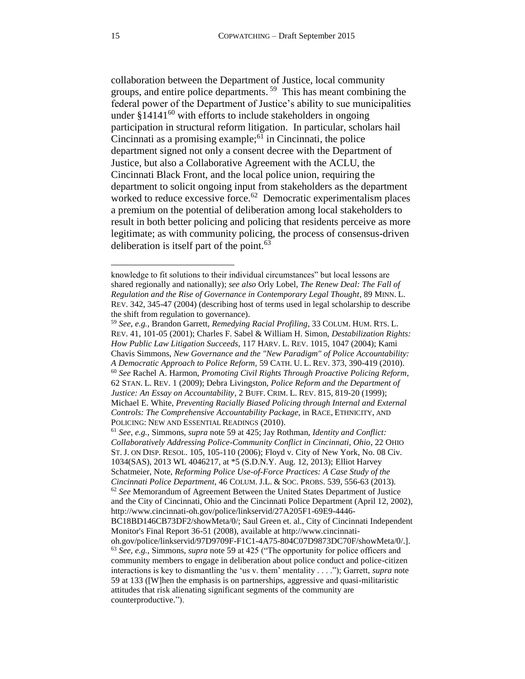<span id="page-14-1"></span><span id="page-14-0"></span>collaboration between the Department of Justice, local community groups, and entire police departments. 59 This has meant combining the federal power of the Department of Justice's ability to sue municipalities under  $§14141^{60}$  with efforts to include stakeholders in ongoing participation in structural reform litigation. In particular, scholars hail Cincinnati as a promising example; $61$  in Cincinnati, the police department signed not only a consent decree with the Department of Justice, but also a Collaborative Agreement with the ACLU, the Cincinnati Black Front, and the local police union, requiring the department to solicit ongoing input from stakeholders as the department worked to reduce excessive force. $62$  Democratic experimentalism places a premium on the potential of deliberation among local stakeholders to result in both better policing and policing that residents perceive as more legitimate; as with community policing, the process of consensus-driven deliberation is itself part of the point. $63$ 

knowledge to fit solutions to their individual circumstances" but local lessons are shared regionally and nationally); *see also* Orly Lobel, *The Renew Deal: The Fall of Regulation and the Rise of Governance in Contemporary Legal Thought*, 89 MINN. L. REV. 342, 345-47 (2004) (describing host of terms used in legal scholarship to describe the shift from regulation to governance).

<sup>59</sup> *See, e.g.,* Brandon Garrett, *Remedying Racial Profiling*, 33 COLUM. HUM. RTS. L. REV. 41, 101-05 (2001); Charles F. Sabel & William H. Simon, *Destabilization Rights: How Public Law Litigation Succeeds*, 117 HARV. L. REV. 1015, 1047 (2004); Kami Chavis Simmons, *New Governance and the "New Paradigm" of Police Accountability: A Democratic Approach to Police Reform,* 59 CATH. U. L. REV. 373, 390-419 (2010). <sup>60</sup> *See* Rachel A. Harmon, *Promoting Civil Rights Through Proactive Policing Reform*, 62 STAN. L. REV. 1 (2009); Debra Livingston, *Police Reform and the Department of Justice: An Essay on Accountability*, 2 BUFF. CRIM. L. REV. 815, 819-20 (1999); Michael E. White, *Preventing Racially Biased Policing through Internal and External Controls: The Comprehensive Accountability Package*, in RACE, ETHNICITY, AND POLICING: NEW AND ESSENTIAL READINGS (2010).

<sup>61</sup> *See, e.g.,* Simmons, *supra* not[e 59](#page-14-0) at 425; Jay Rothman, *Identity and Conflict: Collaboratively Addressing Police-Community Conflict in Cincinnati, Ohio*, 22 OHIO ST. J. ON DISP. RESOL. 105, 105-110 (2006); Floyd v. City of New York*,* No. 08 Civ. 1034(SAS), 2013 WL 4046217, at \*5 (S.D.N.Y. Aug. 12, 2013); Elliot Harvey Schatmeier, Note, *Reforming Police Use-of-Force Practices: A Case Study of the Cincinnati Police Department*, 46 COLUM. J.L. & SOC. PROBS. 539, 556-63 (2013). <sup>62</sup> *See* Memorandum of Agreement Between the United States Department of Justice and the City of Cincinnati, Ohio and the Cincinnati Police Department (April 12, 2002), http://www.cincinnati-oh.gov/police/linkservid/27A205F1-69E9-4446- BC18BD146CB73DF2/showMeta/0/; Saul Green et. al., City of Cincinnati Independent Monitor's Final Report 36-51 (2008), available at http://www.cincinnatioh.gov/police/linkservid/97D9709F-F1C1-4A75-804C07D9873DC70F/showMeta/0/.]. <sup>63</sup> *See, e.g.,* Simmons, *supra* not[e 59](#page-14-0) at 425 ("The opportunity for police officers and community members to engage in deliberation about police conduct and police-citizen interactions is key to dismantling the 'us v. them' mentality . . . ."); Garrett, *supra* note [59](#page-14-0) at 133 ([W]hen the emphasis is on partnerships, aggressive and quasi-militaristic attitudes that risk alienating significant segments of the community are counterproductive.").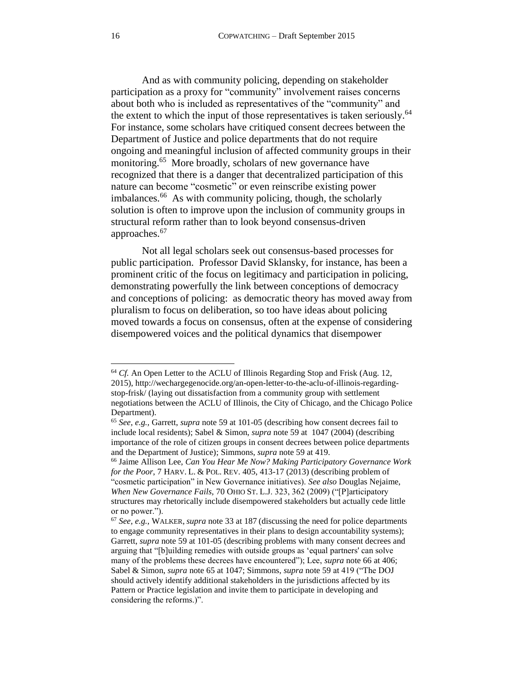<span id="page-15-1"></span>And as with community policing, depending on stakeholder participation as a proxy for "community" involvement raises concerns about both who is included as representatives of the "community" and the extent to which the input of those representatives is taken seriously.<sup>64</sup> For instance, some scholars have critiqued consent decrees between the Department of Justice and police departments that do not require ongoing and meaningful inclusion of affected community groups in their monitoring.<sup>65</sup> More broadly, scholars of new governance have recognized that there is a danger that decentralized participation of this nature can become "cosmetic" or even reinscribe existing power imbalances.<sup>66</sup> As with community policing, though, the scholarly solution is often to improve upon the inclusion of community groups in structural reform rather than to look beyond consensus-driven approaches.<sup>67</sup>

<span id="page-15-2"></span><span id="page-15-0"></span>Not all legal scholars seek out consensus-based processes for public participation. Professor David Sklansky, for instance, has been a prominent critic of the focus on legitimacy and participation in policing, demonstrating powerfully the link between conceptions of democracy and conceptions of policing: as democratic theory has moved away from pluralism to focus on deliberation, so too have ideas about policing moved towards a focus on consensus, often at the expense of considering disempowered voices and the political dynamics that disempower

<sup>&</sup>lt;sup>64</sup> *Cf.* An Open Letter to the ACLU of Illinois Regarding Stop and Frisk (Aug. 12, 2015), http://wechargegenocide.org/an-open-letter-to-the-aclu-of-illinois-regardingstop-frisk/ (laying out dissatisfaction from a community group with settlement negotiations between the ACLU of Illinois, the City of Chicago, and the Chicago Police Department).

<sup>65</sup> *See, e.g.,* Garrett, *supra* note [59](#page-14-0) at 101-05 (describing how consent decrees fail to include local residents); Sabel & Simon, *supra* not[e 59](#page-14-0) at 1047 (2004) (describing importance of the role of citizen groups in consent decrees between police departments and the Department of Justice); Simmons, *supra* note [59](#page-14-0) at 419.

<sup>66</sup> Jaime Allison Lee, *Can You Hear Me Now? Making Participatory Governance Work for the Poor*, 7 HARV. L. & POL. REV. 405, 413-17 (2013) (describing problem of "cosmetic participation" in New Governance initiatives). *See also* Douglas Nejaime, *When New Governance Fails,* 70 OHIO ST. L.J. 323, 362 (2009) ("[P]articipatory structures may rhetorically include disempowered stakeholders but actually cede little or no power.").

<sup>67</sup> *See, e.g.,* WALKER, *supra* not[e 33](#page-9-0) at 187 (discussing the need for police departments to engage community representatives in their plans to design accountability systems); Garrett, *supra* note [59](#page-14-0) at 101-05 (describing problems with many consent decrees and arguing that "[b]uilding remedies with outside groups as 'equal partners' can solve many of the problems these decrees have encountered"); Lee, *supra* not[e 66](#page-15-0) at 406; Sabel & Simon, *supra* not[e 65](#page-15-1) at 1047; Simmons, *supra* note [59](#page-14-0) at 419 ("The DOJ should actively identify additional stakeholders in the jurisdictions affected by its Pattern or Practice legislation and invite them to participate in developing and considering the reforms.)".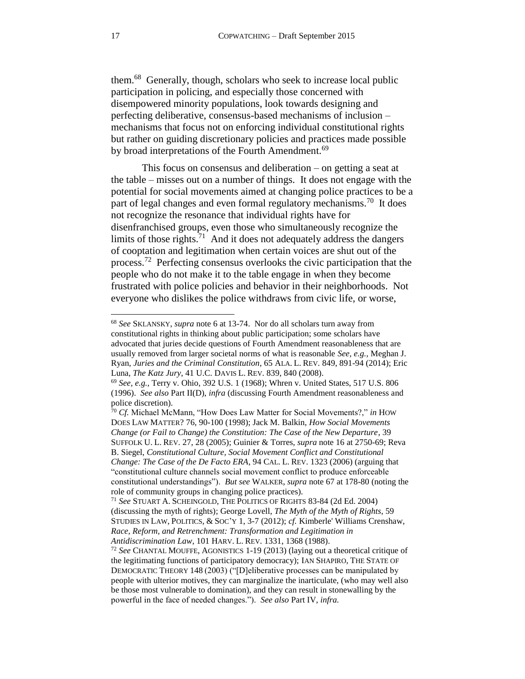<span id="page-16-0"></span>them.<sup>68</sup> Generally, though, scholars who seek to increase local public participation in policing, and especially those concerned with disempowered minority populations, look towards designing and perfecting deliberative, consensus-based mechanisms of inclusion – mechanisms that focus not on enforcing individual constitutional rights but rather on guiding discretionary policies and practices made possible by broad interpretations of the Fourth Amendment.<sup>69</sup>

<span id="page-16-2"></span><span id="page-16-1"></span>This focus on consensus and deliberation – on getting a seat at the table – misses out on a number of things. It does not engage with the potential for social movements aimed at changing police practices to be a part of legal changes and even formal regulatory mechanisms.<sup>70</sup> It does not recognize the resonance that individual rights have for disenfranchised groups, even those who simultaneously recognize the limits of those rights.<sup>71</sup> And it does not adequately address the dangers of cooptation and legitimation when certain voices are shut out of the process.<sup>72</sup> Perfecting consensus overlooks the civic participation that the people who do not make it to the table engage in when they become frustrated with police policies and behavior in their neighborhoods. Not everyone who dislikes the police withdraws from civic life, or worse,

<sup>68</sup> *See* SKLANSKY, *supra* note [6](#page-2-2) at 13-74. Nor do all scholars turn away from constitutional rights in thinking about public participation; some scholars have advocated that juries decide questions of Fourth Amendment reasonableness that are usually removed from larger societal norms of what is reasonable *See, e.g.,* Meghan J. Ryan, *Juries and the Criminal Constitution*, 65 ALA. L. REV. 849, 891-94 (2014); Eric Luna, *The Katz Jury*, 41 U.C. DAVIS L. REV. 839, 840 (2008).

<sup>69</sup> *See, e.g.,* Terry v. Ohio, 392 U.S. 1 (1968); Whren v. United States, 517 U.S. 806 (1996). *See also* Part II(D), *infra* (discussing Fourth Amendment reasonableness and police discretion).

<sup>70</sup> *Cf.* Michael McMann, "How Does Law Matter for Social Movements?," *in* HOW DOES LAW MATTER? 76, 90-100 (1998); Jack M. Balkin, *How Social Movements Change (or Fail to Change) the Constitution: The Case of the New Departure*, 39 SUFFOLK U. L. REV. 27, 28 (2005); Guinier & Torres, *supra* note [16](#page-4-2) at 2750-69; Reva B. Siegel, *Constitutional Culture, Social Movement Conflict and Constitutional Change: The Case of the De Facto ERA*, 94 CAL. L. REV. 1323 (2006) (arguing that "constitutional culture channels social movement conflict to produce enforceable constitutional understandings"). *But see* WALKER, *supra* note [67](#page-15-2) at 178-80 (noting the role of community groups in changing police practices).

<sup>71</sup> *See* STUART A. SCHEINGOLD, THE POLITICS OF RIGHTS 83-84 (2d Ed. 2004) (discussing the myth of rights); George Lovell, *The Myth of the Myth of Rights*, 59 STUDIES IN LAW, POLITICS, & SOC'Y 1, 3-7 (2012); *cf.* Kimberle' Williams Crenshaw, *Race, Reform, and Retrenchment: Transformation and Legitimation in Antidiscrimination Law*, 101 HARV. L. REV. 1331, 1368 (1988).

<sup>72</sup> *See* CHANTAL MOUFFE, AGONISTICS 1-19 (2013) (laying out a theoretical critique of the legitimating functions of participatory democracy); IAN SHAPIRO, THE STATE OF DEMOCRATIC THEORY 148 (2003) ("[D]eliberative processes can be manipulated by people with ulterior motives, they can marginalize the inarticulate, (who may well also be those most vulnerable to domination), and they can result in stonewalling by the powerful in the face of needed changes."). *See also* Part IV, *infra.*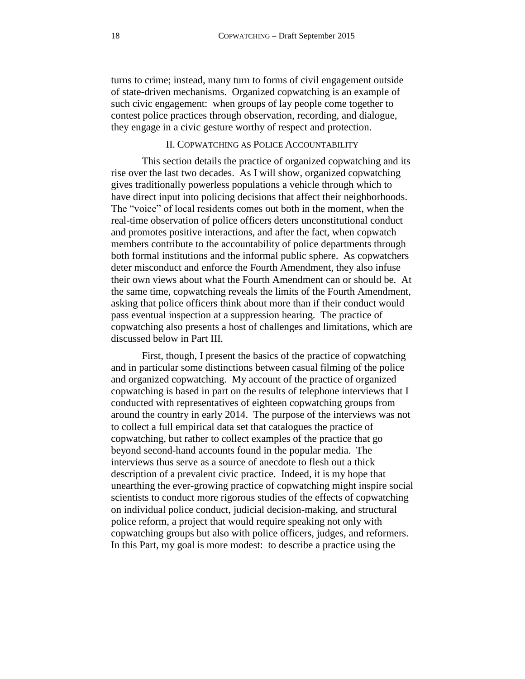turns to crime; instead, many turn to forms of civil engagement outside of state-driven mechanisms. Organized copwatching is an example of such civic engagement: when groups of lay people come together to contest police practices through observation, recording, and dialogue, they engage in a civic gesture worthy of respect and protection.

## II. COPWATCHING AS POLICE ACCOUNTABILITY

<span id="page-17-0"></span>This section details the practice of organized copwatching and its rise over the last two decades. As I will show, organized copwatching gives traditionally powerless populations a vehicle through which to have direct input into policing decisions that affect their neighborhoods. The "voice" of local residents comes out both in the moment, when the real-time observation of police officers deters unconstitutional conduct and promotes positive interactions, and after the fact, when copwatch members contribute to the accountability of police departments through both formal institutions and the informal public sphere. As copwatchers deter misconduct and enforce the Fourth Amendment, they also infuse their own views about what the Fourth Amendment can or should be. At the same time, copwatching reveals the limits of the Fourth Amendment, asking that police officers think about more than if their conduct would pass eventual inspection at a suppression hearing. The practice of copwatching also presents a host of challenges and limitations, which are discussed below in Part III.

First, though, I present the basics of the practice of copwatching and in particular some distinctions between casual filming of the police and organized copwatching. My account of the practice of organized copwatching is based in part on the results of telephone interviews that I conducted with representatives of eighteen copwatching groups from around the country in early 2014. The purpose of the interviews was not to collect a full empirical data set that catalogues the practice of copwatching, but rather to collect examples of the practice that go beyond second-hand accounts found in the popular media. The interviews thus serve as a source of anecdote to flesh out a thick description of a prevalent civic practice. Indeed, it is my hope that unearthing the ever-growing practice of copwatching might inspire social scientists to conduct more rigorous studies of the effects of copwatching on individual police conduct, judicial decision-making, and structural police reform, a project that would require speaking not only with copwatching groups but also with police officers, judges, and reformers. In this Part, my goal is more modest: to describe a practice using the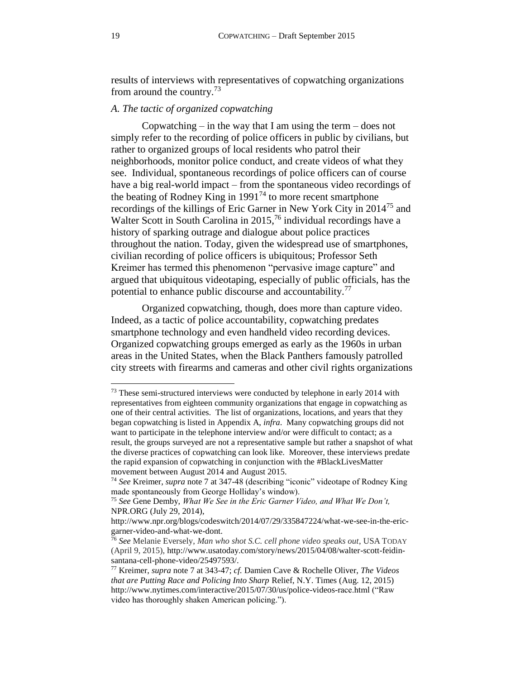results of interviews with representatives of copwatching organizations from around the country.<sup>73</sup>

### <span id="page-18-0"></span>*A. The tactic of organized copwatching*

Copwatching – in the way that I am using the term – does not simply refer to the recording of police officers in public by civilians, but rather to organized groups of local residents who patrol their neighborhoods, monitor police conduct, and create videos of what they see. Individual, spontaneous recordings of police officers can of course have a big real-world impact – from the spontaneous video recordings of the beating of Rodney King in  $1991<sup>74</sup>$  to more recent smartphone recordings of the killings of Eric Garner in New York City in 2014<sup>75</sup> and Walter Scott in South Carolina in 2015,<sup>76</sup> individual recordings have a history of sparking outrage and dialogue about police practices throughout the nation. Today, given the widespread use of smartphones, civilian recording of police officers is ubiquitous; Professor Seth Kreimer has termed this phenomenon "pervasive image capture" and argued that ubiquitous videotaping, especially of public officials, has the potential to enhance public discourse and accountability.<sup>77</sup>

Organized copwatching, though, does more than capture video. Indeed, as a tactic of police accountability, copwatching predates smartphone technology and even handheld video recording devices. Organized copwatching groups emerged as early as the 1960s in urban areas in the United States, when the Black Panthers famously patrolled city streets with firearms and cameras and other civil rights organizations

<sup>&</sup>lt;sup>73</sup> These semi-structured interviews were conducted by telephone in early 2014 with representatives from eighteen community organizations that engage in copwatching as one of their central activities. The list of organizations, locations, and years that they began copwatching is listed in Appendix A, *infra*. Many copwatching groups did not want to participate in the telephone interview and/or were difficult to contact; as a result, the groups surveyed are not a representative sample but rather a snapshot of what the diverse practices of copwatching can look like. Moreover, these interviews predate the rapid expansion of copwatching in conjunction with the #BlackLivesMatter movement between August 2014 and August 2015.

<sup>74</sup> *See* Kreimer, *supra* note [7](#page-2-0) at 347-48 (describing "iconic" videotape of Rodney King made spontaneously from George Holliday's window).

<sup>75</sup> *See* Gene Demby, *What We See in the Eric Garner Video, and What We Don't,*  NPR.ORG (July 29, 2014),

http://www.npr.org/blogs/codeswitch/2014/07/29/335847224/what-we-see-in-the-ericgarner-video-and-what-we-dont.

<sup>76</sup> *See* Melanie Eversely, *Man who shot S.C. cell phone video speaks out*, USA TODAY (April 9, 2015), http://www.usatoday.com/story/news/2015/04/08/walter-scott-feidinsantana-cell-phone-video/25497593/.

<sup>77</sup> Kreimer, *supra* note [7](#page-2-0) at 343-47; *cf.* Damien Cave & Rochelle Oliver, *The Videos that are Putting Race and Policing Into Sharp* Relief, N.Y. Times (Aug. 12, 2015) http://www.nytimes.com/interactive/2015/07/30/us/police-videos-race.html ("Raw video has thoroughly shaken American policing.").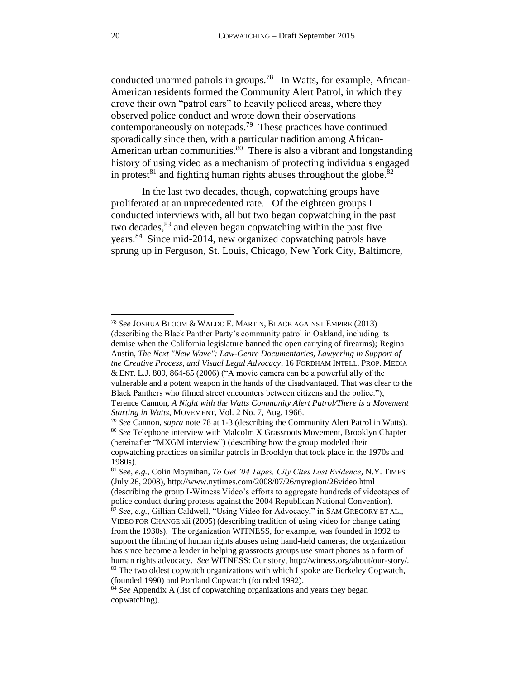<span id="page-19-1"></span><span id="page-19-0"></span>conducted unarmed patrols in groups.<sup>78</sup> In Watts, for example, African-American residents formed the Community Alert Patrol, in which they drove their own "patrol cars" to heavily policed areas, where they observed police conduct and wrote down their observations contemporaneously on notepads.<sup>79</sup> These practices have continued sporadically since then, with a particular tradition among African-American urban communities.<sup>80</sup> There is also a vibrant and longstanding history of using video as a mechanism of protecting individuals engaged in protest<sup>81</sup> and fighting human rights abuses throughout the globe.<sup>82</sup>

In the last two decades, though, copwatching groups have proliferated at an unprecedented rate. Of the eighteen groups I conducted interviews with, all but two began copwatching in the past two decades,<sup>83</sup> and eleven began copwatching within the past five years.<sup>84</sup> Since mid-2014, new organized copwatching patrols have sprung up in Ferguson, St. Louis, Chicago, New York City, Baltimore,

<sup>78</sup> *See* JOSHUA BLOOM & WALDO E. MARTIN, BLACK AGAINST EMPIRE (2013) (describing the Black Panther Party's community patrol in Oakland, including its demise when the California legislature banned the open carrying of firearms); Regina Austin*, The Next "New Wave": Law-Genre Documentaries, Lawyering in Support of the Creative Process, and Visual Legal Advocacy*, 16 FORDHAM INTELL. PROP. MEDIA & ENT. L.J. 809, 864-65 (2006) ("A movie camera can be a powerful ally of the vulnerable and a potent weapon in the hands of the disadvantaged. That was clear to the Black Panthers who filmed street encounters between citizens and the police."); Terence Cannon, *A Night with the Watts Community Alert Patrol/There is a Movement Starting in Watts*, MOVEMENT, Vol. 2 No. 7, Aug. 1966.

<sup>79</sup> *See* Cannon, *supra* note [78](#page-19-0) at 1-3 (describing the Community Alert Patrol in Watts). <sup>80</sup> *See* Telephone interview with Malcolm X Grassroots Movement, Brooklyn Chapter (hereinafter "MXGM interview") (describing how the group modeled their copwatching practices on similar patrols in Brooklyn that took place in the 1970s and 1980s).

<sup>81</sup> *See, e.g.,* Colin Moynihan, *To Get '04 Tapes, City Cites Lost Evidence*, N.Y. TIMES (July 26, 2008), http://www.nytimes.com/2008/07/26/nyregion/26video.html (describing the group I-Witness Video's efforts to aggregate hundreds of videotapes of police conduct during protests against the 2004 Republican National Convention). <sup>82</sup> *See, e.g.,* Gillian Caldwell, "Using Video for Advocacy," in SAM GREGORY ET AL., VIDEO FOR CHANGE xii (2005) (describing tradition of using video for change dating from the 1930s). The organization WITNESS, for example, was founded in 1992 to support the filming of human rights abuses using hand-held cameras; the organization has since become a leader in helping grassroots groups use smart phones as a form of human rights advocacy. *See* WITNESS: Our story, http://witness.org/about/our-story/. <sup>83</sup> The two oldest copwatch organizations with which I spoke are Berkeley Copwatch, (founded 1990) and Portland Copwatch (founded 1992).

<sup>84</sup> *See* Appendix A (list of copwatching organizations and years they began copwatching).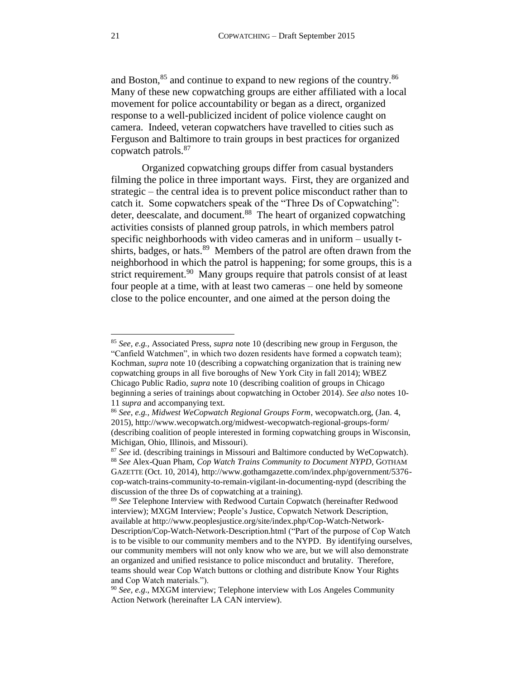and Boston,<sup>85</sup> and continue to expand to new regions of the country.<sup>86</sup> Many of these new copwatching groups are either affiliated with a local movement for police accountability or began as a direct, organized response to a well-publicized incident of police violence caught on camera. Indeed, veteran copwatchers have travelled to cities such as Ferguson and Baltimore to train groups in best practices for organized copwatch patrols.<sup>87</sup>

Organized copwatching groups differ from casual bystanders filming the police in three important ways. First, they are organized and strategic – the central idea is to prevent police misconduct rather than to catch it. Some copwatchers speak of the "Three Ds of Copwatching": deter, deescalate, and document.<sup>88</sup> The heart of organized copwatching activities consists of planned group patrols, in which members patrol specific neighborhoods with video cameras and in uniform – usually tshirts, badges, or hats.<sup>89</sup> Members of the patrol are often drawn from the neighborhood in which the patrol is happening; for some groups, this is a strict requirement.<sup>90</sup> Many groups require that patrols consist of at least four people at a time, with at least two cameras *–* one held by someone close to the police encounter, and one aimed at the person doing the

<sup>85</sup> *See, e.g.,* Associated Press, *supra* note [10](#page-3-0) (describing new group in Ferguson, the "Canfield Watchmen", in which two dozen residents have formed a copwatch team); Kochman, *supra* note [10](#page-3-0) (describing a copwatching organization that is training new copwatching groups in all five boroughs of New York City in fall 2014); WBEZ Chicago Public Radio, *supra* note [10](#page-3-0) (describing coalition of groups in Chicago beginning a series of trainings about copwatching in October 2014). *See also* note[s 10-](#page-3-1) [11](#page-3-2) *supra* and accompanying text.

<sup>86</sup> *See, e.g., Midwest WeCopwatch Regional Groups Form*, wecopwatch.org, (Jan. 4, 2015), http://www.wecopwatch.org/midwest-wecopwatch-regional-groups-form/ (describing coalition of people interested in forming copwatching groups in Wisconsin, Michigan, Ohio, Illinois, and Missouri).

<sup>87</sup> *See* id. (describing trainings in Missouri and Baltimore conducted by WeCopwatch). <sup>88</sup> *See* Alex-Quan Pham, *Cop Watch Trains Community to Document NYPD*, GOTHAM GAZETTE (Oct. 10, 2014), http://www.gothamgazette.com/index.php/government/5376 cop-watch-trains-community-to-remain-vigilant-in-documenting-nypd (describing the discussion of the three Ds of copwatching at a training).

<sup>89</sup> *See* Telephone Interview with Redwood Curtain Copwatch (hereinafter Redwood interview); MXGM Interview; People's Justice, Copwatch Network Description, available at http://www.peoplesjustice.org/site/index.php/Cop-Watch-Network-Description/Cop-Watch-Network-Description.html ("Part of the purpose of Cop Watch is to be visible to our community members and to the NYPD. By identifying ourselves, our community members will not only know who we are, but we will also demonstrate an organized and unified resistance to police misconduct and brutality. Therefore, teams should wear Cop Watch buttons or clothing and distribute Know Your Rights and Cop Watch materials.").

<sup>90</sup> *See, e.g*., MXGM interview; Telephone interview with Los Angeles Community Action Network (hereinafter LA CAN interview).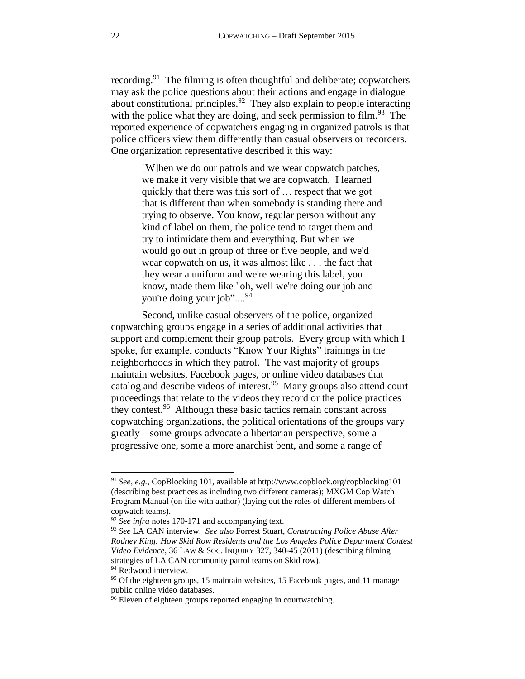recording.<sup>91</sup> The filming is often thoughtful and deliberate; copwatchers may ask the police questions about their actions and engage in dialogue about constitutional principles.<sup>92</sup> They also explain to people interacting with the police what they are doing, and seek permission to film.<sup>93</sup> The reported experience of copwatchers engaging in organized patrols is that police officers view them differently than casual observers or recorders. One organization representative described it this way:

> <span id="page-21-0"></span>[W]hen we do our patrols and we wear copwatch patches, we make it very visible that we are copwatch. I learned quickly that there was this sort of … respect that we got that is different than when somebody is standing there and trying to observe. You know, regular person without any kind of label on them, the police tend to target them and try to intimidate them and everything. But when we would go out in group of three or five people, and we'd wear copwatch on us, it was almost like . . . the fact that they wear a uniform and we're wearing this label, you know, made them like "oh, well we're doing our job and you're doing your job"....<sup>94</sup>

Second, unlike casual observers of the police, organized copwatching groups engage in a series of additional activities that support and complement their group patrols. Every group with which I spoke, for example, conducts "Know Your Rights" trainings in the neighborhoods in which they patrol. The vast majority of groups maintain websites, Facebook pages, or online video databases that catalog and describe videos of interest.<sup>95</sup> Many groups also attend court proceedings that relate to the videos they record or the police practices they contest.<sup>96</sup> Although these basic tactics remain constant across copwatching organizations, the political orientations of the groups vary greatly – some groups advocate a libertarian perspective, some a progressive one, some a more anarchist bent, and some a range of

<sup>91</sup> *See, e.g.,* CopBlocking 101, available at http://www.copblock.org/copblocking101 (describing best practices as including two different cameras); MXGM Cop Watch Program Manual (on file with author) (laying out the roles of different members of copwatch teams).

<sup>92</sup> *See infra* note[s 170-](#page-35-0)[171](#page-35-1) and accompanying text.

<sup>93</sup> *See* LA CAN interview. *See also* Forrest Stuart, *Constructing Police Abuse After Rodney King: How Skid Row Residents and the Los Angeles Police Department Contest Video Evidence*, 36 LAW & SOC. INQUIRY 327, 340-45 (2011) (describing filming strategies of LA CAN community patrol teams on Skid row).

<sup>&</sup>lt;sup>94</sup> Redwood interview.

<sup>&</sup>lt;sup>95</sup> Of the eighteen groups, 15 maintain websites, 15 Facebook pages, and 11 manage public online video databases.

<sup>&</sup>lt;sup>96</sup> Eleven of eighteen groups reported engaging in courtwatching.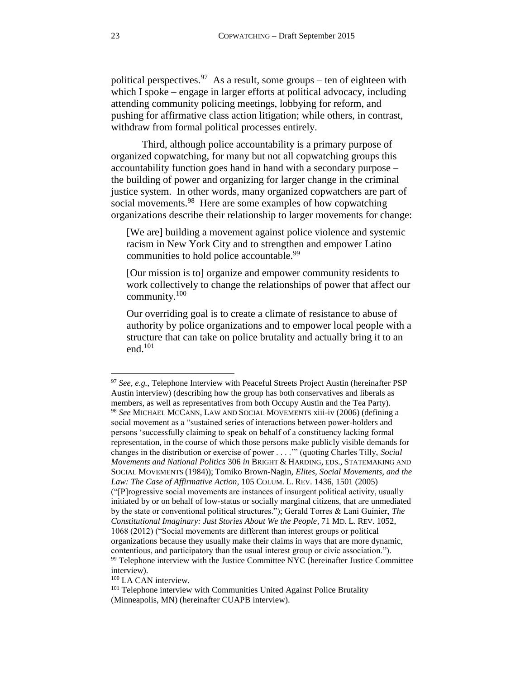political perspectives.<sup>97</sup> As a result, some groups – ten of eighteen with which I spoke – engage in larger efforts at political advocacy, including attending community policing meetings, lobbying for reform, and pushing for affirmative class action litigation; while others, in contrast, withdraw from formal political processes entirely.

Third, although police accountability is a primary purpose of organized copwatching, for many but not all copwatching groups this accountability function goes hand in hand with a secondary purpose – the building of power and organizing for larger change in the criminal justice system. In other words, many organized copwatchers are part of social movements.<sup>98</sup> Here are some examples of how copwatching organizations describe their relationship to larger movements for change:

[We are] building a movement against police violence and systemic racism in New York City and to strengthen and empower Latino communities to hold police accountable.<sup>99</sup>

[Our mission is to] organize and empower community residents to work collectively to change the relationships of power that affect our community.<sup>100</sup>

Our overriding goal is to create a climate of resistance to abuse of authority by police organizations and to empower local people with a structure that can take on police brutality and actually bring it to an end.<sup>101</sup>

<sup>100</sup> LA CAN interview.

<sup>97</sup> *See, e.g.,* Telephone Interview with Peaceful Streets Project Austin (hereinafter PSP Austin interview) (describing how the group has both conservatives and liberals as members, as well as representatives from both Occupy Austin and the Tea Party). <sup>98</sup> *See* MICHAEL MCCANN, LAW AND SOCIAL MOVEMENTS xiii-iv (2006) (defining a social movement as a "sustained series of interactions between power-holders and persons 'successfully claiming to speak on behalf of a constituency lacking formal representation, in the course of which those persons make publicly visible demands for changes in the distribution or exercise of power . . . .'" (quoting Charles Tilly, *Social Movements and National Politics* 306 *in* BRIGHT & HARDING, EDS., STATEMAKING AND SOCIAL MOVEMENTS (1984)); Tomiko Brown-Nagin, *Elites, Social Movements, and the Law: The Case of Affirmative Action*, 105 COLUM. L. REV. 1436, 1501 (2005) ("[P]rogressive social movements are instances of insurgent political activity, usually initiated by or on behalf of low-status or socially marginal citizens, that are unmediated by the state or conventional political structures."); Gerald Torres & Lani Guinier, *The Constitutional Imaginary: Just Stories About We the People*, 71 MD. L. REV. 1052, 1068 (2012) ("Social movements are different than interest groups or political organizations because they usually make their claims in ways that are more dynamic, contentious, and participatory than the usual interest group or civic association."). <sup>99</sup> Telephone interview with the Justice Committee NYC (hereinafter Justice Committee interview).

<sup>&</sup>lt;sup>101</sup> Telephone interview with Communities United Against Police Brutality (Minneapolis, MN) (hereinafter CUAPB interview).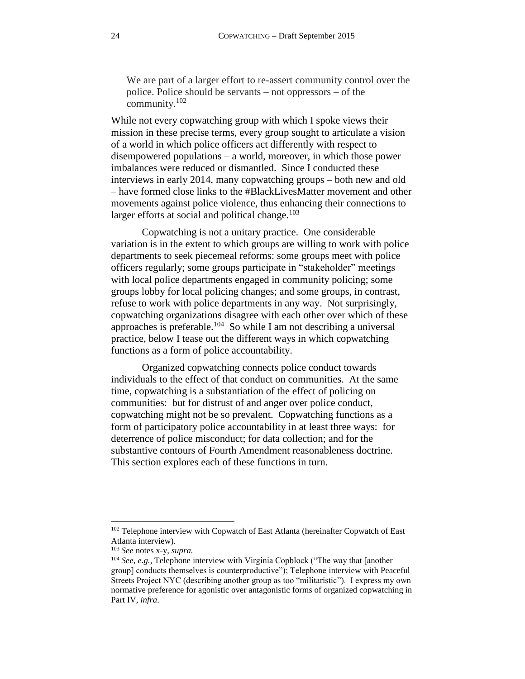We are part of a larger effort to re-assert community control over the police. Police should be servants – not oppressors – of the community.<sup>102</sup>

While not every copwatching group with which I spoke views their mission in these precise terms, every group sought to articulate a vision of a world in which police officers act differently with respect to disempowered populations – a world, moreover, in which those power imbalances were reduced or dismantled. Since I conducted these interviews in early 2014, many copwatching groups – both new and old – have formed close links to the #BlackLivesMatter movement and other movements against police violence, thus enhancing their connections to larger efforts at social and political change.<sup>103</sup>

Copwatching is not a unitary practice. One considerable variation is in the extent to which groups are willing to work with police departments to seek piecemeal reforms: some groups meet with police officers regularly; some groups participate in "stakeholder" meetings with local police departments engaged in community policing; some groups lobby for local policing changes; and some groups, in contrast, refuse to work with police departments in any way. Not surprisingly, copwatching organizations disagree with each other over which of these approaches is preferable. 104 So while I am not describing a universal practice, below I tease out the different ways in which copwatching functions as a form of police accountability.

Organized copwatching connects police conduct towards individuals to the effect of that conduct on communities. At the same time, copwatching is a substantiation of the effect of policing on communities: but for distrust of and anger over police conduct, copwatching might not be so prevalent. Copwatching functions as a form of participatory police accountability in at least three ways: for deterrence of police misconduct; for data collection; and for the substantive contours of Fourth Amendment reasonableness doctrine. This section explores each of these functions in turn.

<sup>&</sup>lt;sup>102</sup> Telephone interview with Copwatch of East Atlanta (hereinafter Copwatch of East Atlanta interview).

<sup>103</sup> *See* notes x-y, *supra.*

<sup>104</sup> *See, e.g.,* Telephone interview with Virginia Copblock ("The way that [another group] conducts themselves is counterproductive"); Telephone interview with Peaceful Streets Project NYC (describing another group as too "militaristic"). I express my own normative preference for agonistic over antagonistic forms of organized copwatching in Part IV, *infra*.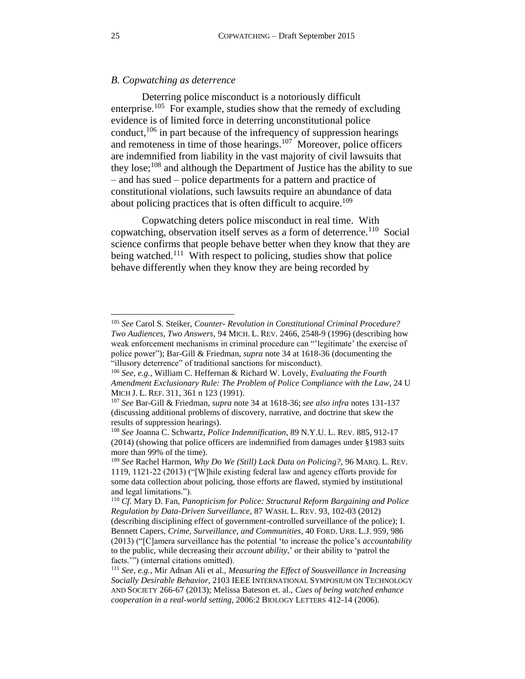# <span id="page-24-0"></span>*B. Copwatching as deterrence*

Deterring police misconduct is a notoriously difficult enterprise.<sup>105</sup> For example, studies show that the remedy of excluding evidence is of limited force in deterring unconstitutional police conduct,  $106$  in part because of the infrequency of suppression hearings and remoteness in time of those hearings.<sup>107</sup> Moreover, police officers are indemnified from liability in the vast majority of civil lawsuits that they lose;<sup>108</sup> and although the Department of Justice has the ability to sue – and has sued – police departments for a pattern and practice of constitutional violations, such lawsuits require an abundance of data about policing practices that is often difficult to acquire.<sup>109</sup>

<span id="page-24-2"></span><span id="page-24-1"></span>Copwatching deters police misconduct in real time. With copwatching, observation itself serves as a form of deterrence.<sup>110</sup> Social science confirms that people behave better when they know that they are being watched.<sup>111</sup> With respect to policing, studies show that police behave differently when they know they are being recorded by

<sup>105</sup> *See* Carol S. Steiker, *Counter- Revolution in Constitutional Criminal Procedure? Two Audiences, Two Answers*, 94 MICH. L. REV. 2466, 2548-9 (1996) (describing how weak enforcement mechanisms in criminal procedure can "'legitimate' the exercise of police power"); Bar-Gill & Friedman, *supra* note [34](#page-9-1) at 1618-36 (documenting the "illusory deterrence" of traditional sanctions for misconduct).

<sup>106</sup> *See, e.g.,* William C. Heffernan & Richard W. Lovely, *Evaluating the Fourth Amendment Exclusionary Rule: The Problem of Police Compliance with the Law*, 24 U MICH J. L. REF. 311, 361 n 123 (1991).

<sup>107</sup> *See* Bar-Gill & Friedman, *supra* not[e 34](#page-9-1) at 1618-36; *see also infra* notes [131](#page-29-1)[-137](#page-29-2) (discussing additional problems of discovery, narrative, and doctrine that skew the results of suppression hearings).

<sup>108</sup> *See* Joanna C. Schwartz, *Police Indemnification*, 89 N.Y.U. L. REV. 885, 912-17 (2014) (showing that police officers are indemnified from damages under §1983 suits more than 99% of the time).

<sup>109</sup> *See* Rachel Harmon, *Why Do We (Still) Lack Data on Policing?,* 96 MARQ. L. REV. 1119, 1121-22 (2013) ("[W]hile existing federal law and agency efforts provide for some data collection about policing, those efforts are flawed, stymied by institutional and legal limitations.").

<sup>110</sup> *Cf.* Mary D. Fan, *Panopticism for Police: Structural Reform Bargaining and Police Regulation by Data-Driven Surveillance*, 87 WASH. L. REV. 93, 102-03 (2012) (describing disciplining effect of government-controlled surveillance of the police); I. Bennett Capers, *Crime, Surveillance, and Communities*, 40 FORD. URB. L.J. 959, 986 (2013) ("[C]amera surveillance has the potential 'to increase the police's *accountability*  to the public, while decreasing their *account ability*,' or their ability to 'patrol the facts.'") (internal citations omitted).

<sup>111</sup> *See, e.g.,* Mir Adnan Ali et al., *Measuring the Effect of Sousveillance in Increasing Socially Desirable Behavior*, 2103 IEEE INTERNATIONAL SYMPOSIUM ON TECHNOLOGY AND SOCIETY 266-67 (2013); Melissa Bateson et. al., *Cues of being watched enhance cooperation in a real-world setting*, 2006:2 BIOLOGY LETTERS 412-14 (2006).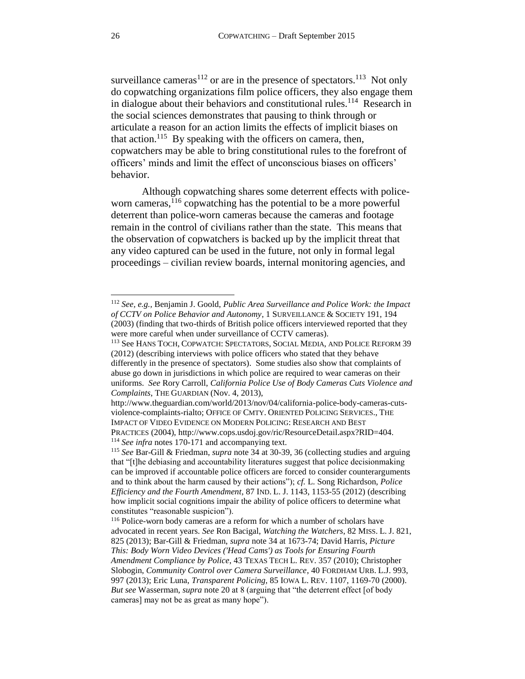<span id="page-25-0"></span>surveillance cameras<sup>112</sup> or are in the presence of spectators.<sup>113</sup> Not only do copwatching organizations film police officers, they also engage them in dialogue about their behaviors and constitutional rules.<sup>114</sup> Research in the social sciences demonstrates that pausing to think through or articulate a reason for an action limits the effects of implicit biases on that action.<sup>115</sup> By speaking with the officers on camera, then, copwatchers may be able to bring constitutional rules to the forefront of officers' minds and limit the effect of unconscious biases on officers' behavior.

<span id="page-25-1"></span>Although copwatching shares some deterrent effects with policeworn cameras,  $116$  copwatching has the potential to be a more powerful deterrent than police-worn cameras because the cameras and footage remain in the control of civilians rather than the state. This means that the observation of copwatchers is backed up by the implicit threat that any video captured can be used in the future, not only in formal legal proceedings – civilian review boards, internal monitoring agencies, and

<sup>112</sup> *See, e.g.,* Benjamin J. Goold, *Public Area Surveillance and Police Work: the Impact of CCTV on Police Behavior and Autonomy*, 1 SURVEILLANCE & SOCIETY 191, 194 (2003) (finding that two-thirds of British police officers interviewed reported that they were more careful when under surveillance of CCTV cameras).

<sup>113</sup> See HANS TOCH, COPWATCH: SPECTATORS, SOCIAL MEDIA, AND POLICE REFORM 39 (2012) (describing interviews with police officers who stated that they behave differently in the presence of spectators). Some studies also show that complaints of abuse go down in jurisdictions in which police are required to wear cameras on their uniforms. *See* Rory Carroll, *California Police Use of Body Cameras Cuts Violence and Complaints*, THE GUARDIAN (Nov. 4, 2013),

http://www.theguardian.com/world/2013/nov/04/california-police-body-cameras-cutsviolence-complaints-rialto; OFFICE OF CMTY. ORIENTED POLICING SERVICES., THE IMPACT OF VIDEO EVIDENCE ON MODERN POLICING: RESEARCH AND BEST PRACTICES (2004), http://www.cops.usdoj.gov/ric/ResourceDetail.aspx?RID=404. <sup>114</sup> *See infra* notes [170](#page-35-0)[-171](#page-35-1) and accompanying text.

<sup>115</sup> *See* Bar-Gill & Friedman, *supra* not[e 34](#page-9-1) at 30-39, 36 (collecting studies and arguing that "[t]he debiasing and accountability literatures suggest that police decisionmaking can be improved if accountable police officers are forced to consider counterarguments and to think about the harm caused by their actions"); *cf.* L. Song Richardson, *Police Efficiency and the Fourth Amendment*, 87 IND. L. J. 1143, 1153-55 (2012) (describing how implicit social cognitions impair the ability of police officers to determine what constitutes "reasonable suspicion").

<sup>116</sup> Police-worn body cameras are a reform for which a number of scholars have advocated in recent years. *See* Ron Bacigal, *Watching the Watchers*, 82 MISS. L. J. 821, 825 (2013); Bar-Gill & Friedman, *supra* note [34](#page-9-1) at 1673-74; David Harris*, Picture This: Body Worn Video Devices ('Head Cams') as Tools for Ensuring Fourth Amendment Compliance by Police*, 43 TEXAS TECH L. REV. 357 (2010); Christopher Slobogin, *Community Control over Camera Surveillance*, 40 FORDHAM URB. L.J. 993, 997 (2013); Eric Luna, *Transparent Policing,* 85 IOWA L. REV. 1107, 1169-70 (2000). *But see* Wasserman, *supra* note [20](#page-5-0) at 8 (arguing that "the deterrent effect [of body cameras] may not be as great as many hope").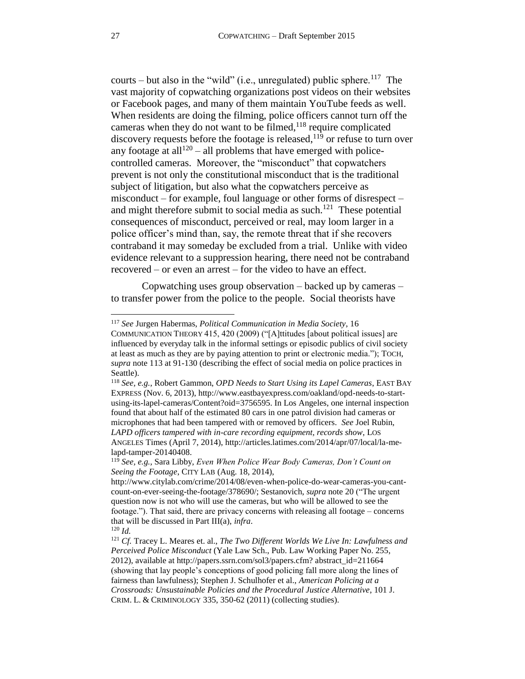courts – but also in the "wild" (i.e., unregulated) public sphere.<sup>117</sup> The vast majority of copwatching organizations post videos on their websites or Facebook pages, and many of them maintain YouTube feeds as well. When residents are doing the filming, police officers cannot turn off the cameras when they do not want to be filmed, $118$  require complicated discovery requests before the footage is released, <sup>119</sup> or refuse to turn over any footage at all $1^{120}$  – all problems that have emerged with policecontrolled cameras. Moreover, the "misconduct" that copwatchers prevent is not only the constitutional misconduct that is the traditional subject of litigation, but also what the copwatchers perceive as misconduct – for example, foul language or other forms of disrespect – and might therefore submit to social media as such.<sup>121</sup> These potential consequences of misconduct, perceived or real, may loom larger in a police officer's mind than, say, the remote threat that if she recovers contraband it may someday be excluded from a trial. Unlike with video evidence relevant to a suppression hearing, there need not be contraband recovered – or even an arrest – for the video to have an effect.

<span id="page-26-0"></span>Copwatching uses group observation – backed up by cameras – to transfer power from the police to the people. Social theorists have

<sup>117</sup> *See* Jurgen Habermas, *Political Communication in Media Society*, 16

COMMUNICATION THEORY 415, 420 (2009) ("[A]ttitudes [about political issues] are influenced by everyday talk in the informal settings or episodic publics of civil society at least as much as they are by paying attention to print or electronic media."); TOCH, *supra* not[e 113](#page-25-0) at 91-130 (describing the effect of social media on police practices in Seattle).

<sup>118</sup> *See, e.g.,* Robert Gammon, *OPD Needs to Start Using its Lapel Cameras*, EAST BAY EXPRESS (Nov. 6, 2013), http://www.eastbayexpress.com/oakland/opd-needs-to-startusing-its-lapel-cameras/Content?oid=3756595. In Los Angeles, one internal inspection found that about half of the estimated 80 cars in one patrol division had cameras or microphones that had been tampered with or removed by officers. *See* Joel Rubin, *LAPD officers tampered with in-care recording equipment, records show*, LOS ANGELES Times (April 7, 2014), http://articles.latimes.com/2014/apr/07/local/la-melapd-tamper-20140408.

<sup>119</sup> *See, e.g.,* Sara Libby, *Even When Police Wear Body Cameras, Don't Count on Seeing the Footage*, CITY LAB (Aug. 18, 2014),

http://www.citylab.com/crime/2014/08/even-when-police-do-wear-cameras-you-cantcount-on-ever-seeing-the-footage/378690/; Sestanovich, *supra* not[e 20](#page-5-0) ("The urgent question now is not who will use the cameras, but who will be allowed to see the footage."). That said, there are privacy concerns with releasing all footage – concerns that will be discussed in Part III(a), *infra*.

<sup>120</sup> *Id.* 

<sup>121</sup> *Cf.* Tracey L. Meares et. al., *The Two Different Worlds We Live In: Lawfulness and Perceived Police Misconduct* (Yale Law Sch., Pub. Law Working Paper No. 255, 2012), available at http://papers.ssrn.com/sol3/papers.cfm? abstract\_id=211664 (showing that lay people's conceptions of good policing fall more along the lines of fairness than lawfulness); Stephen J. Schulhofer et al., *American Policing at a Crossroads: Unsustainable Policies and the Procedural Justice Alternative*, 101 J. CRIM. L. & CRIMINOLOGY 335, 350-62 (2011) (collecting studies).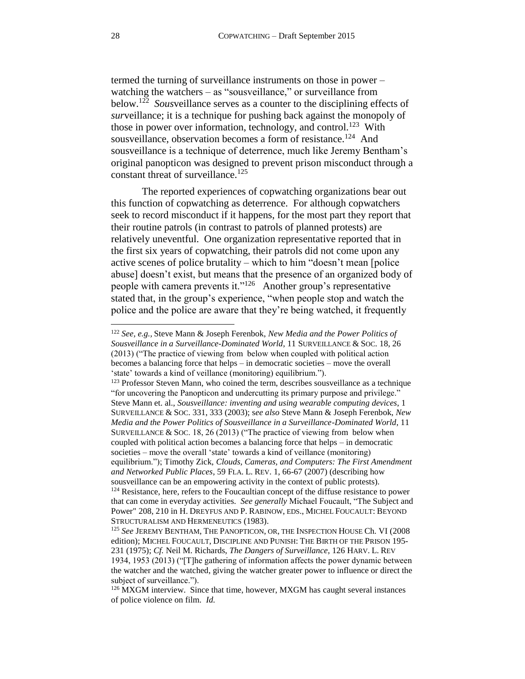<span id="page-27-0"></span>termed the turning of surveillance instruments on those in power – watching the watchers – as "sousveillance," or surveillance from below.<sup>122</sup> *Sous*veillance serves as a counter to the disciplining effects of *sur*veillance; it is a technique for pushing back against the monopoly of those in power over information, technology, and control.<sup>123</sup> With sousveillance, observation becomes a form of resistance.<sup>124</sup> And sousveillance is a technique of deterrence, much like Jeremy Bentham's original panopticon was designed to prevent prison misconduct through a constant threat of surveillance.<sup>125</sup>

<span id="page-27-1"></span>The reported experiences of copwatching organizations bear out this function of copwatching as deterrence. For although copwatchers seek to record misconduct if it happens, for the most part they report that their routine patrols (in contrast to patrols of planned protests) are relatively uneventful. One organization representative reported that in the first six years of copwatching, their patrols did not come upon any active scenes of police brutality – which to him "doesn't mean [police abuse] doesn't exist, but means that the presence of an organized body of people with camera prevents it."<sup>126</sup> Another group's representative stated that, in the group's experience, "when people stop and watch the police and the police are aware that they're being watched, it frequently

<sup>122</sup> *See, e.g.,* Steve Mann & Joseph Ferenbok, *New Media and the Power Politics of Sousveillance in a Surveillance-Dominated World*, 11 SURVEILLANCE & SOC. 18, 26 (2013) ("The practice of viewing from below when coupled with political action becomes a balancing force that helps – in democratic societies – move the overall 'state' towards a kind of veillance (monitoring) equilibrium.").

<sup>&</sup>lt;sup>123</sup> Professor Steven Mann, who coined the term, describes sousveillance as a technique "for uncovering the Panopticon and undercutting its primary purpose and privilege." Steve Mann et. al., *Sousveillance: inventing and using wearable computing devices*, 1 SURVEILLANCE & SOC. 331, 333 (2003); s*ee also* Steve Mann & Joseph Ferenbok, *New Media and the Power Politics of Sousveillance in a Surveillance-Dominated World*, 11 SURVEILLANCE & SOC. 18, 26 (2013) ("The practice of viewing from below when coupled with political action becomes a balancing force that helps – in democratic societies – move the overall 'state' towards a kind of veillance (monitoring) equilibrium."); Timothy Zick, *Clouds, Cameras, and Computers: The First Amendment and Networked Public Places*, 59 FLA. L. REV. 1, 66-67 (2007) (describing how sousveillance can be an empowering activity in the context of public protests). <sup>124</sup> Resistance, here, refers to the Foucaultian concept of the diffuse resistance to power that can come in everyday activities. *See generally* Michael Foucault, ["The Subject and](http://foucault.info/documents/foucault.power.en.html)  [Power"](http://foucault.info/documents/foucault.power.en.html) 208, 210 in H. D[REYFUS](http://foucault.info/documents?f%5Bauthor%5D=23050) AND P. R[ABINOW](http://foucault.info/documents?f%5Bauthor%5D=23051), EDS., MICHEL FOUCAULT: BEYOND STRUCTURALISM AND HERMENEUTICS (1983).

<sup>125</sup> *See* JEREMY BENTHAM, THE PANOPTICON, OR, THE INSPECTION HOUSE Ch. VI (2008 edition); MICHEL FOUCAULT, DISCIPLINE AND PUNISH: THE BIRTH OF THE PRISON 195- 231 (1975); *Cf.* Neil M. Richards, *The Dangers of Surveillance*, 126 HARV. L. REV 1934, 1953 (2013) ("[T]he gathering of information affects the power dynamic between the watcher and the watched, giving the watcher greater power to influence or direct the subject of surveillance.").

<sup>&</sup>lt;sup>126</sup> MXGM interview. Since that time, however, MXGM has caught several instances of police violence on film. *Id.*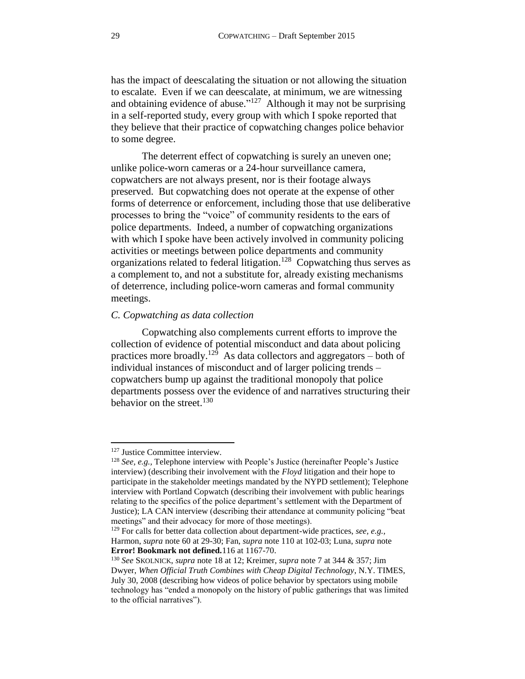has the impact of deescalating the situation or not allowing the situation to escalate. Even if we can deescalate, at minimum, we are witnessing and obtaining evidence of abuse." $127$  Although it may not be surprising in a self-reported study, every group with which I spoke reported that they believe that their practice of copwatching changes police behavior to some degree.

The deterrent effect of copwatching is surely an uneven one; unlike police-worn cameras or a 24-hour surveillance camera, copwatchers are not always present, nor is their footage always preserved. But copwatching does not operate at the expense of other forms of deterrence or enforcement, including those that use deliberative processes to bring the "voice" of community residents to the ears of police departments. Indeed, a number of copwatching organizations with which I spoke have been actively involved in community policing activities or meetings between police departments and community organizations related to federal litigation.<sup>128</sup> Copwatching thus serves as a complement to, and not a substitute for, already existing mechanisms of deterrence, including police-worn cameras and formal community meetings.

### <span id="page-28-2"></span><span id="page-28-0"></span>*C. Copwatching as data collection*

Copwatching also complements current efforts to improve the collection of evidence of potential misconduct and data about policing practices more broadly.<sup>129</sup> As data collectors and aggregators – both of individual instances of misconduct and of larger policing trends – copwatchers bump up against the traditional monopoly that police departments possess over the evidence of and narratives structuring their behavior on the street. $130$ 

<span id="page-28-1"></span><sup>&</sup>lt;sup>127</sup> Justice Committee interview.

<sup>128</sup> *See, e.g.,* Telephone interview with People's Justice (hereinafter People's Justice interview) (describing their involvement with the *Floyd* litigation and their hope to participate in the stakeholder meetings mandated by the NYPD settlement); Telephone interview with Portland Copwatch (describing their involvement with public hearings relating to the specifics of the police department's settlement with the Department of Justice); LA CAN interview (describing their attendance at community policing "beat meetings" and their advocacy for more of those meetings).

<sup>129</sup> For calls for better data collection about department-wide practices, *see, e.g.,*  Harmon, *supra* note [60](#page-14-1) at 29-30; Fan, *supra* note [110](#page-24-1) at 102-03; Luna, *supra* note **Error! Bookmark not defined.**[116](#page-25-1) at 1167-70.

<sup>130</sup> *See* SKOLNICK, *supra* note [18](#page-4-0) at 12; Kreimer, *supra* not[e 7](#page-2-0) at 344 & 357; Jim Dwyer, *When Official Truth Combines with Cheap Digital Technology*, N.Y. TIMES, July 30, 2008 (describing how videos of police behavior by spectators using mobile technology has "ended a monopoly on the history of public gatherings that was limited to the official narratives").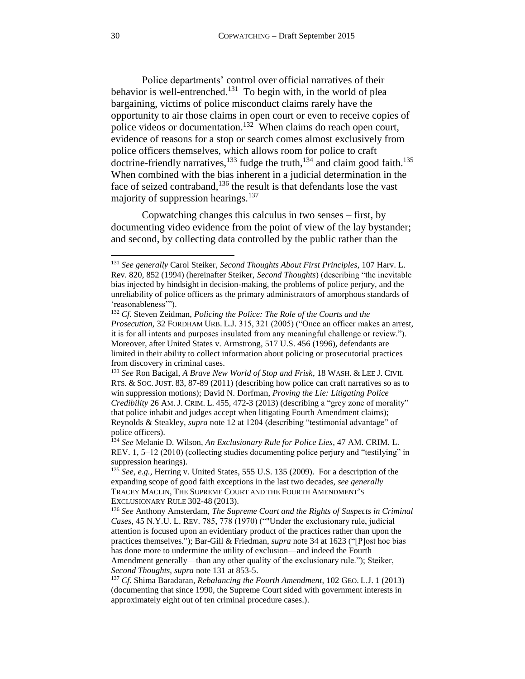<span id="page-29-1"></span>Police departments' control over official narratives of their behavior is well-entrenched.<sup>131</sup> To begin with, in the world of plea bargaining, victims of police misconduct claims rarely have the opportunity to air those claims in open court or even to receive copies of police videos or documentation.<sup>132</sup> When claims do reach open court, evidence of reasons for a stop or search comes almost exclusively from police officers themselves, which allows room for police to craft doctrine-friendly narratives,<sup>133</sup> fudge the truth,<sup>134</sup> and claim good faith.<sup>135</sup> When combined with the bias inherent in a judicial determination in the face of seized contraband,<sup>136</sup> the result is that defendants lose the vast majority of suppression hearings. $137$ 

<span id="page-29-3"></span><span id="page-29-2"></span><span id="page-29-0"></span>Copwatching changes this calculus in two senses – first, by documenting video evidence from the point of view of the lay bystander; and second, by collecting data controlled by the public rather than the

<sup>131</sup> *See generally* Carol Steiker, *Second Thoughts About First Principles*, 107 Harv. L. Rev. 820, 852 (1994) (hereinafter Steiker, *Second Thoughts*) (describing "the inevitable bias injected by hindsight in decision-making, the problems of police perjury, and the unreliability of police officers as the primary administrators of amorphous standards of 'reasonableness'").

<sup>132</sup> *Cf.* Steven Zeidman, *Policing the Police: The Role of the Courts and the Prosecution,* 32 FORDHAM URB. L.J. 315, 321 (2005) ("Once an officer makes an arrest, it is for all intents and purposes insulated from any meaningful challenge or review."). Moreover, after United States v. Armstrong, 517 U.S. 456 (1996), defendants are limited in their ability to collect information about policing or prosecutorial practices from discovery in criminal cases.

<sup>133</sup> *See* Ron Bacigal, *A Brave New World of Stop and Frisk*, 18 WASH. & LEE J. CIVIL RTS. & SOC. JUST. 83, 87-89 (2011) (describing how police can craft narratives so as to win suppression motions); David N. Dorfman, *Proving the Lie: Litigating Police Credibility* 26 AM. J. CRIM. L. 455, 472-3 (2013) (describing a "grey zone of morality" that police inhabit and judges accept when litigating Fourth Amendment claims); Reynolds & Steakley, *supra* not[e 12](#page-3-3) at 1204 (describing "testimonial advantage" of police officers).

<sup>134</sup> *See* Melanie D. Wilson, *An Exclusionary Rule for Police Lies*, 47 AM. CRIM. L. REV. 1, 5–12 (2010) (collecting studies documenting police perjury and "testilying" in suppression hearings).

<sup>135</sup> *See, e.g.,* Herring v. United States, 555 U.S. 135 (2009). For a description of the expanding scope of good faith exceptions in the last two decades, *see generally* TRACEY MACLIN, THE SUPREME COURT AND THE FOURTH AMENDMENT'S EXCLUSIONARY RULE 302-48 (2013).

<sup>136</sup> *See* Anthony Amsterdam, *The Supreme Court and the Rights of Suspects in Criminal Cases*, 45 N.Y.U. L. REV. 785, 778 (1970) (""Under the exclusionary rule, judicial attention is focused upon an evidentiary product of the practices rather than upon the practices themselves."); Bar-Gill & Friedman, *supra* not[e 34](#page-9-1) at 1623 ("[P]ost hoc bias has done more to undermine the utility of exclusion—and indeed the Fourth Amendment generally—than any other quality of the exclusionary rule."); Steiker, *Second Thoughts*, *supra* note [131](#page-29-1) at 853-5.

<sup>137</sup> *Cf.* Shima Baradaran, *Rebalancing the Fourth Amendment*, 102 GEO. L.J. 1 (2013) (documenting that since 1990, the Supreme Court sided with government interests in approximately eight out of ten criminal procedure cases.).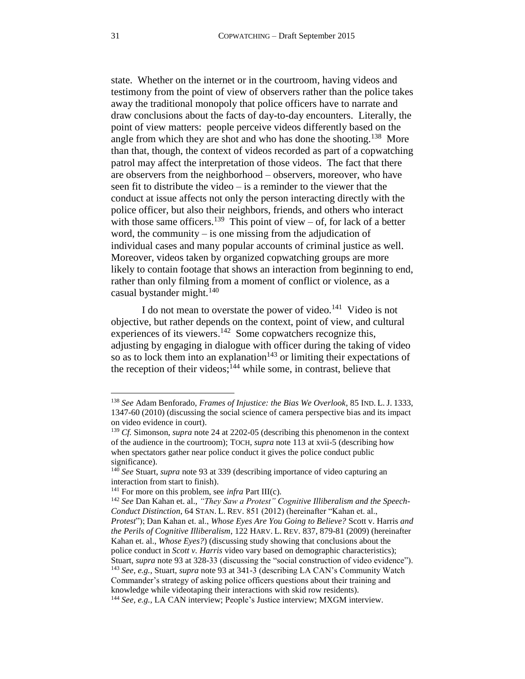<span id="page-30-1"></span>state. Whether on the internet or in the courtroom, having videos and testimony from the point of view of observers rather than the police takes away the traditional monopoly that police officers have to narrate and draw conclusions about the facts of day-to-day encounters. Literally, the point of view matters: people perceive videos differently based on the angle from which they are shot and who has done the shooting.<sup>138</sup> More than that, though, the context of videos recorded as part of a copwatching patrol may affect the interpretation of those videos. The fact that there are observers from the neighborhood – observers, moreover, who have seen fit to distribute the video – is a reminder to the viewer that the conduct at issue affects not only the person interacting directly with the police officer, but also their neighbors, friends, and others who interact with those same officers.<sup>139</sup> This point of view – of, for lack of a better word, the community – is one missing from the adjudication of individual cases and many popular accounts of criminal justice as well. Moreover, videos taken by organized copwatching groups are more likely to contain footage that shows an interaction from beginning to end, rather than only filming from a moment of conflict or violence, as a casual bystander might. $140$ 

<span id="page-30-0"></span>I do not mean to overstate the power of video.<sup>141</sup> Video is not objective, but rather depends on the context, point of view, and cultural experiences of its viewers.<sup>142</sup> Some copwatchers recognize this, adjusting by engaging in dialogue with officer during the taking of video so as to lock them into an explanation<sup>143</sup> or limiting their expectations of the reception of their videos;<sup>144</sup> while some, in contrast, believe that

<sup>138</sup> *See* Adam Benforado, *Frames of Injustice: the Bias We Overlook*, 85 IND. L. J. 1333, 1347-60 (2010) (discussing the social science of camera perspective bias and its impact on video evidence in court).

<sup>139</sup> *Cf.* Simonson, *supra* note [24](#page-6-1) at 2202-05 (describing this phenomenon in the context of the audience in the courtroom); TOCH, *supra* not[e 113](#page-25-0) at xvii-5 (describing how when spectators gather near police conduct it gives the police conduct public significance).

<sup>140</sup> *See* Stuart, *supra* note [93](#page-21-0) at 339 (describing importance of video capturing an interaction from start to finish).

<sup>141</sup> For more on this problem, see *infra* Part III(c).

<sup>142</sup> *See* Dan Kahan et. al., *"They Saw a Protest" Cognitive Illiberalism and the Speech-Conduct Distinction*, 64 STAN. L. REV. 851 (2012) (hereinafter "Kahan et. al., *Protest*"); Dan Kahan et. al., *Whose Eyes Are You Going to Believe?* Scott v. Harris *and the Perils of Cognitive Illiberalism*, 122 HARV. L. REV. 837, 879-81 (2009) (hereinafter Kahan et. al., *Whose Eyes?*) (discussing study showing that conclusions about the police conduct in *Scott v. Harris* video vary based on demographic characteristics); Stuart, *supra* note [93](#page-21-0) at 328-33 (discussing the "social construction of video evidence"). <sup>143</sup> *See, e.g.,* Stuart, *supra* note [93](#page-21-0) at 341-3 (describing LA CAN's Community Watch Commander's strategy of asking police officers questions about their training and knowledge while videotaping their interactions with skid row residents). <sup>144</sup> *See, e.g.,* LA CAN interview; People's Justice interview; MXGM interview.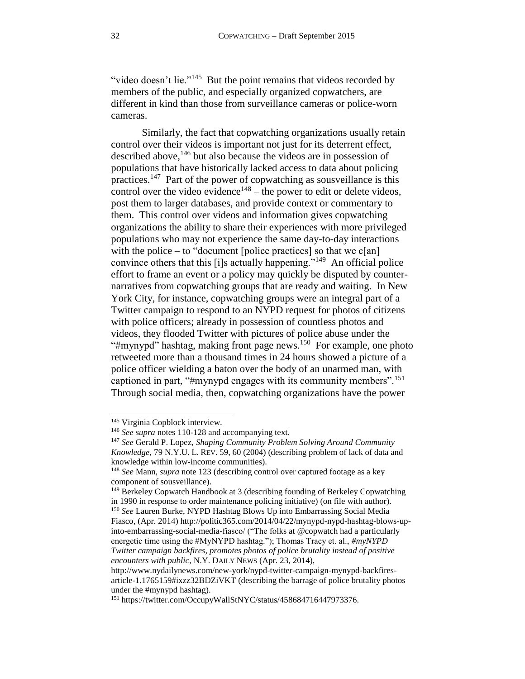"video doesn't lie."<sup>145</sup> But the point remains that videos recorded by members of the public, and especially organized copwatchers, are different in kind than those from surveillance cameras or police-worn cameras.

Similarly, the fact that copwatching organizations usually retain control over their videos is important not just for its deterrent effect, described above,  $146$  but also because the videos are in possession of populations that have historically lacked access to data about policing practices.<sup>147</sup> Part of the power of copwatching as sousveillance is this control over the video evidence<sup>148</sup> – the power to edit or delete videos, post them to larger databases, and provide context or commentary to them. This control over videos and information gives copwatching organizations the ability to share their experiences with more privileged populations who may not experience the same day-to-day interactions with the police – to "document [police practices] so that we  $c[an]$ convince others that this [i]s actually happening."<sup>149</sup> An official police effort to frame an event or a policy may quickly be disputed by counternarratives from copwatching groups that are ready and waiting. In New York City, for instance, copwatching groups were an integral part of a Twitter campaign to respond to an NYPD request for photos of citizens with police officers; already in possession of countless photos and videos, they flooded Twitter with pictures of police abuse under the "#mynypd" hashtag, making front page news.<sup>150</sup> For example, one photo retweeted more than a thousand times in 24 hours showed a picture of a police officer wielding a baton over the body of an unarmed man, with captioned in part, "#mynypd engages with its community members".<sup>151</sup> Through social media, then, copwatching organizations have the power

<sup>145</sup> Virginia Copblock interview.

<sup>146</sup> *See supra* notes [110](#page-24-1)[-128](#page-28-2) and accompanying text.

<sup>147</sup> *See* Gerald P. Lopez, *Shaping Community Problem Solving Around Community Knowledge*, 79 N.Y.U. L. REV. 59, 60 (2004) (describing problem of lack of data and knowledge within low-income communities).

<sup>148</sup> *See* Mann, *supra* note [123](#page-27-0) (describing control over captured footage as a key component of sousveillance).

<sup>&</sup>lt;sup>149</sup> Berkeley Copwatch Handbook at 3 (describing founding of Berkeley Copwatching in 1990 in response to order maintenance policing initiative) (on file with author). <sup>150</sup> See Lauren Burke, NYPD Hashtag Blows Up into Embarrassing Social Media Fiasco, (Apr. 2014) http://politic365.com/2014/04/22/mynypd-nypd-hashtag-blows-upinto-embarrassing-social-media-fiasco/ ("The folks at @copwatch had a particularly energetic time using the #MyNYPD hashtag."); Thomas Tracy et. al., *#myNYPD Twitter campaign backfires, promotes photos of police brutality instead of positive encounters with public*, N.Y. DAILY NEWS (Apr. 23, 2014),

http://www.nydailynews.com/new-york/nypd-twitter-campaign-mynypd-backfiresarticle-1.1765159#ixzz32BDZiVKT (describing the barrage of police brutality photos under the #mynypd hashtag).

<sup>151</sup> https://twitter.com/OccupyWallStNYC/status/458684716447973376.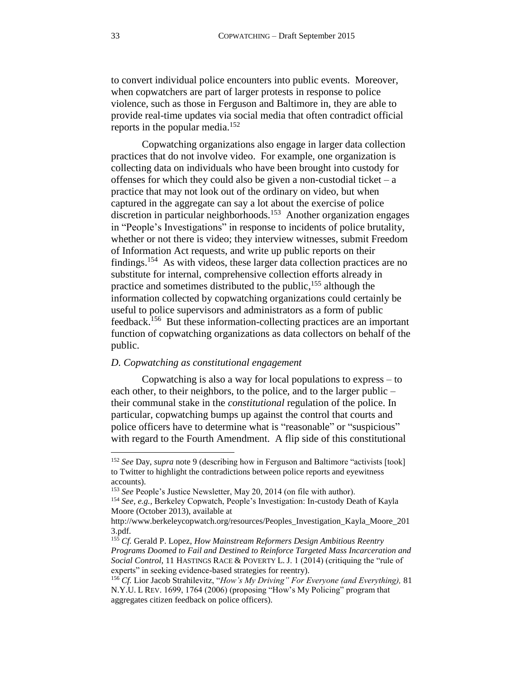to convert individual police encounters into public events. Moreover, when copwatchers are part of larger protests in response to police violence, such as those in Ferguson and Baltimore in, they are able to provide real-time updates via social media that often contradict official reports in the popular media.<sup>152</sup>

Copwatching organizations also engage in larger data collection practices that do not involve video. For example, one organization is collecting data on individuals who have been brought into custody for offenses for which they could also be given a non-custodial ticket –  $a$ practice that may not look out of the ordinary on video, but when captured in the aggregate can say a lot about the exercise of police discretion in particular neighborhoods.<sup>153</sup> Another organization engages in "People's Investigations" in response to incidents of police brutality, whether or not there is video; they interview witnesses, submit Freedom of Information Act requests, and write up public reports on their findings.<sup>154</sup> As with videos, these larger data collection practices are no substitute for internal, comprehensive collection efforts already in practice and sometimes distributed to the public,<sup>155</sup> although the information collected by copwatching organizations could certainly be useful to police supervisors and administrators as a form of public feedback.<sup>156</sup> But these information-collecting practices are an important function of copwatching organizations as data collectors on behalf of the public.

# <span id="page-32-0"></span>*D. Copwatching as constitutional engagement*

Copwatching is also a way for local populations to express – to each other, to their neighbors, to the police, and to the larger public – their communal stake in the *constitutional* regulation of the police. In particular, copwatching bumps up against the control that courts and police officers have to determine what is "reasonable" or "suspicious" with regard to the Fourth Amendment. A flip side of this constitutional

<sup>152</sup> *See* Day, *supra* note [9](#page-3-4) (describing how in Ferguson and Baltimore "activists [took] to Twitter to highlight the contradictions between police reports and eyewitness accounts).

<sup>153</sup> *See* People's Justice Newsletter, May 20, 2014 (on file with author).

<sup>154</sup> *See, e.g.,* Berkeley Copwatch, People's Investigation: In-custody Death of Kayla Moore (October 2013), available at

http://www.berkeleycopwatch.org/resources/Peoples\_Investigation\_Kayla\_Moore\_201 3.pdf.

<sup>155</sup> *Cf.* Gerald P. Lopez, *How Mainstream Reformers Design Ambitious Reentry Programs Doomed to Fail and Destined to Reinforce Targeted Mass Incarceration and Social Control*, 11 HASTINGS RACE & POVERTY L. J. 1 (2014) (critiquing the "rule of experts" in seeking evidence-based strategies for reentry).

<sup>156</sup> *Cf.* Lior Jacob Strahilevitz, "*How's My Driving" For Everyone (and Everything),* 81 N.Y.U. L REV. 1699, 1764 (2006) (proposing "How's My Policing" program that aggregates citizen feedback on police officers).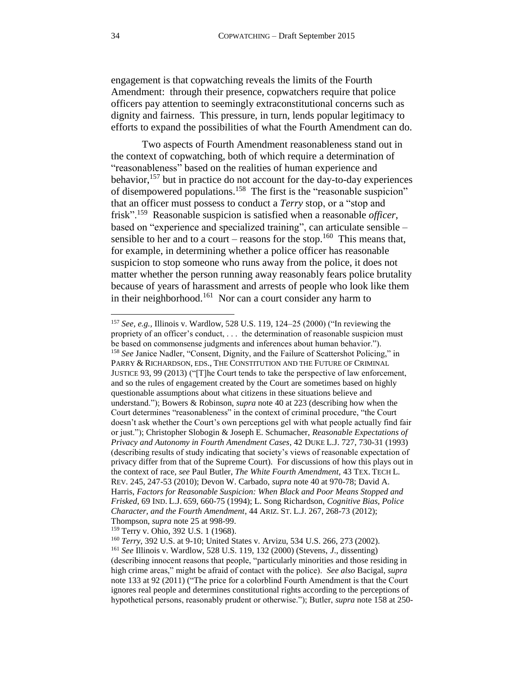engagement is that copwatching reveals the limits of the Fourth Amendment: through their presence, copwatchers require that police officers pay attention to seemingly extraconstitutional concerns such as dignity and fairness. This pressure, in turn, lends popular legitimacy to efforts to expand the possibilities of what the Fourth Amendment can do.

<span id="page-33-1"></span><span id="page-33-0"></span>Two aspects of Fourth Amendment reasonableness stand out in the context of copwatching, both of which require a determination of "reasonableness" based on the realities of human experience and behavior,  $157$  but in practice do not account for the day-to-day experiences of disempowered populations.<sup>158</sup> The first is the "reasonable suspicion" that an officer must possess to conduct a *Terry* stop, or a "stop and frisk".<sup>159</sup> Reasonable suspicion is satisfied when a reasonable *officer*, based on "experience and specialized training", can articulate sensible – sensible to her and to a court – reasons for the stop.<sup>160</sup> This means that, for example, in determining whether a police officer has reasonable suspicion to stop someone who runs away from the police, it does not matter whether the person running away reasonably fears police brutality because of years of harassment and arrests of people who look like them in their neighborhood.<sup>161</sup> Nor can a court consider any harm to

<sup>159</sup> Terry v. Ohio, 392 U.S. 1 (1968).

<span id="page-33-2"></span><sup>157</sup> *See, e.g.,* Illinois v. Wardlow, 528 U.S. 119, 124–25 (2000) ("In reviewing the propriety of an officer's conduct, . . . the determination of reasonable suspicion must be based on commonsense judgments and inferences about human behavior."). <sup>158</sup> See Janice Nadler, "Consent, Dignity, and the Failure of Scattershot Policing," in PARRY & RICHARDSON, EDS., THE CONSTITUTION AND THE FUTURE OF CRIMINAL JUSTICE 93, 99 (2013) ("[T]he Court tends to take the perspective of law enforcement, and so the rules of engagement created by the Court are sometimes based on highly questionable assumptions about what citizens in these situations believe and understand."); Bowers & Robinson, *supra* not[e 40](#page-10-1) at 223 (describing how when the Court determines "reasonableness" in the context of criminal procedure, "the Court doesn't ask whether the Court's own perceptions gel with what people actually find fair or just."); Christopher Slobogin & Joseph E. Schumacher, *Reasonable Expectations of Privacy and Autonomy in Fourth Amendment Cases*, 42 DUKE L.J. 727, 730-31 (1993) (describing results of study indicating that society's views of reasonable expectation of privacy differ from that of the Supreme Court). For discussions of how this plays out in the context of race, *see* Paul Butler, *The White Fourth Amendment,* 43 TEX. TECH L. REV. 245, 247-53 (2010); Devon W. Carbado, *supra* note [40](#page-10-1) at 970-78; David A. Harris, *Factors for Reasonable Suspicion: When Black and Poor Means Stopped and Frisked*, 69 IND. L.J. 659, 660-75 (1994); L. Song Richardson, *Cognitive Bias, Police Character, and the Fourth Amendment*, 44 ARIZ. ST. L.J. 267, 268-73 (2012); Thompson, *supra* note [25](#page-7-2) at 998-99.

<sup>160</sup> *Terry*, 392 U.S. at 9-10; United States v. Arvizu, 534 U.S. 266, 273 (2002).

<sup>161</sup> *See* Illinois v. Wardlow, 528 U.S. 119, 132 (2000) (Stevens, *J*., dissenting) (describing innocent reasons that people, "particularly minorities and those residing in high crime areas," might be afraid of contact with the police). *See also* Bacigal, *supra*  note [133](#page-29-3) at 92 (2011) ("The price for a colorblind Fourth Amendment is that the Court ignores real people and determines constitutional rights according to the perceptions of hypothetical persons, reasonably prudent or otherwise."); Butler, *supra* note [158](#page-33-1) at 250-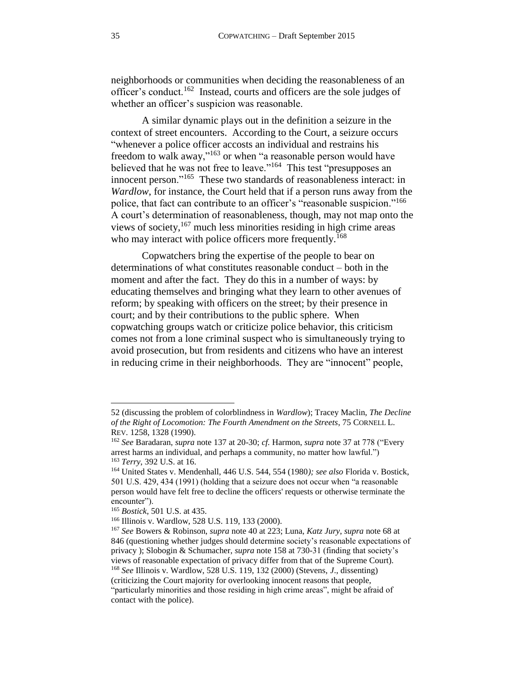neighborhoods or communities when deciding the reasonableness of an officer's conduct.<sup>162</sup> Instead, courts and officers are the sole judges of whether an officer's suspicion was reasonable.

A similar dynamic plays out in the definition a seizure in the context of street encounters. According to the Court, a seizure occurs "whenever a police officer accosts an individual and restrains his freedom to walk away,"<sup>163</sup> or when "a reasonable person would have believed that he was not free to leave."<sup>164</sup> This test "presupposes an innocent person."<sup>165</sup> These two standards of reasonableness interact: in *Wardlow*, for instance, the Court held that if a person runs away from the police, that fact can contribute to an officer's "reasonable suspicion."<sup>166</sup> A court's determination of reasonableness, though, may not map onto the views of society, <sup>167</sup> much less minorities residing in high crime areas who may interact with police officers more frequently.<sup>168</sup>

<span id="page-34-0"></span>Copwatchers bring the expertise of the people to bear on determinations of what constitutes reasonable conduct – both in the moment and after the fact. They do this in a number of ways: by educating themselves and bringing what they learn to other avenues of reform; by speaking with officers on the street; by their presence in court; and by their contributions to the public sphere. When copwatching groups watch or criticize police behavior, this criticism comes not from a lone criminal suspect who is simultaneously trying to avoid prosecution, but from residents and citizens who have an interest in reducing crime in their neighborhoods. They are "innocent" people,

<sup>52 (</sup>discussing the problem of colorblindness in *Wardlow*); Tracey Maclin, *The Decline of the Right of Locomotion: The Fourth Amendment on the Streets*, 75 CORNELL L. REV. 1258, 1328 (1990).

<sup>162</sup> *See* Baradaran, *supra* note [137](#page-29-2) at 20-30; *cf.* Harmon, *supra* note [37](#page-9-2) at 778 ("Every arrest harms an individual, and perhaps a community, no matter how lawful.") <sup>163</sup> *Terry*, 392 U.S. at 16.

<sup>164</sup> United States v. Mendenhall, 446 U.S. 544, 554 (1980*); see also* Florida v. Bostick, 501 U.S. 429, 434 (1991) (holding that a seizure does not occur when "a reasonable person would have felt free to decline the officers' requests or otherwise terminate the encounter").

<sup>165</sup> *Bostick*, 501 U.S. at 435.

<sup>166</sup> Illinois v. Wardlow, 528 U.S. 119, 133 (2000).

<sup>167</sup> *See* Bowers & Robinson, *supra* note [40](#page-10-1) at 223; Luna, *Katz Jury*, *supra* not[e 68](#page-16-0) at 846 (questioning whether judges should determine society's reasonable expectations of privacy ); Slobogin & Schumacher, *supra* note [158](#page-33-1) at 730-31 (finding that society's views of reasonable expectation of privacy differ from that of the Supreme Court). <sup>168</sup> *See* Illinois v. Wardlow, 528 U.S. 119, 132 (2000) (Stevens, *J*., dissenting)

<sup>(</sup>criticizing the Court majority for overlooking innocent reasons that people, "particularly minorities and those residing in high crime areas", might be afraid of contact with the police).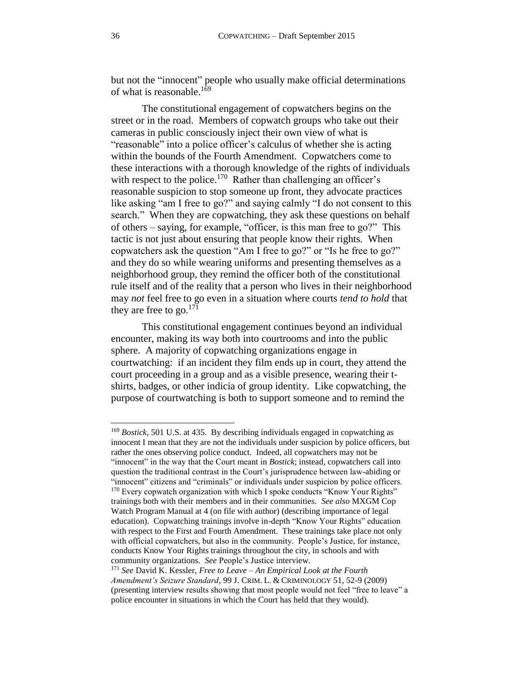but not the "innocent" people who usually make official determinations of what is reasonable.<sup>169</sup>

<span id="page-35-0"></span>The constitutional engagement of copwatchers begins on the street or in the road. Members of copwatch groups who take out their cameras in public consciously inject their own view of what is "reasonable" into a police officer's calculus of whether she is acting within the bounds of the Fourth Amendment. Copwatchers come to these interactions with a thorough knowledge of the rights of individuals with respect to the police.<sup>170</sup> Rather than challenging an officer's reasonable suspicion to stop someone up front, they advocate practices like asking "am I free to go?" and saying calmly "I do not consent to this search." When they are copwatching, they ask these questions on behalf of others – saying, for example, "officer, is this man free to go?" This tactic is not just about ensuring that people know their rights. When copwatchers ask the question "Am I free to go?" or "Is he free to go?" and they do so while wearing uniforms and presenting themselves as a neighborhood group, they remind the officer both of the constitutional rule itself and of the reality that a person who lives in their neighborhood may *not* feel free to go even in a situation where courts *tend to hold* that they are free to go. $^{171}$ 

<span id="page-35-1"></span>This constitutional engagement continues beyond an individual encounter, making its way both into courtrooms and into the public sphere. A majority of copwatching organizations engage in courtwatching: if an incident they film ends up in court, they attend the court proceeding in a group and as a visible presence, wearing their tshirts, badges, or other indicia of group identity. Like copwatching, the purpose of courtwatching is both to support someone and to remind the

l

<sup>169</sup> *Bostick*, 501 U.S. at 435. By describing individuals engaged in copwatching as innocent I mean that they are not the individuals under suspicion by police officers, but rather the ones observing police conduct. Indeed, all copwatchers may not be "innocent" in the way that the Court meant in *Bostick*; instead, copwatchers call into question the traditional contrast in the Court's jurisprudence between law-abiding or "innocent" citizens and "criminals" or individuals under suspicion by police officers. <sup>170</sup> Every copwatch organization with which I spoke conducts "Know Your Rights" trainings both with their members and in their communities. *See also* MXGM Cop Watch Program Manual at 4 (on file with author) (describing importance of legal education). Copwatching trainings involve in-depth "Know Your Rights" education with respect to the First and Fourth Amendment. These trainings take place not only with official copwatchers, but also in the community. People's Justice, for instance, conducts Know Your Rights trainings throughout the city, in schools and with community organizations. *See* People's Justice interview.

<sup>171</sup> *See* David K. Kessler, *Free to Leave – An Empirical Look at the Fourth Amendment's Seizure Standard*, 99 J. CRIM. L. & CRIMINOLOGY 51, 52-9 (2009) (presenting interview results showing that most people would not feel "free to leave" a police encounter in situations in which the Court has held that they would).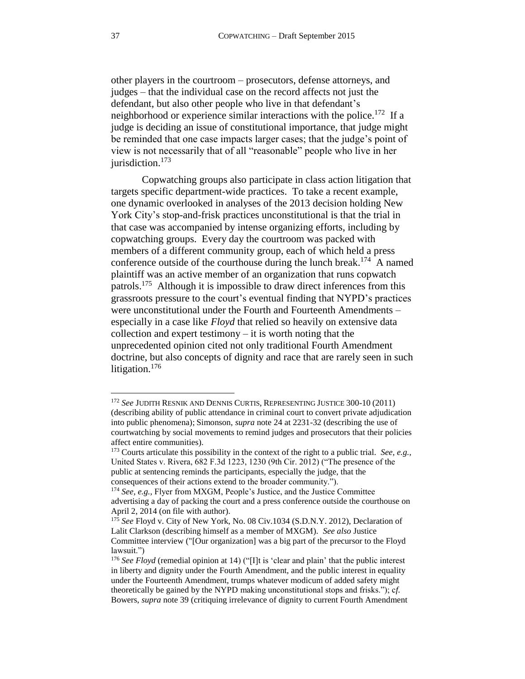other players in the courtroom – prosecutors, defense attorneys, and judges – that the individual case on the record affects not just the defendant, but also other people who live in that defendant's neighborhood or experience similar interactions with the police.<sup>172</sup> If a judge is deciding an issue of constitutional importance, that judge might be reminded that one case impacts larger cases; that the judge's point of view is not necessarily that of all "reasonable" people who live in her jurisdiction.<sup>173</sup>

Copwatching groups also participate in class action litigation that targets specific department-wide practices. To take a recent example, one dynamic overlooked in analyses of the 2013 decision holding New York City's stop-and-frisk practices unconstitutional is that the trial in that case was accompanied by intense organizing efforts, including by copwatching groups. Every day the courtroom was packed with members of a different community group, each of which held a press conference outside of the courthouse during the lunch break.<sup>174</sup> A named plaintiff was an active member of an organization that runs copwatch patrols.<sup>175</sup> Although it is impossible to draw direct inferences from this grassroots pressure to the court's eventual finding that NYPD's practices were unconstitutional under the Fourth and Fourteenth Amendments – especially in a case like *Floyd* that relied so heavily on extensive data collection and expert testimony – it is worth noting that the unprecedented opinion cited not only traditional Fourth Amendment doctrine, but also concepts of dignity and race that are rarely seen in such litigation.<sup>176</sup>

<sup>172</sup> *See* JUDITH RESNIK AND DENNIS CURTIS, REPRESENTING JUSTICE 300-10 (2011) (describing ability of public attendance in criminal court to convert private adjudication into public phenomena); Simonson, *supra* note [24](#page-6-1) at 2231-32 (describing the use of courtwatching by social movements to remind judges and prosecutors that their policies affect entire communities).

<sup>173</sup> Courts articulate this possibility in the context of the right to a public trial. *See, e.g.,*  United States v. Rivera, 682 F.3d 1223, 1230 (9th Cir. 2012) ("The presence of the public at sentencing reminds the participants, especially the judge, that the consequences of their actions extend to the broader community.").

<sup>174</sup> *See, e.g.,* Flyer from MXGM, People's Justice, and the Justice Committee advertising a day of packing the court and a press conference outside the courthouse on April 2, 2014 (on file with author).

<sup>175</sup> *See* Floyd v. City of New York, No. 08 Civ.1034 (S.D.N.Y. 2012), Declaration of Lalit Clarkson (describing himself as a member of MXGM). *See also* Justice Committee interview ("[Our organization] was a big part of the precursor to the Floyd lawsuit.")

<sup>&</sup>lt;sup>176</sup> See Floyd (remedial opinion at 14) ("[I]t is 'clear and plain' that the public interest in liberty and dignity under the Fourth Amendment, and the public interest in equality under the Fourteenth Amendment, trumps whatever modicum of added safety might theoretically be gained by the NYPD making unconstitutional stops and frisks."); c*f.*  Bowers, *supra* note [39](#page-10-0) (critiquing irrelevance of dignity to current Fourth Amendment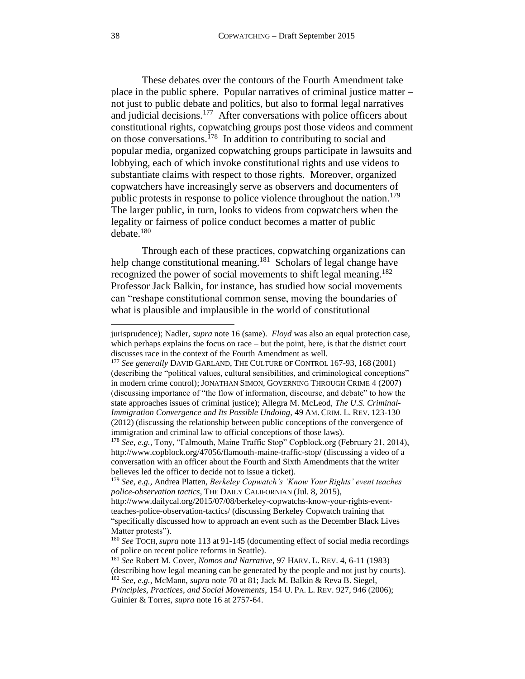These debates over the contours of the Fourth Amendment take place in the public sphere. Popular narratives of criminal justice matter – not just to public debate and politics, but also to formal legal narratives and judicial decisions.<sup>177</sup> After conversations with police officers about constitutional rights, copwatching groups post those videos and comment on those conversations.<sup>178</sup> In addition to contributing to social and popular media, organized copwatching groups participate in lawsuits and lobbying, each of which invoke constitutional rights and use videos to substantiate claims with respect to those rights. Moreover, organized copwatchers have increasingly serve as observers and documenters of public protests in response to police violence throughout the nation.<sup>179</sup> The larger public, in turn, looks to videos from copwatchers when the legality or fairness of police conduct becomes a matter of public  $debate.<sup>180</sup>$ 

Through each of these practices, copwatching organizations can help change constitutional meaning.<sup>181</sup> Scholars of legal change have recognized the power of social movements to shift legal meaning.<sup>182</sup> Professor Jack Balkin, for instance, has studied how social movements can "reshape constitutional common sense, moving the boundaries of what is plausible and implausible in the world of constitutional

<sup>182</sup> *See, e.g.,* McMann, *supra* note [70](#page-16-1) at 81; Jack M. Balkin & Reva B. Siegel, *Principles, Practices, and Social Movements*, 154 U. PA. L. REV. 927, 946 (2006);

jurisprudence); Nadler, *supra* note [16](#page-4-2) (same). *Floyd* was also an equal protection case, which perhaps explains the focus on race – but the point, here, is that the district court discusses race in the context of the Fourth Amendment as well.

<sup>177</sup> *See generally* DAVID GARLAND, THE CULTURE OF CONTROL 167-93, 168 (2001) (describing the "political values, cultural sensibilities, and criminological conceptions" in modern crime control); JONATHAN SIMON, GOVERNING THROUGH CRIME 4 (2007) (discussing importance of "the flow of information, discourse, and debate" to how the state approaches issues of criminal justice); Allegra M. McLeod, *The U.S. Criminal-Immigration Convergence and Its Possible Undoing,* 49 AM. CRIM. L. REV. 123-130 (2012) (discussing the relationship between public conceptions of the convergence of immigration and criminal law to official conceptions of those laws).

<sup>178</sup> *See, e.g.,* Tony, "Falmouth, Maine Traffic Stop" Copblock.org (February 21, 2014), http://www.copblock.org/47056/flamouth-maine-traffic-stop/ (discussing a video of a conversation with an officer about the Fourth and Sixth Amendments that the writer believes led the officer to decide not to issue a ticket).

<sup>179</sup> *See, e.g.,* Andrea Platten, *Berkeley Copwatch's 'Know Your Rights' event teaches police-observation tactics*, THE DAILY CALIFORNIAN (Jul. 8, 2015),

http://www.dailycal.org/2015/07/08/berkeley-copwatchs-know-your-rights-eventteaches-police-observation-tactics/ (discussing Berkeley Copwatch training that "specifically discussed how to approach an event such as the December Black Lives Matter protests").

<sup>180</sup> *See* TOCH, *supra* not[e 113](#page-25-0) at 91-145 (documenting effect of social media recordings of police on recent police reforms in Seattle).

<sup>181</sup> *See* Robert M. Cover, *Nomos and Narrative*, 97 HARV. L. REV. 4, 6-11 (1983) (describing how legal meaning can be generated by the people and not just by courts).

Guinier & Torres, *supra* note [16](#page-4-2) at 2757-64.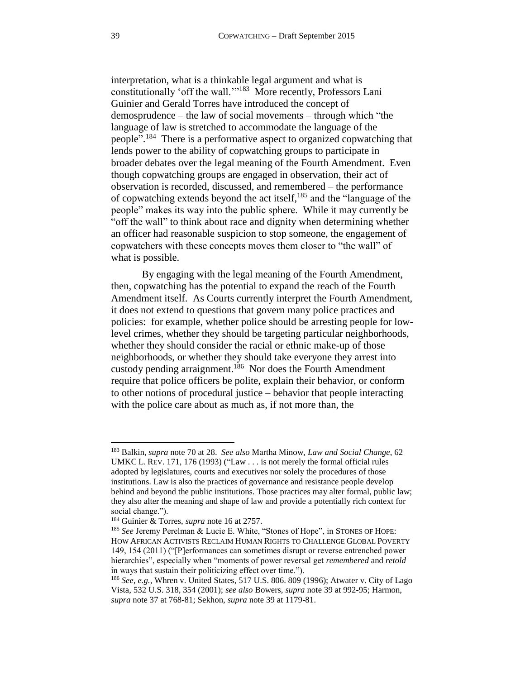interpretation, what is a thinkable legal argument and what is constitutionally 'off the wall."<sup>183</sup> More recently, Professors Lani Guinier and Gerald Torres have introduced the concept of demosprudence – the law of social movements – through which "the language of law is stretched to accommodate the language of the people".<sup>184</sup> There is a performative aspect to organized copwatching that lends power to the ability of copwatching groups to participate in broader debates over the legal meaning of the Fourth Amendment. Even though copwatching groups are engaged in observation, their act of observation is recorded, discussed, and remembered – the performance of copwatching extends beyond the act itself, <sup>185</sup> and the "language of the people" makes its way into the public sphere. While it may currently be "off the wall" to think about race and dignity when determining whether an officer had reasonable suspicion to stop someone, the engagement of copwatchers with these concepts moves them closer to "the wall" of what is possible.

By engaging with the legal meaning of the Fourth Amendment, then, copwatching has the potential to expand the reach of the Fourth Amendment itself. As Courts currently interpret the Fourth Amendment, it does not extend to questions that govern many police practices and policies: for example, whether police should be arresting people for lowlevel crimes, whether they should be targeting particular neighborhoods, whether they should consider the racial or ethnic make-up of those neighborhoods, or whether they should take everyone they arrest into custody pending arraignment.<sup>186</sup> Nor does the Fourth Amendment require that police officers be polite, explain their behavior, or conform to other notions of procedural justice – behavior that people interacting with the police care about as much as, if not more than, the

<span id="page-38-0"></span><sup>183</sup> Balkin, *supra* note [70](#page-16-1) at 28. *See also* Martha Minow, *Law and Social Change*, 62 UMKC L. REV. 171, 176 (1993) ("Law . . . is not merely the formal official rules adopted by legislatures, courts and executives nor solely the procedures of those institutions. Law is also the practices of governance and resistance people develop behind and beyond the public institutions. Those practices may alter formal, public law; they also alter the meaning and shape of law and provide a potentially rich context for social change.").

<sup>184</sup> Guinier & Torres, *supra* note [16](#page-4-2) at 2757.

<sup>185</sup> *See* Jeremy Perelman & Lucie E. White, "Stones of Hope", in STONES OF HOPE: HOW AFRICAN ACTIVISTS RECLAIM HUMAN RIGHTS TO CHALLENGE GLOBAL POVERTY 149, 154 (2011) ("[P]erformances can sometimes disrupt or reverse entrenched power hierarchies", especially when "moments of power reversal get *remembered* and *retold* in ways that sustain their politicizing effect over time.").

<sup>186</sup> *See, e.g.,* Whren v. United States, 517 U.S. 806. 809 (1996); Atwater v. City of Lago Vista, 532 U.S. 318, 354 (2001); *see also* Bowers, *supra* note [39](#page-10-0) at 992-95; Harmon, *supra* not[e 37](#page-9-2) at 768-81; Sekhon, *supra* note [39](#page-10-0) at 1179-81.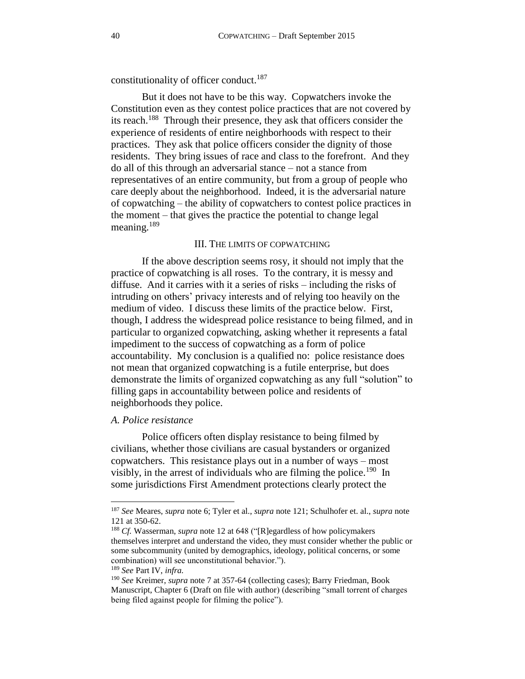<span id="page-39-2"></span>constitutionality of officer conduct.<sup>187</sup>

But it does not have to be this way. Copwatchers invoke the Constitution even as they contest police practices that are not covered by its reach.<sup>188</sup> Through their presence, they ask that officers consider the experience of residents of entire neighborhoods with respect to their practices. They ask that police officers consider the dignity of those residents. They bring issues of race and class to the forefront. And they do all of this through an adversarial stance – not a stance from representatives of an entire community, but from a group of people who care deeply about the neighborhood. Indeed, it is the adversarial nature of copwatching – the ability of copwatchers to contest police practices in the moment – that gives the practice the potential to change legal meaning.<sup>189</sup>

#### III. THE LIMITS OF COPWATCHING

<span id="page-39-3"></span><span id="page-39-0"></span>If the above description seems rosy, it should not imply that the practice of copwatching is all roses. To the contrary, it is messy and diffuse. And it carries with it a series of risks – including the risks of intruding on others' privacy interests and of relying too heavily on the medium of video. I discuss these limits of the practice below. First, though, I address the widespread police resistance to being filmed, and in particular to organized copwatching, asking whether it represents a fatal impediment to the success of copwatching as a form of police accountability. My conclusion is a qualified no: police resistance does not mean that organized copwatching is a futile enterprise, but does demonstrate the limits of organized copwatching as any full "solution" to filling gaps in accountability between police and residents of neighborhoods they police.

### <span id="page-39-1"></span>*A. Police resistance*

Police officers often display resistance to being filmed by civilians, whether those civilians are casual bystanders or organized copwatchers. This resistance plays out in a number of ways – most visibly, in the arrest of individuals who are filming the police.<sup>190</sup> In some jurisdictions First Amendment protections clearly protect the

<sup>189</sup> *See* Part IV, *infra.*

<sup>187</sup> *See* Meares, *supra* not[e 6;](#page-2-2) Tyler et al., *supra* not[e 121;](#page-26-0) Schulhofer et. al., *supra* note [121](#page-26-0) at 350-62.

<sup>188</sup> *Cf.* Wasserman, *supra* note [12](#page-3-3) at 648 ("[R]egardless of how policymakers themselves interpret and understand the video, they must consider whether the public or some subcommunity (united by demographics, ideology, political concerns, or some combination) will see unconstitutional behavior.").

<sup>190</sup> *See* Kreimer, *supra* note [7](#page-2-0) at 357-64 (collecting cases); Barry Friedman, Book Manuscript, Chapter 6 (Draft on file with author) (describing "small torrent of charges being filed against people for filming the police").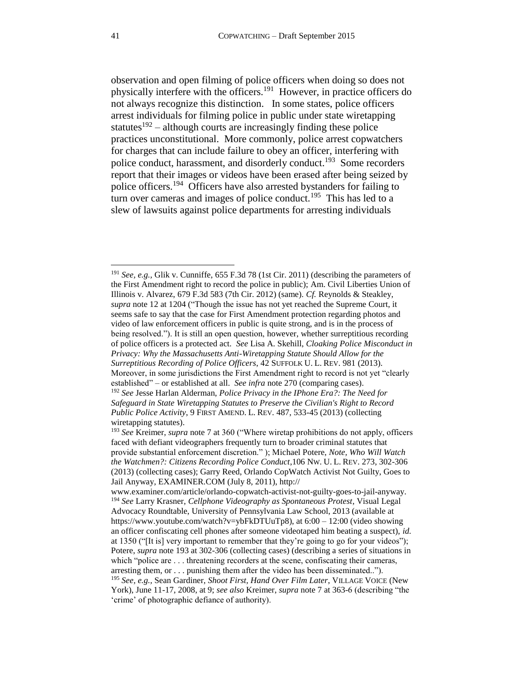<span id="page-40-0"></span>observation and open filming of police officers when doing so does not physically interfere with the officers.<sup>191</sup> However, in practice officers do not always recognize this distinction. In some states, police officers arrest individuals for filming police in public under state wiretapping statutes<sup>192</sup> – although courts are increasingly finding these police practices unconstitutional. More commonly, police arrest copwatchers for charges that can include failure to obey an officer, interfering with police conduct, harassment, and disorderly conduct.<sup>193</sup> Some recorders report that their images or videos have been erased after being seized by police officers.<sup>194</sup> Officers have also arrested bystanders for failing to turn over cameras and images of police conduct.<sup>195</sup> This has led to a slew of lawsuits against police departments for arresting individuals

<sup>191</sup> *See, e.g.,* Glik v. Cunniffe, 655 F.3d 78 (1st Cir. 2011) (describing the parameters of the First Amendment right to record the police in public); Am. Civil Liberties Union of Illinois v. Alvarez, 679 F.3d 583 (7th Cir. 2012) (same). *Cf.* Reynolds & Steakley, *supra* not[e 12](#page-3-3) at 1204 ("Though the issue has not yet reached the Supreme Court, it seems safe to say that the case for First Amendment protection regarding photos and video of law enforcement officers in public is quite strong, and is in the process of being resolved."). It is still an open question, however, whether surreptitious recording of police officers is a protected act. *See* Lisa A. Skehill, *Cloaking Police Misconduct in Privacy: Why the Massachusetts Anti-Wiretapping Statute Should Allow for the Surreptitious Recording of Police Officers*, 42 SUFFOLK U. L. REV. 981 (2013). Moreover, in some jurisdictions the First Amendment right to record is not yet "clearly established" – or established at all. *See infra* not[e 270](#page-55-1) (comparing cases). <sup>192</sup> *See* Jesse Harlan Alderman, *Police Privacy in the IPhone Era?: The Need for Safeguard in State Wiretapping Statutes to Preserve the Civilian's Right to Record Public Police Activity*, 9 FIRST AMEND. L. REV. 487, 533-45 (2013) (collecting wiretapping statutes).

<sup>193</sup> *See* Kreimer, *supra* note [7](#page-2-0) at 360 ("Where wiretap prohibitions do not apply, officers faced with defiant videographers frequently turn to broader criminal statutes that provide substantial enforcement discretion." ); Michael Potere, *Note, Who Will Watch the Watchmen?: Citizens Recording Police Conduct*,106 NW. U. L. REV. 273, 302-306 (2013) (collecting cases); Garry Reed, Orlando CopWatch Activist Not Guilty, Goes to Jail Anyway, EXAMINER.COM (July 8, 2011), http://

[www.examiner.com/article/orlando-copwatch-activist-not-guilty-goes-to-jail-anyway.](http://www.examiner.com/article/orlando-copwatch-activist-not-guilty-goes-to-jail-anyway) <sup>194</sup> *See* Larry Krasner, *Cellphone Videography as Spontaneous Protest*, Visual Legal Advocacy Roundtable, University of Pennsylvania Law School, 2013 (available at https://www.youtube.com/watch?v=ybFkDTUuTp8), at 6:00 – 12:00 (video showing an officer confiscating cell phones after someone videotaped him beating a suspect), *id.*  at 1350 ("[It is] very important to remember that they're going to go for your videos"); Potere, *supra* note [193](#page-40-0) at 302-306 (collecting cases) (describing a series of situations in which "police are . . . threatening recorders at the scene, confiscating their cameras, arresting them, or . . . punishing them after the video has been disseminated..").

<sup>195</sup> *See, e.g.,* Sean Gardiner, *Shoot First, Hand Over Film Later*, VILLAGE VOICE (New York), June 11-17, 2008, at 9; *see also* Kreimer, *supra* note [7](#page-2-0) at 363-6 (describing "the 'crime' of photographic defiance of authority).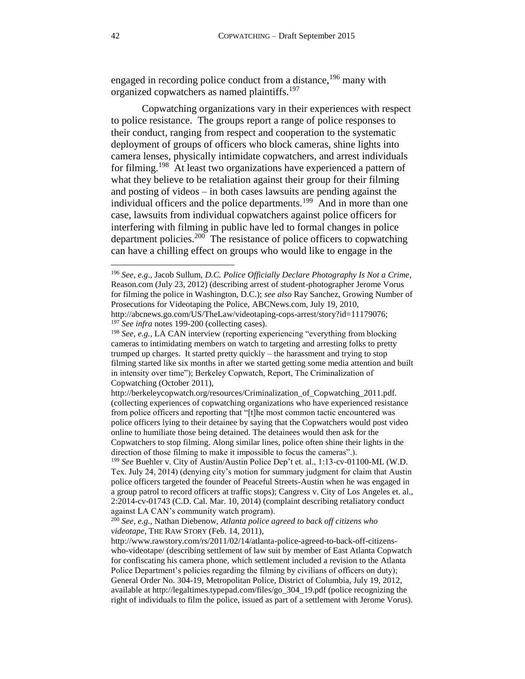engaged in recording police conduct from a distance,<sup>196</sup> many with organized copwatchers as named plaintiffs.<sup>197</sup>

Copwatching organizations vary in their experiences with respect to police resistance. The groups report a range of police responses to their conduct, ranging from respect and cooperation to the systematic deployment of groups of officers who block cameras, shine lights into camera lenses, physically intimidate copwatchers, and arrest individuals for filming.<sup>198</sup> At least two organizations have experienced a pattern of what they believe to be retaliation against their group for their filming and posting of videos – in both cases lawsuits are pending against the individual officers and the police departments.<sup>199</sup> And in more than one case, lawsuits from individual copwatchers against police officers for interfering with filming in public have led to formal changes in police department policies.<sup>200</sup> The resistance of police officers to copwatching can have a chilling effect on groups who would like to engage in the

<span id="page-41-1"></span><span id="page-41-0"></span><sup>196</sup> *See, e.g*., Jacob Sullum, *[D.C. Police Officially Declare Photography Is Not a Crime](http://reason.com/blog/2012/07/23/dc-police-officially-declare-photography)*, Reason.com (July 23, 2012) (describing arrest of student-photographer Jerome Vorus for filming the police in Washington, D.C.); *see also* Ray Sanchez, Growing Number of Prosecutions for Videotaping the Police, ABCNews.com, July 19, 2010, http://abcnews.go.com/US/TheLaw/videotaping-cops-arrest/story?id=11179076;

<sup>197</sup> *See infra* notes [199](#page-41-0)[-200](#page-41-1) (collecting cases).

<sup>198</sup> *See, e.g.,* LA CAN interview (reporting experiencing "everything from blocking cameras to intimidating members on watch to targeting and arresting folks to pretty trumped up charges. It started pretty quickly – the harassment and trying to stop filming started like six months in after we started getting some media attention and built in intensity over time"); Berkeley Copwatch, Report, The Criminalization of Copwatching (October 2011),

http://berkeleycopwatch.org/resources/Criminalization\_of\_Copwatching\_2011.pdf. (collecting experiences of copwatching organizations who have experienced resistance from police officers and reporting that "[t]he most common tactic encountered was police officers lying to their detainee by saying that the Copwatchers would post video online to humiliate those being detained. The detainees would then ask for the Copwatchers to stop filming. Along similar lines, police often shine their lights in the direction of those filming to make it impossible to focus the cameras".).

<sup>199</sup> *See* Buehler v. City of Austin/Austin Police Dep't et. al., 1:13-cv-01100-ML (W.D. Tex. July 24, 2014) (denying city's motion for summary judgment for claim that Austin police officers targeted the founder of Peaceful Streets-Austin when he was engaged in a group patrol to record officers at traffic stops); Cangress v. City of Los Angeles et. al., 2:2014-cv-01743 (C.D. Cal. Mar. 10, 2014) (complaint describing retaliatory conduct against LA CAN's community watch program).

<sup>200</sup> *See, e.g.,* Nathan Diebenow, *Atlanta police agreed to back off citizens who videotape*, THE RAW STORY (Feb. 14, 2011),

http://www.rawstory.com/rs/2011/02/14/atlanta-police-agreed-to-back-off-citizenswho-videotape/ (describing settlement of law suit by member of East Atlanta Copwatch for confiscating his camera phone, which settlement included a revision to the Atlanta Police Department's policies regarding the filming by civilians of officers on duty); General Order No. 304-19, Metropolitan Police, District of Columbia, July 19, 2012, available at http://legaltimes.typepad.com/files/go\_304\_19.pdf (police recognizing the right of individuals to film the police, issued as part of a settlement with Jerome Vorus).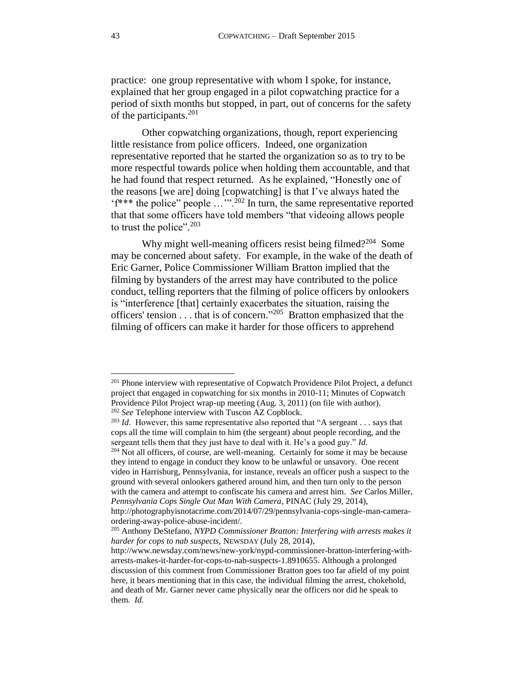practice: one group representative with whom I spoke, for instance, explained that her group engaged in a pilot copwatching practice for a period of sixth months but stopped, in part, out of concerns for the safety of the participants. $^{201}$ 

Other copwatching organizations, though, report experiencing little resistance from police officers. Indeed, one organization representative reported that he started the organization so as to try to be more respectful towards police when holding them accountable, and that he had found that respect returned. As he explained, "Honestly one of the reasons [we are] doing [copwatching] is that I've always hated the 'f\*\*\* the police" people …'".<sup>202</sup> In turn, the same representative reported that that some officers have told members "that videoing allows people to trust the police".<sup>203</sup>

Why might well-meaning officers resist being filmed?<sup>204</sup> Some may be concerned about safety. For example, in the wake of the death of Eric Garner, Police Commissioner William Bratton implied that the filming by bystanders of the arrest may have contributed to the police conduct, telling reporters that the filming of police officers by onlookers is "interference [that] certainly exacerbates the situation, raising the officers' tension . . . that is of concern."<sup>205</sup> Bratton emphasized that the filming of officers can make it harder for those officers to apprehend

<sup>&</sup>lt;sup>201</sup> Phone interview with representative of Copwatch Providence Pilot Project, a defunct project that engaged in copwatching for six months in 2010-11; Minutes of Copwatch Providence Pilot Project wrap-up meeting (Aug. 3, 2011) (on file with author). <sup>202</sup> *See* Telephone interview with Tuscon AZ Copblock.

<sup>&</sup>lt;sup>203</sup> *Id.* However, this same representative also reported that "A sergeant . . . says that cops all the time will complain to him (the sergeant) about people recording, and the sergeant tells them that they just have to deal with it. He's a good guy." *Id.*

<sup>&</sup>lt;sup>204</sup> Not all officers, of course, are well-meaning. Certainly for some it may be because they intend to engage in conduct they know to be unlawful or unsavory. One recent video in Harrisburg, Pennsylvania, for instance, reveals an officer push a suspect to the ground with several onlookers gathered around him, and then turn only to the person with the camera and attempt to confiscate his camera and arrest him. *See* Carlos Miller, *Pennsylvania Cops Single Out Man With Camera*, PINAC (July 29, 2014),

http://photographyisnotacrime.com/2014/07/29/pennsylvania-cops-single-man-cameraordering-away-police-abuse-incident/.

<sup>205</sup> Anthony DeStefano, *NYPD Commissioner Bratton: Interfering with arrests makes it harder for cops to nab suspects,* NEWSDAY (July 28, 2014),

http://www.newsday.com/news/new-york/nypd-commissioner-bratton-interfering-witharrests-makes-it-harder-for-cops-to-nab-suspects-1.8910655. Although a prolonged discussion of this comment from Commissioner Bratton goes too far afield of my point here, it bears mentioning that in this case, the individual filming the arrest, chokehold, and death of Mr. Garner never came physically near the officers nor did he speak to them. *Id.*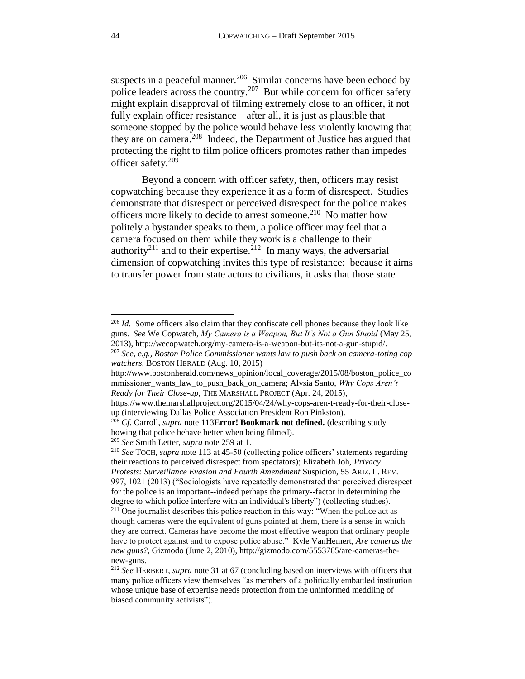suspects in a peaceful manner.<sup>206</sup> Similar concerns have been echoed by police leaders across the country.<sup>207</sup> But while concern for officer safety might explain disapproval of filming extremely close to an officer, it not fully explain officer resistance – after all, it is just as plausible that someone stopped by the police would behave less violently knowing that they are on camera.<sup>208</sup> Indeed, the Department of Justice has argued that protecting the right to film police officers promotes rather than impedes officer safety. 209

<span id="page-43-0"></span>Beyond a concern with officer safety, then, officers may resist copwatching because they experience it as a form of disrespect. Studies demonstrate that disrespect or perceived disrespect for the police makes officers more likely to decide to arrest someone.<sup>210</sup> No matter how politely a bystander speaks to them, a police officer may feel that a camera focused on them while they work is a challenge to their authority<sup>211</sup> and to their expertise.<sup>212</sup> In many ways, the adversarial dimension of copwatching invites this type of resistance: because it aims to transfer power from state actors to civilians, it asks that those state

<sup>&</sup>lt;sup>206</sup> *Id.* Some officers also claim that they confiscate cell phones because they look like guns. *See* We Copwatch, *My Camera is a Weapon, But It's Not a Gun Stupid* (May 25, 2013), http://wecopwatch.org/my-camera-is-a-weapon-but-its-not-a-gun-stupid/.

<sup>207</sup> *See, e.g., Boston Police Commissioner wants law to push back on camera-toting cop watchers*, BOSTON HERALD (Aug. 10, 2015)

http://www.bostonherald.com/news\_opinion/local\_coverage/2015/08/boston\_police\_co mmissioner\_wants\_law\_to\_push\_back\_on\_camera; Alysia Santo, *Why Cops Aren't Ready for Their Close-up*, THE MARSHALL PROJECT (Apr. 24, 2015),

https://www.themarshallproject.org/2015/04/24/why-cops-aren-t-ready-for-their-closeup (interviewing Dallas Police Association President Ron Pinkston).

<sup>208</sup> *Cf.* Carroll, *supra* not[e 113](#page-25-0)**[Error! Bookmark not defined.](#page-25-0)** (describing study howing that police behave better when being filmed).

<sup>209</sup> *See* Smith Letter, *supra* note [259](#page-53-0) at 1.

<sup>210</sup> *See* TOCH, *supra* note [113](#page-25-0) at 45-50 (collecting police officers' statements regarding their reactions to perceived disrespect from spectators); Elizabeth Joh, *Privacy Protests: Surveillance Evasion and Fourth Amendment* Suspicion, 55 ARIZ. L. REV. 997, 1021 (2013) ("Sociologists have repeatedly demonstrated that perceived disrespect

for the police is an important--indeed perhaps the primary--factor in determining the degree to which police interfere with an individual's liberty") (collecting studies). <sup>211</sup> One journalist describes this police reaction in this way: "When the police act as

though cameras were the equivalent of guns pointed at them, there is a sense in which they are correct. Cameras have become the most effective weapon that ordinary people have to protect against and to expose police abuse." Kyle VanHemert, *Are cameras the new guns?,* Gizmodo (June 2, 2010), http://gizmodo.com/5553765/are-cameras-thenew-guns.

<sup>212</sup> *See* HERBERT, *supra* note [31](#page-8-1) at 67 (concluding based on interviews with officers that many police officers view themselves "as members of a politically embattled institution whose unique base of expertise needs protection from the uninformed meddling of biased community activists").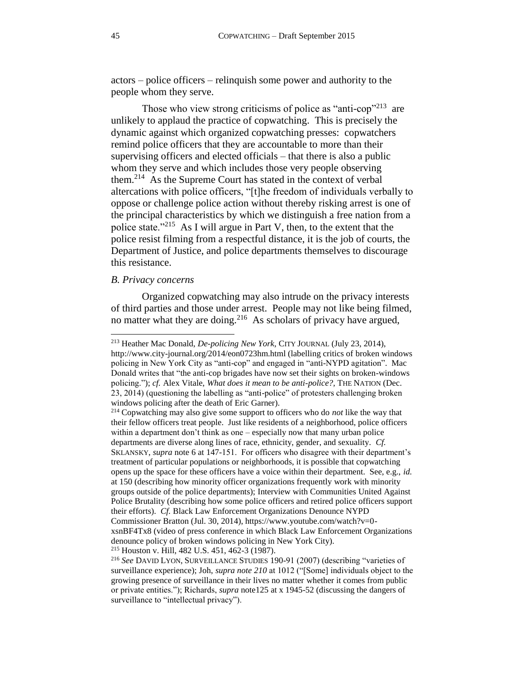actors – police officers – relinquish some power and authority to the people whom they serve.

Those who view strong criticisms of police as "anti-cop"<sup>213</sup> are unlikely to applaud the practice of copwatching. This is precisely the dynamic against which organized copwatching presses: copwatchers remind police officers that they are accountable to more than their supervising officers and elected officials – that there is also a public whom they serve and which includes those very people observing them.<sup>214</sup> As the Supreme Court has stated in the context of verbal altercations with police officers, "[t]he freedom of individuals verbally to oppose or challenge police action without thereby risking arrest is one of the principal characteristics by which we distinguish a free nation from a police state."<sup>215</sup> As I will argue in Part V, then, to the extent that the police resist filming from a respectful distance, it is the job of courts, the Department of Justice, and police departments themselves to discourage this resistance.

### <span id="page-44-0"></span>*B. Privacy concerns*

 $\overline{\phantom{a}}$ 

Organized copwatching may also intrude on the privacy interests of third parties and those under arrest. People may not like being filmed, no matter what they are doing.<sup>216</sup> As scholars of privacy have argued,

<sup>213</sup> Heather Mac Donald, *De-policing New York*, CITY JOURNAL (July 23, 2014), http://www.city-journal.org/2014/eon0723hm.html (labelling critics of broken windows policing in New York City as "anti-cop" and engaged in "anti-NYPD agitation". Mac Donald writes that "the anti-cop brigades have now set their sights on broken-windows policing."); *cf.* Alex Vitale, *What does it mean to be anti-police?,* THE NATION (Dec. 23, 2014) (questioning the labelling as "anti-police" of protesters challenging broken windows policing after the death of Eric Garner).

<sup>214</sup> Copwatching may also give some support to officers who do *not* like the way that their fellow officers treat people. Just like residents of a neighborhood, police officers within a department don't think as one – especially now that many urban police departments are diverse along lines of race, ethnicity, gender, and sexuality. *Cf.* SKLANSKY, *supra* note [6](#page-2-2) at 147-151. For officers who disagree with their department's treatment of particular populations or neighborhoods, it is possible that copwatching opens up the space for these officers have a voice within their department. See, e.g., *id.*  at 150 (describing how minority officer organizations frequently work with minority groups outside of the police departments); Interview with Communities United Against Police Brutality (describing how some police officers and retired police officers support their efforts). *Cf.* Black Law Enforcement Organizations Denounce NYPD Commissioner Bratton (Jul. 30, 2014), https://www.youtube.com/watch?v=0 xsnBF4Tx8 (video of press conference in which Black Law Enforcement Organizations denounce policy of broken windows policing in New York City). <sup>215</sup> Houston v. Hill, 482 U.S. 451, 462-3 (1987).

<sup>216</sup> *See* DAVID LYON, SURVEILLANCE STUDIES 190-91 (2007) (describing "varieties of surveillance experience); Joh, *supra note [210](#page-43-0)* at 1012 ("[Some] individuals object to the growing presence of surveillance in their lives no matter whether it comes from public or private entities."); Richards, *supra* not[e125](#page-27-1) at x 1945-52 (discussing the dangers of surveillance to "intellectual privacy").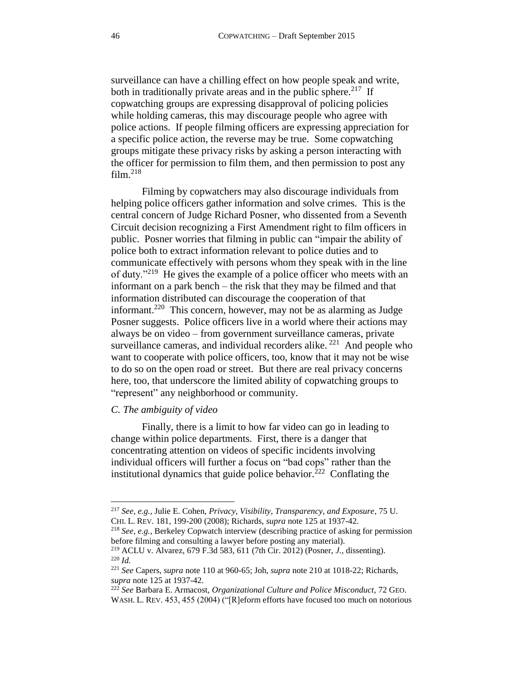<span id="page-45-1"></span>surveillance can have a chilling effect on how people speak and write, both in traditionally private areas and in the public sphere.<sup>217</sup> If copwatching groups are expressing disapproval of policing policies while holding cameras, this may discourage people who agree with police actions. If people filming officers are expressing appreciation for a specific police action, the reverse may be true. Some copwatching groups mitigate these privacy risks by asking a person interacting with the officer for permission to film them, and then permission to post any  $film.<sup>218</sup>$ 

Filming by copwatchers may also discourage individuals from helping police officers gather information and solve crimes. This is the central concern of Judge Richard Posner, who dissented from a Seventh Circuit decision recognizing a First Amendment right to film officers in public. Posner worries that filming in public can "impair the ability of police both to extract information relevant to police duties and to communicate effectively with persons whom they speak with in the line of duty."<sup>219</sup> He gives the example of a police officer who meets with an informant on a park bench – the risk that they may be filmed and that information distributed can discourage the cooperation of that informant.<sup>220</sup> This concern, however, may not be as alarming as Judge Posner suggests. Police officers live in a world where their actions may always be on video – from government surveillance cameras, private surveillance cameras, and individual recorders alike.<sup>221</sup> And people who want to cooperate with police officers, too, know that it may not be wise to do so on the open road or street. But there are real privacy concerns here, too, that underscore the limited ability of copwatching groups to "represent" any neighborhood or community.

# <span id="page-45-0"></span>*C. The ambiguity of video*

<span id="page-45-2"></span> $\overline{\phantom{a}}$ 

Finally, there is a limit to how far video can go in leading to change within police departments. First, there is a danger that concentrating attention on videos of specific incidents involving individual officers will further a focus on "bad cops" rather than the institutional dynamics that guide police behavior.<sup>222</sup> Conflating the

<sup>217</sup> *See, e.g.,* Julie E. Cohen, *Privacy, Visibility, Transparency, and Exposure*, 75 U. CHI. L. REV. 181, 199-200 (2008); Richards, *supra* note [125](#page-27-1) at 1937-42.

<sup>218</sup> *See, e.g.,* Berkeley Copwatch interview (describing practice of asking for permission before filming and consulting a lawyer before posting any material).

<sup>219</sup> ACLU v. Alvarez, 679 F.3d 583, 611 (7th Cir. 2012) (Posner, *J.,* dissenting). <sup>220</sup> *Id.*

<sup>221</sup> *See* Capers, *supra* note [110](#page-24-1) at 960-65; Joh, *supra* not[e 210](#page-43-0) at 1018-22; Richards, *supra* not[e 125](#page-27-1) at 1937-42.

<sup>222</sup> *See* Barbara E. Armacost, *Organizational Culture and Police Misconduct*, 72 GEO. WASH. L. REV. 453, 455 (2004) ("[R]eform efforts have focused too much on notorious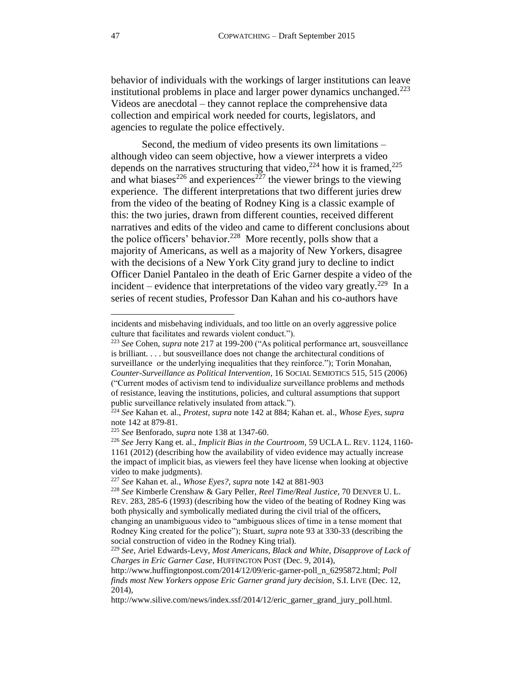behavior of individuals with the workings of larger institutions can leave institutional problems in place and larger power dynamics unchanged. $223$ Videos are anecdotal – they cannot replace the comprehensive data collection and empirical work needed for courts, legislators, and agencies to regulate the police effectively.

Second, the medium of video presents its own limitations – although video can seem objective, how a viewer interprets a video depends on the narratives structuring that video,<sup>224</sup> how it is framed, $^{225}$ and what biases<sup>226</sup> and experiences<sup>227</sup> the viewer brings to the viewing experience. The different interpretations that two different juries drew from the video of the beating of Rodney King is a classic example of this: the two juries, drawn from different counties, received different narratives and edits of the video and came to different conclusions about the police officers' behavior.<sup>228</sup> More recently, polls show that a majority of Americans, as well as a majority of New Yorkers, disagree with the decisions of a New York City grand jury to decline to indict Officer Daniel Pantaleo in the death of Eric Garner despite a video of the incident – evidence that interpretations of the video vary greatly.<sup>229</sup> In a series of recent studies, Professor Dan Kahan and his co-authors have

incidents and misbehaving individuals, and too little on an overly aggressive police culture that facilitates and rewards violent conduct.").

<sup>223</sup> *See* Cohen, *supra* note [217](#page-45-1) at 199-200 ("As political performance art, sousveillance is brilliant. . . . but sousveillance does not change the architectural conditions of surveillance or the underlying inequalities that they reinforce."); Torin Monahan, *Counter-Surveillance as Political Intervention*, 16 SOCIAL SEMIOTICS 515, 515 (2006) ("Current modes of activism tend to individualize surveillance problems and methods of resistance, leaving the institutions, policies, and cultural assumptions that support public surveillance relatively insulated from attack.").

<sup>224</sup> *See* Kahan et. al., *Protest*, *supra* not[e 142](#page-30-0) at 884; Kahan et. al., *Whose Eyes*, *supra*  note [142](#page-30-0) at 879-81.

<sup>225</sup> *See* Benforado, *supra* note [138](#page-30-1) at 1347-60.

<sup>226</sup> *See* Jerry Kang et. al., *Implicit Bias in the Courtroom,* 59 [UCLA](https://advance.lexis.com/api/document/collection/analytical-materials/id/56BS-5GH0-02BN-009M-00000-00?page=1160&reporter=8051&context=1000516) L. REV. 1124, 1160- [1161](https://advance.lexis.com/api/document/collection/analytical-materials/id/56BS-5GH0-02BN-009M-00000-00?page=1160&reporter=8051&context=1000516) (2012) (describing how the availability of video evidence may actually increase the impact of implicit bias, as viewers feel they have license when looking at objective video to make judgments).

<sup>227</sup> *See* Kahan et. al., *Whose Eyes?, supra* note [142](#page-30-0) at 881-903

<sup>228</sup> *See* Kimberle Crenshaw & Gary Peller, *Reel Time/Real Justice*, 70 DENVER U. L. REV. 283, 285-6 (1993) (describing how the video of the beating of Rodney King was both physically and symbolically mediated during the civil trial of the officers,

changing an unambiguous video to "ambiguous slices of time in a tense moment that Rodney King created for the police"); Stuart, *supra* note [93](#page-21-0) at 330-33 (describing the social construction of video in the Rodney King trial).

<sup>229</sup> *See,* Ariel Edwards-Levy, *Most Americans, Black and White, Disapprove of Lack of Charges in Eric Garner Case*, HUFFINGTON POST (Dec. 9, 2014),

http://www.huffingtonpost.com/2014/12/09/eric-garner-poll\_n\_6295872.html; *Poll finds most New Yorkers oppose Eric Garner grand jury decision*, S.I. LIVE (Dec. 12, 2014),

http://www.silive.com/news/index.ssf/2014/12/eric\_garner\_grand\_jury\_poll.html.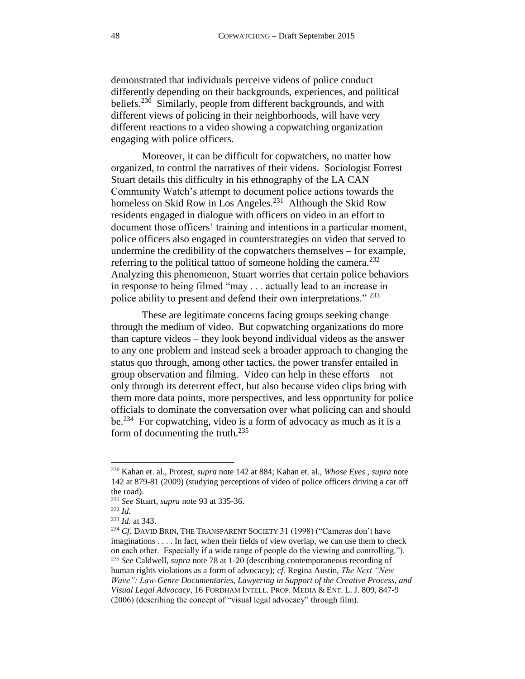demonstrated that individuals perceive videos of police conduct differently depending on their backgrounds, experiences, and political beliefs.<sup>230</sup> Similarly, people from different backgrounds, and with different views of policing in their neighborhoods, will have very different reactions to a video showing a copwatching organization engaging with police officers.

Moreover, it can be difficult for copwatchers, no matter how organized, to control the narratives of their videos. Sociologist Forrest Stuart details this difficulty in his ethnography of the LA CAN Community Watch's attempt to document police actions towards the homeless on Skid Row in Los Angeles.<sup>231</sup> Although the Skid Row residents engaged in dialogue with officers on video in an effort to document those officers' training and intentions in a particular moment, police officers also engaged in counterstrategies on video that served to undermine the credibility of the copwatchers themselves – for example, referring to the political tattoo of someone holding the camera. $^{232}$ Analyzing this phenomenon, Stuart worries that certain police behaviors in response to being filmed "may . . . actually lead to an increase in police ability to present and defend their own interpretations." <sup>233</sup>

These are legitimate concerns facing groups seeking change through the medium of video. But copwatching organizations do more than capture videos – they look beyond individual videos as the answer to any one problem and instead seek a broader approach to changing the status quo through, among other tactics, the power transfer entailed in group observation and filming. Video can help in these efforts – not only through its deterrent effect, but also because video clips bring with them more data points, more perspectives, and less opportunity for police officials to dominate the conversation over what policing can and should be.<sup>234</sup> For copwatching, video is a form of advocacy as much as it is a form of documenting the truth. $^{235}$ 

<sup>230</sup> Kahan et. al., Protest, *supra* note [142](#page-30-0) at 884; Kahan et. al., *Whose Eyes* , *supra* note [142](#page-30-0) at 879-81 (2009) (studying perceptions of video of police officers driving a car off the road).

<sup>231</sup> *See* Stuart, *supra* note [93](#page-21-0) at 335-36.

<sup>232</sup> *Id.*

<sup>233</sup> *Id.* at 343.

<sup>&</sup>lt;sup>234</sup> *Cf.* DAVID BRIN, THE TRANSPARENT SOCIETY 31 (1998) ("Cameras don't have imaginations . . . . In fact, when their fields of view overlap, we can use them to check on each other. Especially if a wide range of people do the viewing and controlling."). <sup>235</sup> *See* Caldwell, *supra* note [78](#page-19-0) at 1-20 (describing contemporaneous recording of human rights violations as a form of advocacy); *cf.* Regina Austin, *The Next "New Wave": Law-Genre Documentaries, Lawyering in Support of the Creative Process, and Visual Legal Advocacy*, 16 FORDHAM INTELL. PROP. MEDIA & ENT. L. J. 809, 847-9 (2006) (describing the concept of "visual legal advocacy" through film).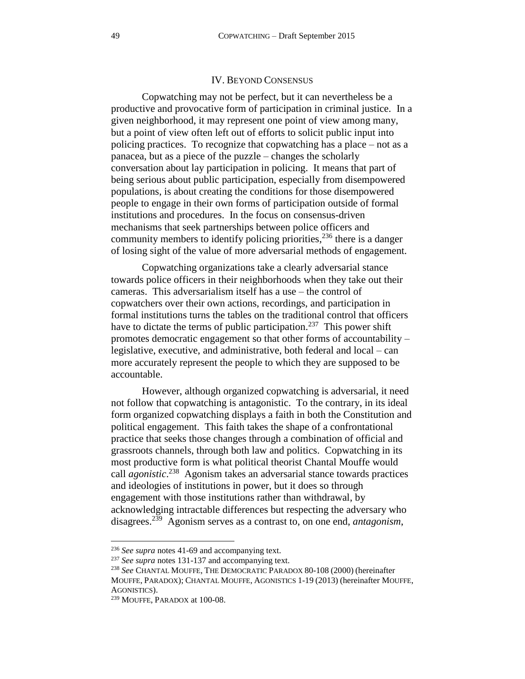### IV. BEYOND CONSENSUS

<span id="page-48-0"></span>Copwatching may not be perfect, but it can nevertheless be a productive and provocative form of participation in criminal justice. In a given neighborhood, it may represent one point of view among many, but a point of view often left out of efforts to solicit public input into policing practices. To recognize that copwatching has a place – not as a panacea, but as a piece of the puzzle – changes the scholarly conversation about lay participation in policing. It means that part of being serious about public participation, especially from disempowered populations, is about creating the conditions for those disempowered people to engage in their own forms of participation outside of formal institutions and procedures. In the focus on consensus-driven mechanisms that seek partnerships between police officers and community members to identify policing priorities,  $^{236}$  there is a danger of losing sight of the value of more adversarial methods of engagement.

Copwatching organizations take a clearly adversarial stance towards police officers in their neighborhoods when they take out their cameras. This adversarialism itself has a use – the control of copwatchers over their own actions, recordings, and participation in formal institutions turns the tables on the traditional control that officers have to dictate the terms of public participation.<sup>237</sup> This power shift promotes democratic engagement so that other forms of accountability – legislative, executive, and administrative, both federal and local – can more accurately represent the people to which they are supposed to be accountable.

However, although organized copwatching is adversarial, it need not follow that copwatching is antagonistic. To the contrary, in its ideal form organized copwatching displays a faith in both the Constitution and political engagement. This faith takes the shape of a confrontational practice that seeks those changes through a combination of official and grassroots channels, through both law and politics. Copwatching in its most productive form is what political theorist Chantal Mouffe would call *agonistic*. 238 Agonism takes an adversarial stance towards practices and ideologies of institutions in power, but it does so through engagement with those institutions rather than withdrawal, by acknowledging intractable differences but respecting the adversary who disagrees. 239 Agonism serves as a contrast to, on one end, *antagonism*,

<span id="page-48-1"></span>l

<sup>236</sup> *See supra* notes [41](#page-10-2)[-69](#page-16-2) and accompanying text.

<sup>237</sup> *See supra* notes [131](#page-29-1)[-137](#page-29-2) and accompanying text.

<sup>238</sup> *See* CHANTAL MOUFFE, THE DEMOCRATIC PARADOX 80-108 (2000) (hereinafter MOUFFE, PARADOX); CHANTAL MOUFFE, AGONISTICS 1-19 (2013) (hereinafter MOUFFE, AGONISTICS).

<sup>239</sup> MOUFFE, PARADOX at 100-08.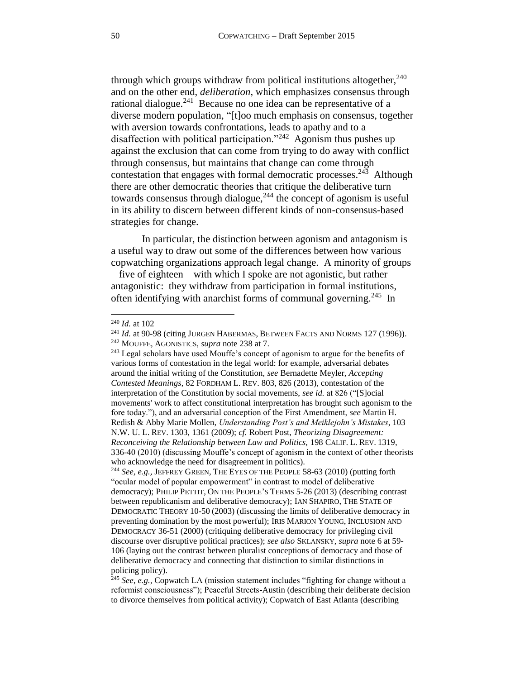through which groups withdraw from political institutions altogether,  $240$ and on the other end, *deliberation*, which emphasizes consensus through rational dialogue.<sup>241</sup> Because no one idea can be representative of a diverse modern population, "[t]oo much emphasis on consensus, together with aversion towards confrontations, leads to apathy and to a disaffection with political participation.<sup>"242</sup> Agonism thus pushes up against the exclusion that can come from trying to do away with conflict through consensus, but maintains that change can come through contestation that engages with formal democratic processes.<sup>243</sup> Although there are other democratic theories that critique the deliberative turn towards consensus through dialogue, $244$  the concept of agonism is useful in its ability to discern between different kinds of non-consensus-based strategies for change.

In particular, the distinction between agonism and antagonism is a useful way to draw out some of the differences between how various copwatching organizations approach legal change. A minority of groups – five of eighteen – with which I spoke are not agonistic, but rather antagonistic: they withdraw from participation in formal institutions, often identifying with anarchist forms of communal governing.<sup>245</sup> In

<sup>240</sup> *Id.* at 102

<sup>&</sup>lt;sup>241</sup> *Id.* at 90-98 (citing JURGEN HABERMAS, BETWEEN FACTS AND NORMS 127 (1996)). <sup>242</sup> MOUFFE, AGONISTICS, *supra* note [238](#page-48-1) at 7.

<sup>&</sup>lt;sup>243</sup> Legal scholars have used Mouffe's concept of agonism to argue for the benefits of various forms of contestation in the legal world: for example, adversarial debates around the initial writing of the Constitution, *see* Bernadette Meyler, *Accepting Contested Meanings*, 82 FORDHAM L. REV. 803, 826 (2013), contestation of the interpretation of the Constitution by social movements, *see id.* at 826 ("[S]ocial movements' work to affect constitutional interpretation has brought such agonism to the fore today."), and an adversarial conception of the First Amendment, *see* Martin H. Redish & Abby Marie Mollen, *Understanding Post's and Meiklejohn's Mistakes*, 103 N.W. U. L. REV. 1303, 1361 (2009); *cf.* Robert Post, *Theorizing Disagreement: Reconceiving the Relationship between Law and Politics,* 198 CALIF. L. REV. 1319, 336-40 (2010) (discussing Mouffe's concept of agonism in the context of other theorists who acknowledge the need for disagreement in politics).

<sup>244</sup> *See, e.g.,* JEFFREY GREEN, THE EYES OF THE PEOPLE 58-63 (2010) (putting forth "ocular model of popular empowerment" in contrast to model of deliberative democracy); PHILIP PETTIT, ON THE PEOPLE'S TERMS 5-26 (2013) (describing contrast between republicanism and deliberative democracy); IAN SHAPIRO, THE STATE OF DEMOCRATIC THEORY 10-50 (2003) (discussing the limits of deliberative democracy in preventing domination by the most powerful); IRIS MARION YOUNG, INCLUSION AND DEMOCRACY 36-51 (2000) (critiquing deliberative democracy for privileging civil discourse over disruptive political practices); *see also* SKLANSKY, *supra* note [6](#page-2-2) at 59- 106 (laying out the contrast between pluralist conceptions of democracy and those of deliberative democracy and connecting that distinction to similar distinctions in policing policy).

<sup>&</sup>lt;sup>245</sup> *See, e.g., Copwatch LA (mission statement includes "fighting for change without a* reformist consciousness"); Peaceful Streets-Austin (describing their deliberate decision to divorce themselves from political activity); Copwatch of East Atlanta (describing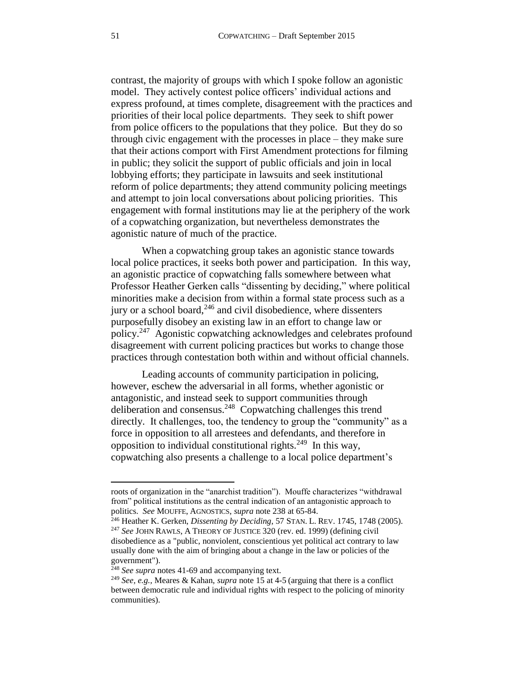contrast, the majority of groups with which I spoke follow an agonistic model. They actively contest police officers' individual actions and express profound, at times complete, disagreement with the practices and priorities of their local police departments. They seek to shift power from police officers to the populations that they police. But they do so through civic engagement with the processes in place – they make sure that their actions comport with First Amendment protections for filming in public; they solicit the support of public officials and join in local lobbying efforts; they participate in lawsuits and seek institutional reform of police departments; they attend community policing meetings and attempt to join local conversations about policing priorities. This engagement with formal institutions may lie at the periphery of the work of a copwatching organization, but nevertheless demonstrates the agonistic nature of much of the practice.

When a copwatching group takes an agonistic stance towards local police practices, it seeks both power and participation. In this way, an agonistic practice of copwatching falls somewhere between what Professor Heather Gerken calls "dissenting by deciding," where political minorities make a decision from within a formal state process such as a jury or a school board, $246$  and civil disobedience, where dissenters purposefully disobey an existing law in an effort to change law or policy.<sup>247</sup> Agonistic copwatching acknowledges and celebrates profound disagreement with current policing practices but works to change those practices through contestation both within and without official channels.

Leading accounts of community participation in policing, however, eschew the adversarial in all forms, whether agonistic or antagonistic, and instead seek to support communities through deliberation and consensus.<sup>248</sup> Copwatching challenges this trend directly. It challenges, too, the tendency to group the "community" as a force in opposition to all arrestees and defendants, and therefore in opposition to individual constitutional rights.<sup>249</sup> In this way, copwatching also presents a challenge to a local police department's

l

roots of organization in the "anarchist tradition"). Mouffe characterizes "withdrawal from" political institutions as the central indication of an antagonistic approach to politics. *See* MOUFFE, AGNOSTICS, *supra* note [238](#page-48-1) at 65-84.

<sup>246</sup> Heather K. Gerken, *Dissenting by Deciding*, 57 STAN. L. REV. 1745, 1748 (2005). <sup>247</sup> See JOHN RAWLS, A THEORY OF JUSTICE 320 (rev. ed. 1999) (defining civil disobedience as a "public, nonviolent, conscientious yet political act contrary to law usually done with the aim of bringing about a change in the law or policies of the government").

<sup>&</sup>lt;sup>248</sup> *See supra* notes [41](#page-10-2)[-69](#page-16-2) and accompanying text.

<sup>249</sup> *See, e.g.,* Meares & Kahan, *supra* not[e 15](#page-4-3) at 4-5 (arguing that there is a conflict between democratic rule and individual rights with respect to the policing of minority communities).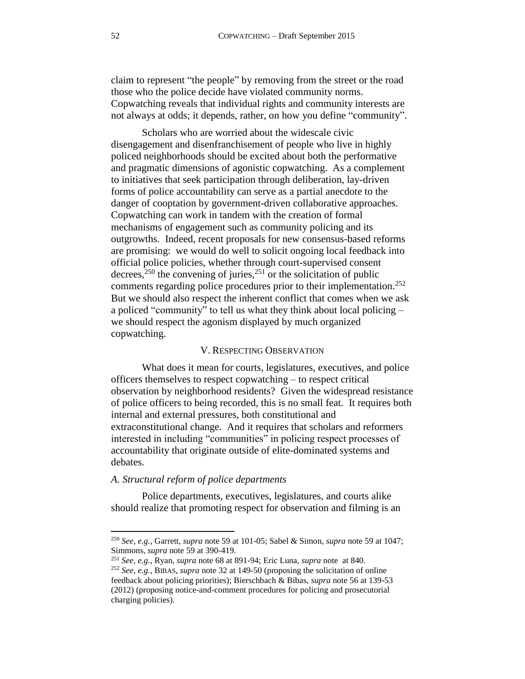claim to represent "the people" by removing from the street or the road those who the police decide have violated community norms. Copwatching reveals that individual rights and community interests are not always at odds; it depends, rather, on how you define "community".

Scholars who are worried about the widescale civic disengagement and disenfranchisement of people who live in highly policed neighborhoods should be excited about both the performative and pragmatic dimensions of agonistic copwatching. As a complement to initiatives that seek participation through deliberation, lay-driven forms of police accountability can serve as a partial anecdote to the danger of cooptation by government-driven collaborative approaches. Copwatching can work in tandem with the creation of formal mechanisms of engagement such as community policing and its outgrowths. Indeed, recent proposals for new consensus-based reforms are promising: we would do well to solicit ongoing local feedback into official police policies, whether through court-supervised consent decrees,<sup>250</sup> the convening of juries,<sup>251</sup> or the solicitation of public comments regarding police procedures prior to their implementation.<sup>252</sup> But we should also respect the inherent conflict that comes when we ask a policed "community" to tell us what they think about local policing – we should respect the agonism displayed by much organized copwatching.

### V. RESPECTING OBSERVATION

<span id="page-51-0"></span>What does it mean for courts, legislatures, executives, and police officers themselves to respect copwatching – to respect critical observation by neighborhood residents? Given the widespread resistance of police officers to being recorded, this is no small feat. It requires both internal and external pressures, both constitutional and extraconstitutional change. And it requires that scholars and reformers interested in including "communities" in policing respect processes of accountability that originate outside of elite-dominated systems and debates.

# <span id="page-51-1"></span>*A. Structural reform of police departments*

 $\overline{\phantom{a}}$ 

Police departments, executives, legislatures, and courts alike should realize that promoting respect for observation and filming is an

<sup>250</sup> *See, e.g.,* Garrett, *supra* not[e 59](#page-14-0) at 101-05; Sabel & Simon, *supra* note [59](#page-14-0) at 1047; Simmons, *supra* note [59](#page-14-0) at 390-419.

<sup>251</sup> *See, e.g.,* Ryan, *supra* note [68](#page-16-0) at 891-94; Eric Luna, *supra* note at 840. <sup>252</sup> *See, e.g.,* BIBAS, *supra* note [32](#page-8-2) at 149-50 (proposing the solicitation of online feedback about policing priorities); Bierschbach & Bibas, *supra* note [56](#page-13-0) at 139-53 (2012) (proposing notice-and-comment procedures for policing and prosecutorial charging policies).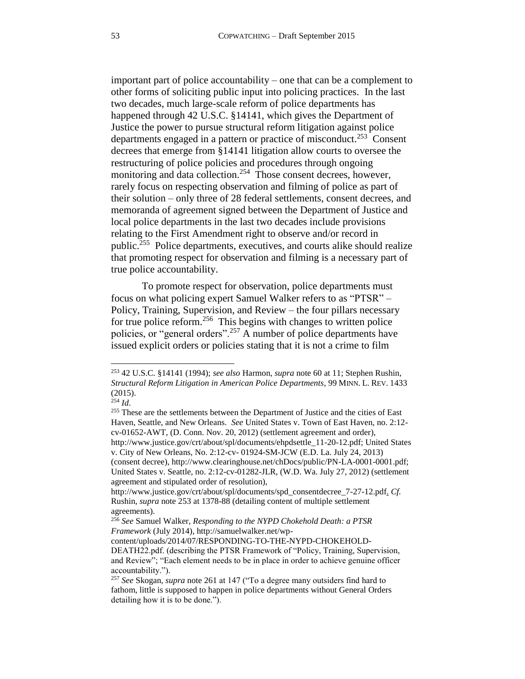<span id="page-52-0"></span>important part of police accountability – one that can be a complement to other forms of soliciting public input into policing practices. In the last two decades, much large-scale reform of police departments has happened through 42 U.S.C. §14141, which gives the Department of Justice the power to pursue structural reform litigation against police departments engaged in a pattern or practice of misconduct.<sup>253</sup> Consent decrees that emerge from §14141 litigation allow courts to oversee the restructuring of police policies and procedures through ongoing monitoring and data collection.<sup>254</sup> Those consent decrees, however, rarely focus on respecting observation and filming of police as part of their solution – only three of 28 federal settlements, consent decrees, and memoranda of agreement signed between the Department of Justice and local police departments in the last two decades include provisions relating to the First Amendment right to observe and/or record in public.<sup>255</sup> Police departments, executives, and courts alike should realize that promoting respect for observation and filming is a necessary part of true police accountability.

To promote respect for observation, police departments must focus on what policing expert Samuel Walker refers to as "PTSR" – Policy, Training, Supervision, and Review – the four pillars necessary for true police reform.<sup>256</sup> This begins with changes to written police policies, or "general orders".<sup>257</sup> A number of police departments have issued explicit orders or policies stating that it is not a crime to film

 $\overline{\phantom{a}}$ 

(consent decree), http://www.clearinghouse.net/chDocs/public/PN-LA-0001-0001.pdf; United States v. Seattle, no. 2:12-cv-01282-JLR, (W.D. Wa. July 27, 2012) (settlement agreement and stipulated order of resolution),

<sup>253</sup> 42 U.S.C. §14141 (1994); *see also* Harmon, *supra* note [60](#page-14-1) at 11; Stephen Rushin, *Structural Reform Litigation in American Police Departments*, 99 MINN. L. REV. 1433 (2015).

 $254$  *Id.* 

<sup>&</sup>lt;sup>255</sup> These are the settlements between the Department of Justice and the cities of East Haven, Seattle, and New Orleans. *See* United States v. Town of East Haven, no. 2:12 cv-01652-AWT, (D. Conn. Nov. 20, 2012) (settlement agreement and order), http://www.justice.gov/crt/about/spl/documents/ehpdsettle\_11-20-12.pdf; United States v. City of New Orleans, No. 2:12-cv- 01924-SM-JCW (E.D. La. July 24, 2013)

http://www.justice.gov/crt/about/spl/documents/spd\_consentdecree\_7-27-12.pdf. *Cf.*  Rushin, *supra* note [253](#page-52-0) at 1378-88 (detailing content of multiple settlement agreements).

<sup>256</sup> *See* Samuel Walker, *Responding to the NYPD Chokehold Death: a PTSR Framework* (July 2014), http://samuelwalker.net/wp-

content/uploads/2014/07/RESPONDING-TO-THE-NYPD-CHOKEHOLD-DEATH22.pdf. (describing the PTSR Framework of "Policy, Training, Supervision, and Review"; "Each element needs to be in place in order to achieve genuine officer accountability.").

<sup>257</sup> *See* Skogan, *supra* note [261](#page-53-1) at 147 ("To a degree many outsiders find hard to fathom, little is supposed to happen in police departments without General Orders detailing how it is to be done.").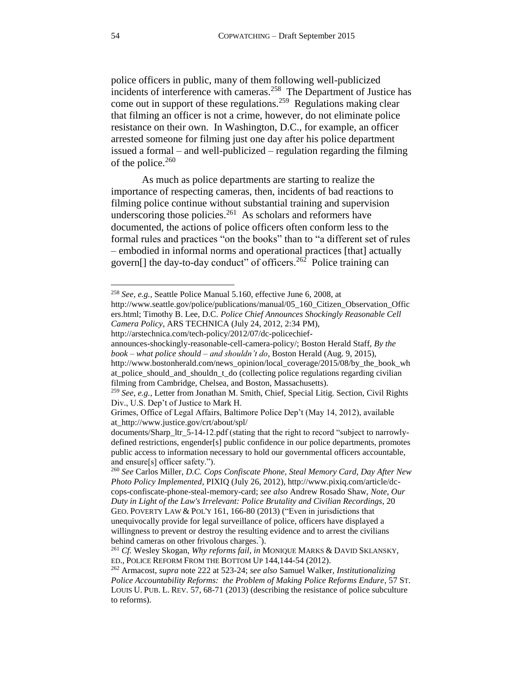<span id="page-53-0"></span>police officers in public, many of them following well-publicized incidents of interference with cameras.<sup>258</sup> The Department of Justice has come out in support of these regulations.<sup>259</sup> Regulations making clear that filming an officer is not a crime, however, do not eliminate police resistance on their own. In Washington, D.C., for example, an officer arrested someone for filming just one day after his police department issued a formal – and well-publicized – regulation regarding the filming of the police. $260$ 

<span id="page-53-1"></span>As much as police departments are starting to realize the importance of respecting cameras, then, incidents of bad reactions to filming police continue without substantial training and supervision underscoring those policies. $261$  As scholars and reformers have documented, the actions of police officers often conform less to the formal rules and practices "on the books" than to "a different set of rules – embodied in informal norms and operational practices [that] actually govern[] the day-to-day conduct" of officers.<sup>262</sup> Police training can

http://www.bostonherald.com/news\_opinion/local\_coverage/2015/08/by\_the\_book\_wh at police should and shouldn t do (collecting police regulations regarding civilian filming from Cambridge, Chelsea, and Boston, Massachusetts).

<span id="page-53-2"></span><sup>258</sup> *See, e.g.,* Seattle Police Manual 5.160, effective June 6, 2008, at

http://www.seattle.gov/police/publications/manual/05\_160\_Citizen\_Observation\_Offic ers.html; Timothy B. Lee, D.C. *Police Chief Announces Shockingly Reasonable Cell Camera Policy*, ARS TECHNICA (July 24, 2012, 2:34 PM), http://arstechnica.com/tech-policy/2012/07/dc-policechief-

announces-shockingly-reasonable-cell-camera-policy/; Boston Herald Staff, *By the book – what police should – and shouldn't do*, Boston Herald (Aug. 9, 2015),

<sup>259</sup> *See, e.g.,* Letter from Jonathan M. Smith, Chief, Special Litig. Section, Civil Rights Div., U.S. Dep't of Justice to Mark H.

Grimes, Office of Legal Affairs, Baltimore Police Dep't (May 14, 2012), available at\_http://www.justice.gov/crt/about/spl/

documents/Sharp\_ltr\_5-14-12.pdf (stating that the right to record "subject to narrowlydefined restrictions, engender[s] public confidence in our police departments, promotes public access to information necessary to hold our governmental officers accountable, and ensure[s] officer safety.").

<sup>260</sup> *See* Carlos Miller, *D.C. Cops Confiscate Phone, Steal Memory Card, Day After New Photo Policy Implemented*, PIXIQ (July 26, 2012), http://www.pixiq.com/article/dccops-confiscate-phone-steal-memory-card; *see also* Andrew Rosado Shaw, *Note, Our Duty in Light of the Law's Irrelevant: Police Brutality and Civilian Recordings*, 20 GEO. POVERTY LAW & POL'Y 161, 166-80 (2013) ("Even in jurisdictions that unequivocally provide for legal surveillance of police, officers have displayed a willingness to prevent or destroy the resulting evidence and to arrest the civilians behind cameras on other frivolous charges." ).

<sup>261</sup> *Cf.* Wesley Skogan, *Why reforms fail*, *in* MONIQUE MARKS & DAVID SKLANSKY, ED., POLICE REFORM FROM THE BOTTOM UP 144,144-54 (2012).

<sup>262</sup> Armacost, *supra* not[e 222](#page-45-2) at 523-24; *see also* Samuel Walker, *Institutionalizing Police Accountability Reforms: the Problem of Making Police Reforms Endure*, 57 ST. LOUIS U. PUB. L. REV. 57, 68-71 (2013) (describing the resistance of police subculture to reforms).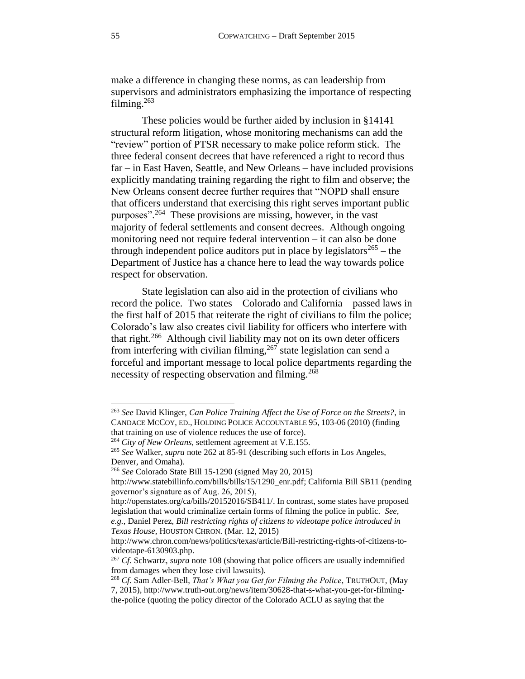make a difference in changing these norms, as can leadership from supervisors and administrators emphasizing the importance of respecting filming.<sup>263</sup>

These policies would be further aided by inclusion in §14141 structural reform litigation, whose monitoring mechanisms can add the "review" portion of PTSR necessary to make police reform stick. The three federal consent decrees that have referenced a right to record thus far – in East Haven, Seattle, and New Orleans – have included provisions explicitly mandating training regarding the right to film and observe; the New Orleans consent decree further requires that "NOPD shall ensure that officers understand that exercising this right serves important public purposes".<sup>264</sup> These provisions are missing, however, in the vast majority of federal settlements and consent decrees. Although ongoing monitoring need not require federal intervention – it can also be done through independent police auditors put in place by legislators<sup>265</sup> – the Department of Justice has a chance here to lead the way towards police respect for observation.

State legislation can also aid in the protection of civilians who record the police. Two states – Colorado and California – passed laws in the first half of 2015 that reiterate the right of civilians to film the police; Colorado's law also creates civil liability for officers who interfere with that right.<sup>266</sup> Although civil liability may not on its own deter officers from interfering with civilian filming,  $267$  state legislation can send a forceful and important message to local police departments regarding the necessity of respecting observation and filming.<sup>268</sup>

<sup>263</sup> *See* David Klinger, *Can Police Training Affect the Use of Force on the Streets?*, in CANDACE MCCOY, ED., HOLDING POLICE ACCOUNTABLE 95, 103-06 (2010) (finding that training on use of violence reduces the use of force).

<sup>264</sup> *City of New Orleans*, settlement agreement at V.E.155.

<sup>265</sup> *See* Walker, *supra* not[e 262](#page-53-2) at 85-91 (describing such efforts in Los Angeles, Denver, and Omaha).

<sup>266</sup> *See* Colorado State Bill 15-1290 (signed May 20, 2015)

http://www.statebillinfo.com/bills/bills/15/1290\_enr.pdf; California Bill SB11 (pending governor's signature as of Aug. 26, 2015),

http://openstates.org/ca/bills/20152016/SB411/. In contrast, some states have proposed legislation that would criminalize certain forms of filming the police in public. *See, e.g.,* Daniel Perez, *Bill restricting rights of citizens to videotape police introduced in Texas House*, HOUSTON CHRON. (Mar. 12, 2015)

http://www.chron.com/news/politics/texas/article/Bill-restricting-rights-of-citizens-tovideotape-6130903.php.

<sup>267</sup> *Cf.* Schwartz, *supra* note [108](#page-24-2) (showing that police officers are usually indemnified from damages when they lose civil lawsuits).

<sup>268</sup> *Cf.* Sam Adler-Bell, *That's What you Get for Filming the Police*, TRUTHOUT, (May 7, 2015), http://www.truth-out.org/news/item/30628-that-s-what-you-get-for-filmingthe-police (quoting the policy director of the Colorado ACLU as saying that the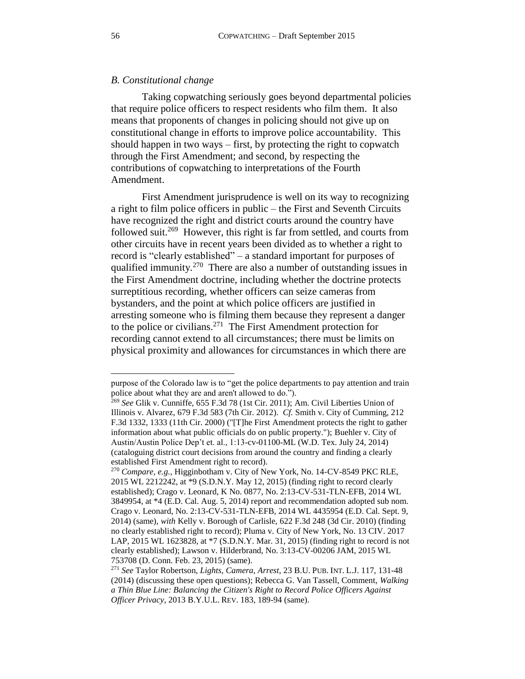### <span id="page-55-0"></span>*B. Constitutional change*

Taking copwatching seriously goes beyond departmental policies that require police officers to respect residents who film them. It also means that proponents of changes in policing should not give up on constitutional change in efforts to improve police accountability. This should happen in two ways – first, by protecting the right to copwatch through the First Amendment; and second, by respecting the contributions of copwatching to interpretations of the Fourth Amendment.

<span id="page-55-1"></span>First Amendment jurisprudence is well on its way to recognizing a right to film police officers in public – the First and Seventh Circuits have recognized the right and district courts around the country have followed suit.<sup>269</sup> However, this right is far from settled, and courts from other circuits have in recent years been divided as to whether a right to record is "clearly established" – a standard important for purposes of qualified immunity.<sup>270</sup> There are also a number of outstanding issues in the First Amendment doctrine, including whether the doctrine protects surreptitious recording, whether officers can seize cameras from bystanders, and the point at which police officers are justified in arresting someone who is filming them because they represent a danger to the police or civilians. 271 The First Amendment protection for recording cannot extend to all circumstances; there must be limits on physical proximity and allowances for circumstances in which there are

purpose of the Colorado law is to "get the police departments to pay attention and train police about what they are and aren't allowed to do.").

<sup>269</sup> *See* Glik v. Cunniffe, 655 F.3d 78 (1st Cir. 2011); Am. Civil Liberties Union of Illinois v. Alvarez, 679 F.3d 583 (7th Cir. 2012). *Cf.* Smith v. City of Cumming, 212 F.3d 1332, 1333 (11th Cir. 2000) ("[T]he First Amendment protects the right to gather information about what public officials do on public property."); Buehler v. City of Austin/Austin Police Dep't et. al., 1:13-cv-01100-ML (W.D. Tex. July 24, 2014) (cataloguing district court decisions from around the country and finding a clearly established First Amendment right to record).

<sup>270</sup> *Compare, e.g.,* Higginbotham v. City of New York, No. 14-CV-8549 PKC RLE, 2015 WL 2212242, at \*9 (S.D.N.Y. May 12, 2015) (finding right to record clearly established); Crago v. Leonard, K No. 0877, No. 2:13-CV-531-TLN-EFB, 2014 WL 3849954, at \*4 (E.D. Cal. Aug. 5, 2014) report and recommendation adopted sub nom. Crago v. Leonard, No. 2:13-CV-531-TLN-EFB, 2014 WL 4435954 (E.D. Cal. Sept. 9, 2014) (same), *with* Kelly v. Borough of Carlisle, 622 F.3d 248 (3d Cir. 2010) (finding no clearly established right to record); Pluma v. City of New York, No. 13 CIV. 2017 LAP, 2015 WL 1623828, at \*7 (S.D.N.Y. Mar. 31, 2015) (finding right to record is not clearly established); Lawson v. Hilderbrand, No. 3:13-CV-00206 JAM, 2015 WL 753708 (D. Conn. Feb. 23, 2015) (same).

<sup>271</sup> *See* Taylor Robertson, *Lights, Camera, Arrest*, 23 B.U. PUB. INT. L.J. 117, 131-48 (2014) (discussing these open questions); Rebecca G. Van Tassell, Comment, *Walking a Thin Blue Line: Balancing the Citizen's Right to Record Police Officers Against Officer Privacy*, 2013 B.Y.U.L. REV. 183, 189-94 (same).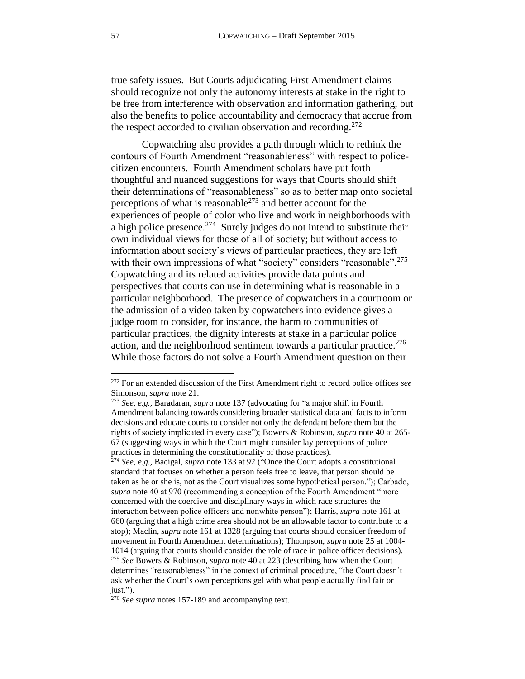true safety issues. But Courts adjudicating First Amendment claims should recognize not only the autonomy interests at stake in the right to be free from interference with observation and information gathering, but also the benefits to police accountability and democracy that accrue from the respect accorded to civilian observation and recording.<sup>272</sup>

Copwatching also provides a path through which to rethink the contours of Fourth Amendment "reasonableness" with respect to policecitizen encounters. Fourth Amendment scholars have put forth thoughtful and nuanced suggestions for ways that Courts should shift their determinations of "reasonableness" so as to better map onto societal perceptions of what is reasonable $^{273}$  and better account for the experiences of people of color who live and work in neighborhoods with a high police presence.<sup>274</sup> Surely judges do not intend to substitute their own individual views for those of all of society; but without access to information about society's views of particular practices, they are left with their own impressions of what "society" considers "reasonable".<sup>275</sup> Copwatching and its related activities provide data points and perspectives that courts can use in determining what is reasonable in a particular neighborhood. The presence of copwatchers in a courtroom or the admission of a video taken by copwatchers into evidence gives a judge room to consider, for instance, the harm to communities of particular practices, the dignity interests at stake in a particular police action, and the neighborhood sentiment towards a particular practice.<sup>276</sup> While those factors do not solve a Fourth Amendment question on their

<sup>272</sup> For an extended discussion of the First Amendment right to record police offices *see*  Simonson, *supra* not[e 21.](#page-5-1)

<sup>273</sup> *See, e.g.,* Baradaran, *supra* note [137](#page-29-2) (advocating for "a major shift in Fourth Amendment balancing towards considering broader statistical data and facts to inform decisions and educate courts to consider not only the defendant before them but the rights of society implicated in every case"); Bowers & Robinson, *supra* note [40](#page-10-1) at 265- 67 (suggesting ways in which the Court might consider lay perceptions of police practices in determining the constitutionality of those practices).

<sup>274</sup> *See, e.g.,* Bacigal, *supra* not[e 133](#page-29-3) at 92 ("Once the Court adopts a constitutional standard that focuses on whether a person feels free to leave, that person should be taken as he or she is, not as the Court visualizes some hypothetical person."); Carbado, *supra* not[e 40](#page-10-1) at 970 (recommending a conception of the Fourth Amendment "more concerned with the coercive and disciplinary ways in which race structures the interaction between police officers and nonwhite person"); Harris, *supra* note [161](#page-33-2) at 660 (arguing that a high crime area should not be an allowable factor to contribute to a stop); Maclin, *supra* note [161](#page-33-2) at 1328 (arguing that courts should consider freedom of movement in Fourth Amendment determinations); Thompson, *supra* not[e 25](#page-7-2) at 1004- 1014 (arguing that courts should consider the role of race in police officer decisions). <sup>275</sup> *See* Bowers & Robinson, *supra* note [40](#page-10-1) at 223 (describing how when the Court determines "reasonableness" in the context of criminal procedure, "the Court doesn't ask whether the Court's own perceptions gel with what people actually find fair or just.").

<sup>&</sup>lt;sup>276</sup> *See supra* notes [157](#page-33-0)[-189](#page-39-3) and accompanying text.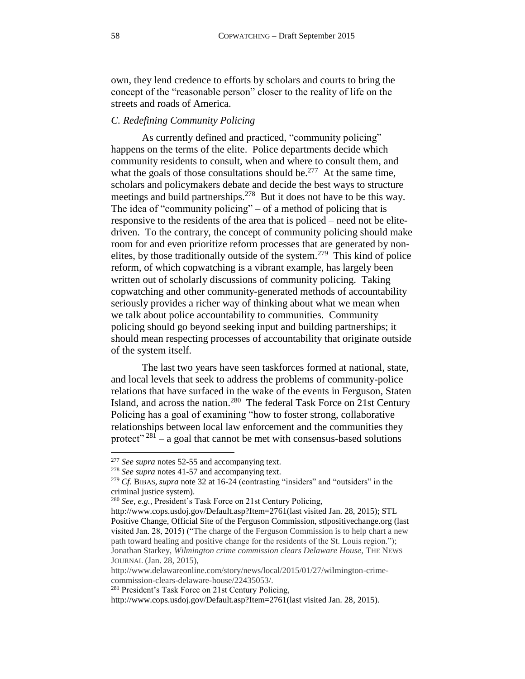own, they lend credence to efforts by scholars and courts to bring the concept of the "reasonable person" closer to the reality of life on the streets and roads of America.

### <span id="page-57-0"></span>*C. Redefining Community Policing*

As currently defined and practiced, "community policing" happens on the terms of the elite. Police departments decide which community residents to consult, when and where to consult them, and what the goals of those consultations should be.<sup>277</sup> At the same time, scholars and policymakers debate and decide the best ways to structure meetings and build partnerships.<sup>278</sup> But it does not have to be this way. The idea of "community policing" – of a method of policing that is responsive to the residents of the area that is policed – need not be elitedriven. To the contrary, the concept of community policing should make room for and even prioritize reform processes that are generated by nonelites, by those traditionally outside of the system.<sup>279</sup> This kind of police reform, of which copwatching is a vibrant example, has largely been written out of scholarly discussions of community policing. Taking copwatching and other community-generated methods of accountability seriously provides a richer way of thinking about what we mean when we talk about police accountability to communities. Community policing should go beyond seeking input and building partnerships; it should mean respecting processes of accountability that originate outside of the system itself.

The last two years have seen taskforces formed at national, state, and local levels that seek to address the problems of community-police relations that have surfaced in the wake of the events in Ferguson, Staten Island, and across the nation.<sup>280</sup> The federal Task Force on 21st Century Policing has a goal of examining "how to foster strong, collaborative relationships between local law enforcement and the communities they protect<sup>" 281</sup> – a goal that cannot be met with consensus-based solutions

<sup>277</sup> *See supra* notes [52](#page-12-0)[-55](#page-13-1) and accompanying text.

<sup>278</sup> *See supra* notes [41](#page-10-2)[-57](#page-13-2) and accompanying text.

<sup>279</sup> *Cf.* BIBAS, *supra* not[e 32](#page-8-2) at 16-24 (contrasting "insiders" and "outsiders" in the criminal justice system).

<sup>280</sup> *See, e.g.,* President's Task Force on 21st Century Policing,

http://www.cops.usdoj.gov/Default.asp?Item=2761(last visited Jan. 28, 2015); STL Positive Change, Official Site of the Ferguson Commission, stlpositivechange.org (last visited Jan. 28, 2015) ("The charge of the Ferguson Commission is to help chart a new path toward healing and positive change for the residents of the St. Louis region."); Jonathan Starkey, *Wilmington crime commission clears Delaware House,* THE NEWS JOURNAL (Jan. 28, 2015),

http://www.delawareonline.com/story/news/local/2015/01/27/wilmington-crimecommission-clears-delaware-house/22435053/.

<sup>281</sup> President's Task Force on 21st Century Policing,

http://www.cops.usdoj.gov/Default.asp?Item=2761(last visited Jan. 28, 2015).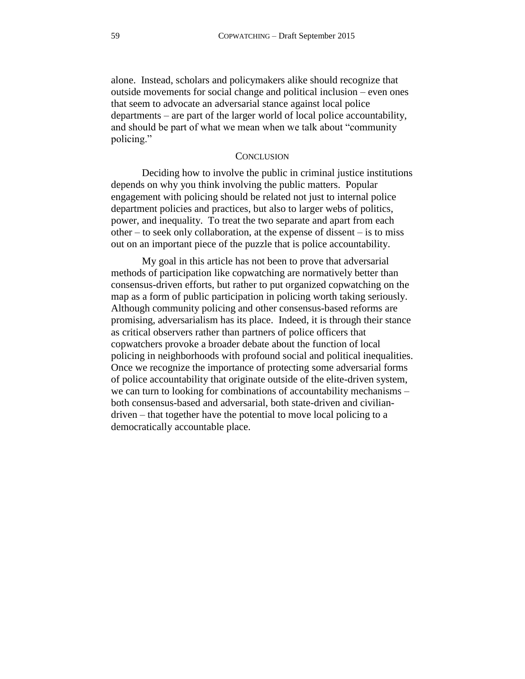alone. Instead, scholars and policymakers alike should recognize that outside movements for social change and political inclusion – even ones that seem to advocate an adversarial stance against local police departments – are part of the larger world of local police accountability, and should be part of what we mean when we talk about "community policing."

#### **CONCLUSION**

<span id="page-58-0"></span>Deciding how to involve the public in criminal justice institutions depends on why you think involving the public matters. Popular engagement with policing should be related not just to internal police department policies and practices, but also to larger webs of politics, power, and inequality. To treat the two separate and apart from each other – to seek only collaboration, at the expense of dissent – is to miss out on an important piece of the puzzle that is police accountability.

<span id="page-58-1"></span>My goal in this article has not been to prove that adversarial methods of participation like copwatching are normatively better than consensus-driven efforts, but rather to put organized copwatching on the map as a form of public participation in policing worth taking seriously. Although community policing and other consensus-based reforms are promising, adversarialism has its place. Indeed, it is through their stance as critical observers rather than partners of police officers that copwatchers provoke a broader debate about the function of local policing in neighborhoods with profound social and political inequalities. Once we recognize the importance of protecting some adversarial forms of police accountability that originate outside of the elite-driven system, we can turn to looking for combinations of accountability mechanisms – both consensus-based and adversarial, both state-driven and civiliandriven – that together have the potential to move local policing to a democratically accountable place.